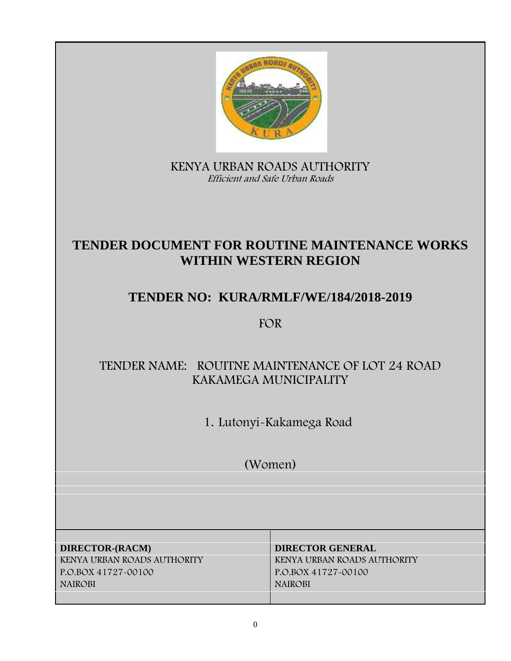

**KENYA URBAN ROADS AUTHORITY** *Efficient and Safe Urban Roads*

# **TENDER DOCUMENT FOR ROUTINE MAINTENANCE WORKS WITHIN WESTERN REGION**

# **TENDER NO: KURA/RMLF/WE/184/2018-2019**

**FOR**

# **TENDER NAME: ROUITNE MAINTENANCE OF LOT 24 ROAD KAKAMEGA MUNICIPALITY**

**1. Lutonyi-Kakamega Road**

**(Women)**

**DIRECTOR-(RACM) DIRECTOR GENERAL KENYA URBAN ROADS AUTHORITY KENYA URBAN ROADS AUTHORITY P.O.BOX 41727-00100 P.O.BOX 41727-00100 NAIROBI NAIROBI**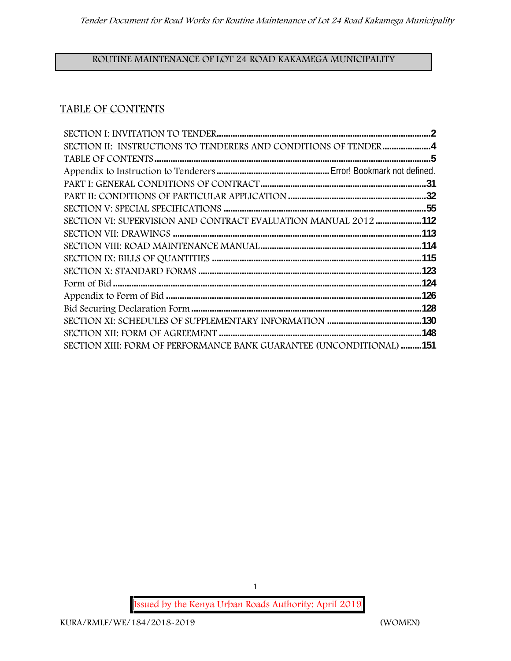# **ROUTINE MAINTENANCE OF LOT 24 ROAD KAKAMEGA MUNICIPALITY**

# **TABLE OF CONTENTS**

| SECTION II: INSTRUCTIONS TO TENDERERS AND CONDITIONS OF TENDER4      |  |
|----------------------------------------------------------------------|--|
|                                                                      |  |
|                                                                      |  |
|                                                                      |  |
|                                                                      |  |
|                                                                      |  |
| SECTION VI: SUPERVISION AND CONTRACT EVALUATION MANUAL 2012 112      |  |
|                                                                      |  |
|                                                                      |  |
|                                                                      |  |
|                                                                      |  |
|                                                                      |  |
|                                                                      |  |
|                                                                      |  |
|                                                                      |  |
|                                                                      |  |
| SECTION XIII: FORM OF PERFORMANCE BANK GUARANTEE (UNCONDITIONAL) 151 |  |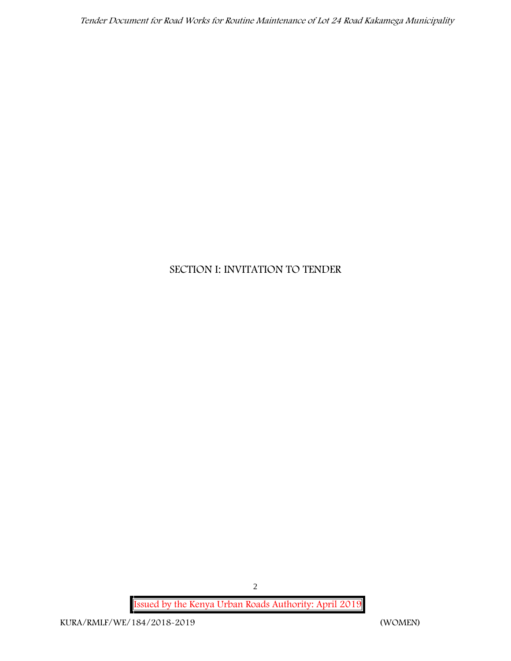*Tender Document for Road Works for Routine Maintenance of Lot 24 Road Kakamega Municipality*

# **SECTION I: INVITATION TO TENDER**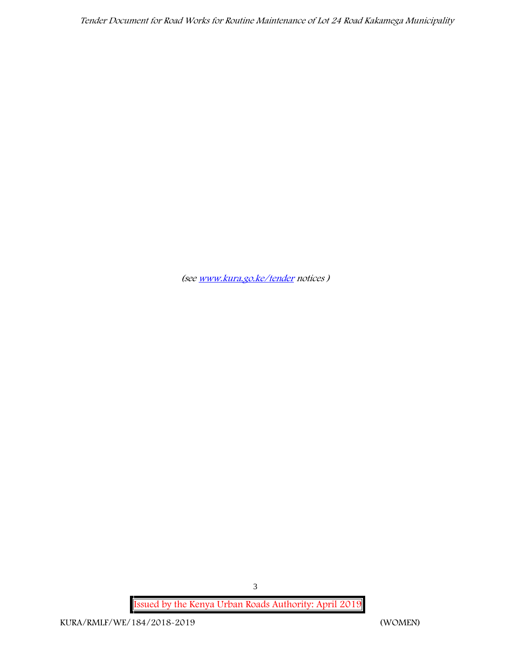*Tender Document for Road Works for Routine Maintenance of Lot 24 Road Kakamega Municipality*

*(see www.kura.go.ke/tender notices )*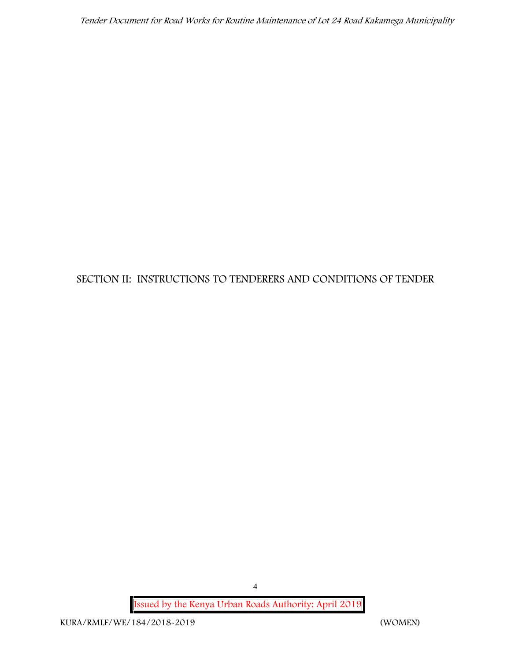# **SECTION II: INSTRUCTIONS TO TENDERERS AND CONDITIONS OF TENDER**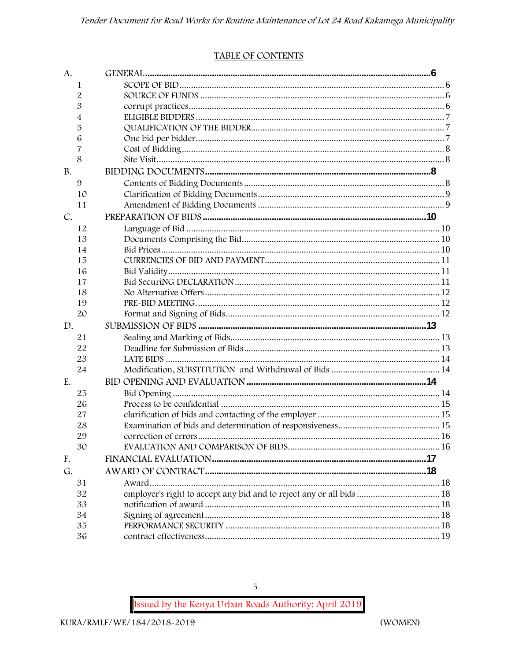#### TABLE OF CONTENTS

| A.        |                                                                      |  |
|-----------|----------------------------------------------------------------------|--|
| 1         |                                                                      |  |
| 2         |                                                                      |  |
| 3         |                                                                      |  |
| 4         |                                                                      |  |
| 5         |                                                                      |  |
| 6         |                                                                      |  |
| 7         |                                                                      |  |
| 8         |                                                                      |  |
| <b>B.</b> |                                                                      |  |
| 9         |                                                                      |  |
| 10        |                                                                      |  |
| 11        |                                                                      |  |
| C.        |                                                                      |  |
| 12        |                                                                      |  |
| 13        |                                                                      |  |
| 14        |                                                                      |  |
| 15        |                                                                      |  |
| 16        |                                                                      |  |
| 17        |                                                                      |  |
| 18        |                                                                      |  |
| 19        |                                                                      |  |
| 20        |                                                                      |  |
| D.        |                                                                      |  |
| 21        |                                                                      |  |
| 22        |                                                                      |  |
| 23        |                                                                      |  |
| 24        |                                                                      |  |
| E.        |                                                                      |  |
| 25        |                                                                      |  |
| 26        |                                                                      |  |
| 27        |                                                                      |  |
| 28        |                                                                      |  |
| 29        |                                                                      |  |
| 30        |                                                                      |  |
| F.        |                                                                      |  |
| G.        |                                                                      |  |
| 31        |                                                                      |  |
| 32        | employer's right to accept any bid and to reject any or all bids  18 |  |
| 33        |                                                                      |  |
| 34        |                                                                      |  |
| 35        |                                                                      |  |
| 36        |                                                                      |  |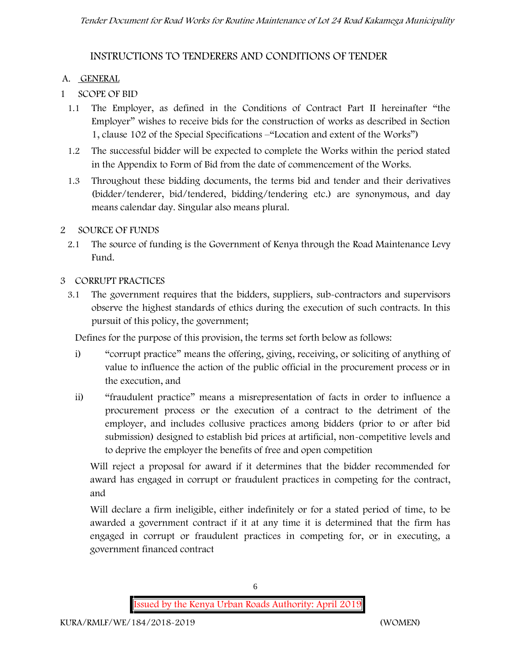# **INSTRUCTIONS TO TENDERERS AND CONDITIONS OF TENDER**

#### **A. GENERAL**

- **1 SCOPE OF BID**
	- 1.1 The Employer, as defined in the Conditions of Contract Part II hereinafter "the Employer" wishes to receive bids for the construction of works as described in Section 1, clause 102 of the Special Specifications –"Location and extent of the Works")
	- 1.2 The successful bidder will be expected to complete the Works within the period stated in the Appendix to Form of Bid from the date of commencement of the Works.
	- 1.3 Throughout these bidding documents, the terms bid and tender and their derivatives (bidder/tenderer, bid/tendered, bidding/tendering etc.) are synonymous, and day means calendar day. Singular also means plural.
- **2 SOURCE OF FUNDS**
	- 2.1 The source of funding is the Government of Kenya through the Road Maintenance Levy Fund.

#### **3 CORRUPT PRACTICES**

3.1 The government requires that the bidders, suppliers, sub-contractors and supervisors observe the highest standards of ethics during the execution of such contracts. In this pursuit of this policy, the government;

Defines for the purpose of this provision, the terms set forth below as follows:

- i) "corrupt practice" means the offering, giving, receiving, or soliciting of anything of value to influence the action of the public official in the procurement process or in the execution, and
- ii) "fraudulent practice" means a misrepresentation of facts in order to influence a procurement process or the execution of a contract to the detriment of the employer, and includes collusive practices among bidders (prior to or after bid submission) designed to establish bid prices at artificial, non-competitive levels and to deprive the employer the benefits of free and open competition

Will reject a proposal for award if it determines that the bidder recommended for award has engaged in corrupt or fraudulent practices in competing for the contract, and

Will declare a firm ineligible, either indefinitely or for a stated period of time, to be awarded a government contract if it at any time it is determined that the firm has engaged in corrupt or fraudulent practices in competing for, or in executing, a government financed contract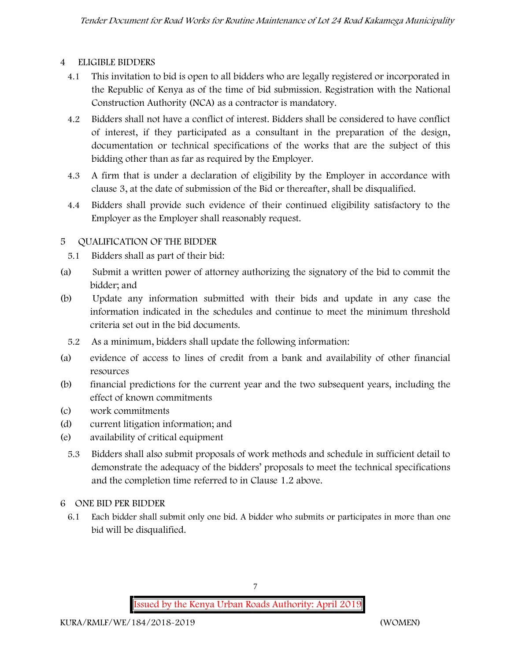#### **4 ELIGIBLE BIDDERS**

- 4.1 This invitation to bid is open to all bidders who are legally registered or incorporated in the Republic of Kenya as of the time of bid submission. Registration with the National Construction Authority (NCA) as a contractor is mandatory.
- 4.2 Bidders shall not have a conflict of interest. Bidders shall be considered to have conflict of interest, if they participated as a consultant in the preparation of the design, documentation or technical specifications of the works that are the subject of this bidding other than as far as required by the Employer.
- 4.3 A firm that is under a declaration of eligibility by the Employer in accordance with clause 3, at the date of submission of the Bid or thereafter, shall be disqualified.
- 4.4 Bidders shall provide such evidence of their continued eligibility satisfactory to the Employer as the Employer shall reasonably request.

## **5 QUALIFICATION OF THE BIDDER**

- 5.1 Bidders shall as part of their bid:
- (a) Submit a written power of attorney authorizing the signatory of the bid to commit the bidder; and
- (b) Update any information submitted with their bids and update in any case the information indicated in the schedules and continue to meet the minimum threshold criteria set out in the bid documents.
	- 5.2 As a minimum, bidders shall update the following information:
- (a) evidence of access to lines of credit from a bank and availability of other financial resources
- (b) financial predictions for the current year and the two subsequent years, including the effect of known commitments
- (c) work commitments
- (d) current litigation information; and
- (e) availability of critical equipment
	- 5.3 Bidders shall also submit proposals of work methods and schedule in sufficient detail to demonstrate the adequacy of the bidders' proposals to meet the technical specifications and the completion time referred to in Clause 1.2 above.
- **6 ONE BID PER BIDDER**
	- 6.1 Each bidder shall submit only one bid. A bidder who submits or participates in more than one bid will be disqualified.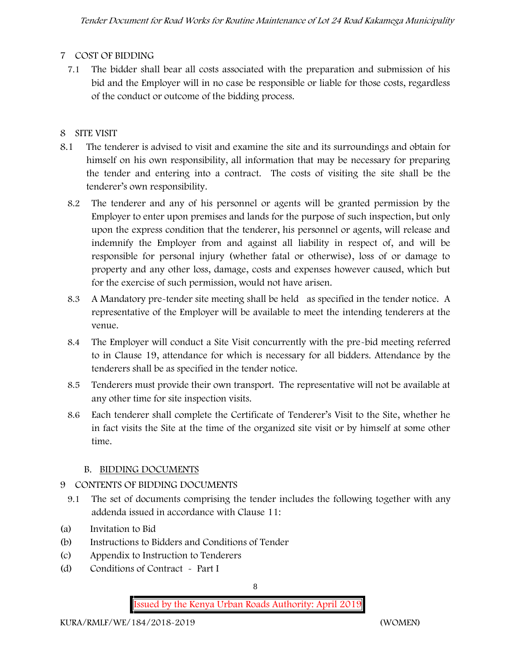# **7 COST OF BIDDING**

7.1 The bidder shall bear all costs associated with the preparation and submission of his bid and the Employer will in no case be responsible or liable for those costs, regardless of the conduct or outcome of the bidding process.

# **8 SITE VISIT**

- 8.1 The tenderer is advised to visit and examine the site and its surroundings and obtain for himself on his own responsibility, all information that may be necessary for preparing the tender and entering into a contract. The costs of visiting the site shall be the tenderer's own responsibility.
	- 8.2 The tenderer and any of his personnel or agents will be granted permission by the Employer to enter upon premises and lands for the purpose of such inspection, but only upon the express condition that the tenderer, his personnel or agents, will release and indemnify the Employer from and against all liability in respect of, and will be responsible for personal injury (whether fatal or otherwise), loss of or damage to property and any other loss, damage, costs and expenses however caused, which but for the exercise of such permission, would not have arisen.
	- 8.3 A Mandatory pre-tender site meeting shall be held as specified in the tender notice. A representative of the Employer will be available to meet the intending tenderers at the venue.
	- 8.4 The Employer will conduct a Site Visit concurrently with the pre-bid meeting referred to in Clause 19, attendance for which is necessary for all bidders. Attendance by the tenderers shall be as specified in the tender notice.
	- 8.5 Tenderers must provide their own transport. The representative will not be available at any other time for site inspection visits.
	- 8.6 Each tenderer shall complete the Certificate of Tenderer's Visit to the Site, whether he in fact visits the Site at the time of the organized site visit or by himself at some other time.

# **B. BIDDING DOCUMENTS**

# 9 CONTENTS OF BIDDING DOCUMENTS

- 9.1 The set of documents comprising the tender includes the following together with any addenda issued in accordance with Clause 11:
- (a) Invitation to Bid
- (b) Instructions to Bidders and Conditions of Tender
- (c) Appendix to Instruction to Tenderers
- (d) Conditions of Contract Part I

8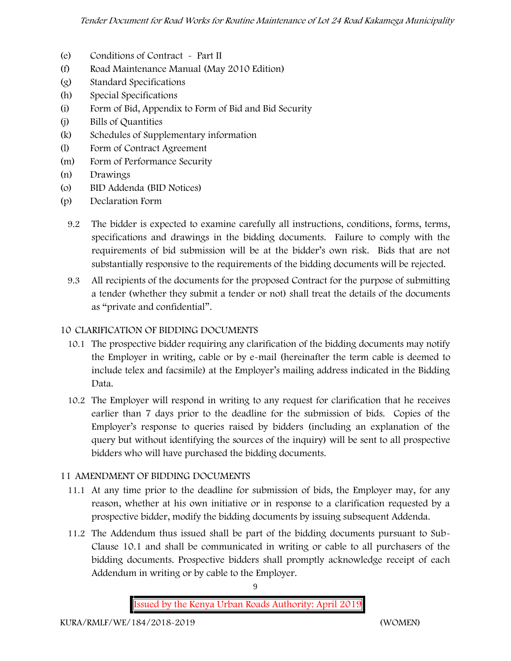- (e) Conditions of Contract Part II
- (f) Road Maintenance Manual (May 2010 Edition)
- (g) Standard Specifications
- (h) Special Specifications
- (i) Form of Bid, Appendix to Form of Bid and Bid Security
- (j) Bills of Quantities
- (k) Schedules of Supplementary information
- (l) Form of Contract Agreement
- (m) Form of Performance Security
- (n) Drawings
- (o) BID Addenda (BID Notices)
- (p) Declaration Form
	- 9.2 The bidder is expected to examine carefully all instructions, conditions, forms, terms, specifications and drawings in the bidding documents. Failure to comply with the requirements of bid submission will be at the bidder's own risk. Bids that are not substantially responsive to the requirements of the bidding documents will be rejected.
	- 9.3 All recipients of the documents for the proposed Contract for the purpose of submitting a tender (whether they submit a tender or not) shall treat the details of the documents as "private and confidential".

### **10 CLARIFICATION OF BIDDING DOCUMENTS**

- 10.1 The prospective bidder requiring any clarification of the bidding documents may notify the Employer in writing, cable or by e-mail (hereinafter the term cable is deemed to include telex and facsimile) at the Employer's mailing address indicated in the Bidding Data.
- 10.2 The Employer will respond in writing to any request for clarification that he receives earlier than 7 days prior to the deadline for the submission of bids. Copies of the Employer's response to queries raised by bidders (including an explanation of the query but without identifying the sources of the inquiry) will be sent to all prospective bidders who will have purchased the bidding documents.

#### **11 AMENDMENT OF BIDDING DOCUMENTS**

- 11.1 At any time prior to the deadline for submission of bids, the Employer may, for any reason, whether at his own initiative or in response to a clarification requested by a prospective bidder, modify the bidding documents by issuing subsequent Addenda.
- 11.2 The Addendum thus issued shall be part of the bidding documents pursuant to Sub- Clause 10.1 and shall be communicated in writing or cable to all purchasers of the bidding documents. Prospective bidders shall promptly acknowledge receipt of each Addendum in writing or by cable to the Employer.

**Issued by the Kenya Urban Roads Authority: April 2019**

9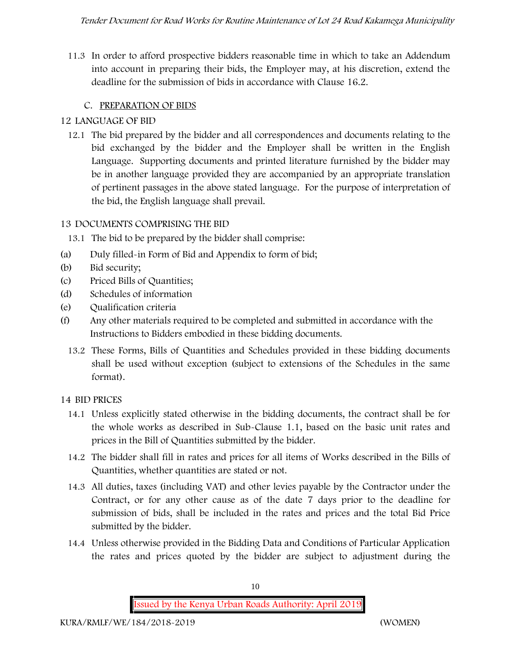11.3 In order to afford prospective bidders reasonable time in which to take an Addendum into account in preparing their bids, the Employer may, at his discretion, extend the deadline for the submission of bids in accordance with Clause 16.2.

# **C. PREPARATION OF BIDS**

# **12 LANGUAGE OF BID**

12.1 The bid prepared by the bidder and all correspondences and documents relating to the bid exchanged by the bidder and the Employer shall be written in the English Language. Supporting documents and printed literature furnished by the bidder may be in another language provided they are accompanied by an appropriate translation of pertinent passages in the above stated language. For the purpose of interpretation of the bid, the English language shall prevail.

## **13 DOCUMENTS COMPRISING THE BID**

- 13.1 The bid to be prepared by the bidder shall comprise:
- (a) Duly filled-in Form of Bid and Appendix to form of bid;
- (b) Bid security;
- (c) Priced Bills of Quantities;
- (d) Schedules of information
- (e) Qualification criteria
- (f) Any other materials required to be completed and submitted in accordance with the Instructions to Bidders embodied in these bidding documents.
	- 13.2 These Forms, Bills of Quantities and Schedules provided in these bidding documents shall be used without exception (subject to extensions of the Schedules in the same format).

# **14 BID PRICES**

- 14.1 Unless explicitly stated otherwise in the bidding documents, the contract shall be for the whole works as described in Sub-Clause 1.1, based on the basic unit rates and prices in the Bill of Quantities submitted by the bidder.
- 14.2 The bidder shall fill in rates and prices for all items of Works described in the Bills of Quantities, whether quantities are stated or not.
- 14.3 All duties, taxes (including VAT) and other levies payable by the Contractor under the Contract, or for any other cause as of the date 7 days prior to the deadline for submission of bids, shall be included in the rates and prices and the total Bid Price submitted by the bidder.
- 14.4 Unless otherwise provided in the Bidding Data and Conditions of Particular Application the rates and prices quoted by the bidder are subject to adjustment during the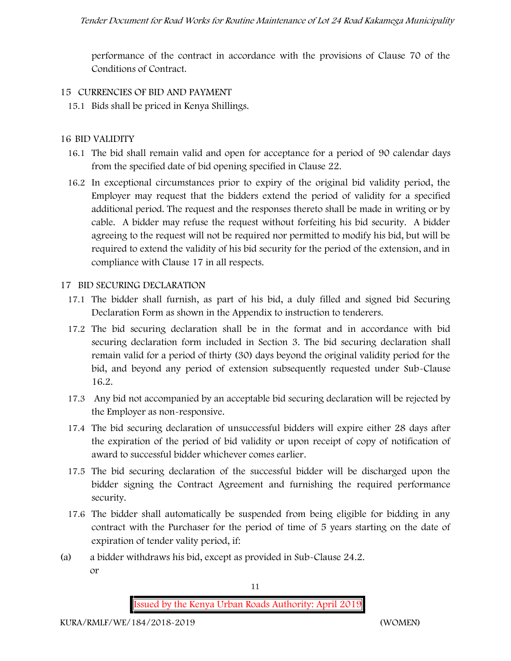performance of the contract in accordance with the provisions of Clause 70 of the Conditions of Contract.

### **15 CURRENCIES OF BID AND PAYMENT**

15.1 Bids shall be priced in Kenya Shillings.

## **16 BID VALIDITY**

- 16.1 The bid shall remain valid and open for acceptance for a period of 90 calendar days from the specified date of bid opening specified in Clause 22.
- 16.2 In exceptional circumstances prior to expiry of the original bid validity period, the Employer may request that the bidders extend the period of validity for a specified additional period. The request and the responses thereto shall be made in writing or by cable. A bidder may refuse the request without forfeiting his bid security. A bidder agreeing to the request will not be required nor permitted to modify his bid, but will be required to extend the validity of his bid security for the period of the extension, and in compliance with Clause 17 in all respects.

#### **17 BID SECURING DECLARATION**

- 17.1 The bidder shall furnish, as part of his bid, a duly filled and signed bid Securing Declaration Form as shown in the Appendix to instruction to tenderers.
- 17.2 The bid securing declaration shall be in the format and in accordance with bid securing declaration form included in Section 3. The bid securing declaration shall remain valid for a period of thirty (30) days beyond the original validity period for the bid, and beyond any period of extension subsequently requested under Sub-Clause 16.2.
- 17.3 Any bid not accompanied by an acceptable bid securing declaration will be rejected by the Employer as non-responsive.
- 17.4 The bid securing declaration of unsuccessful bidders will expire either 28 days after the expiration of the period of bid validity or upon receipt of copy of notification of award to successful bidder whichever comes earlier.
- 17.5 The bid securing declaration of the successful bidder will be discharged upon the bidder signing the Contract Agreement and furnishing the required performance security.
- 17.6 The bidder shall automatically be suspended from being eligible for bidding in any contract with the Purchaser for the period of time of 5 years starting on the date of expiration of tender vality period, if:
- (a) a bidder withdraws his bid, except as provided in Sub-Clause 24.2. or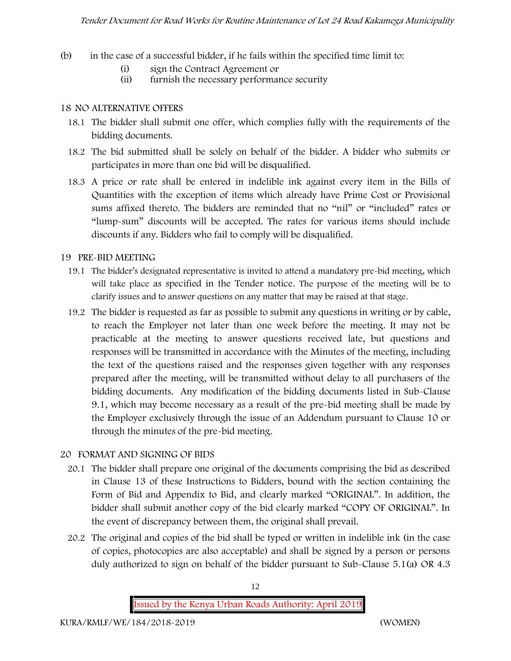- (b) in the case of a successful bidder, if he fails within the specified time limit to:
	- (i) sign the Contract Agreement or
	- (ii) furnish the necessary performance security

#### **18 NO ALTERNATIVE OFFERS**

- 18.1 The bidder shall submit one offer, which complies fully with the requirements of the bidding documents.
- 18.2 The bid submitted shall be solely on behalf of the bidder. A bidder who submits or participates in more than one bid will be disqualified.
- 18.3 A price or rate shall be entered in indelible ink against every item in the Bills of Quantities with the exception of items which already have Prime Cost or Provisional sums affixed thereto. The bidders are reminded that no "nil" or "included" rates or "lump-sum" discounts will be accepted. The rates for various items should include discounts if any. Bidders who fail to comply will be disqualified.

#### **19 PRE-BID MEETING**

- 19.1 The bidder's designated representative is invited to attend a mandatory pre-bid meeting, which will take place as specified in the Tender notice. The purpose of the meeting will be to clarify issues and to answer questions on any matter that may be raised at that stage.
- 19.2 The bidder is requested as far as possible to submit any questions in writing or by cable, to reach the Employer not later than one week before the meeting. It may not be practicable at the meeting to answer questions received late, but questions and responses will be transmitted in accordance with the Minutes of the meeting, including the text of the questions raised and the responses given together with any responses prepared after the meeting, will be transmitted without delay to all purchasers of the bidding documents. Any modification of the bidding documents listed in Sub-Clause 9.1, which may become necessary as a result of the pre-bid meeting shall be made by the Employer exclusively through the issue of an Addendum pursuant to Clause 10 or through the minutes of the pre-bid meeting.

#### **20 FORMAT AND SIGNING OF BIDS**

- 20.1 The bidder shall prepare one original of the documents comprising the bid as described in Clause 13 of these Instructions to Bidders, bound with the section containing the Form of Bid and Appendix to Bid, and clearly marked "ORIGINAL". In addition, the bidder shall submit another copy of the bid clearly marked "COPY OF ORIGINAL". In the event of discrepancy between them, the original shall prevail.
- 20.2 The original and copies of the bid shall be typed or written in indelible ink (in the case of copies, photocopies are also acceptable) and shall be signed by a person or persons duly authorized to sign on behalf of the bidder pursuant to Sub-Clause 5.1(a) OR 4.3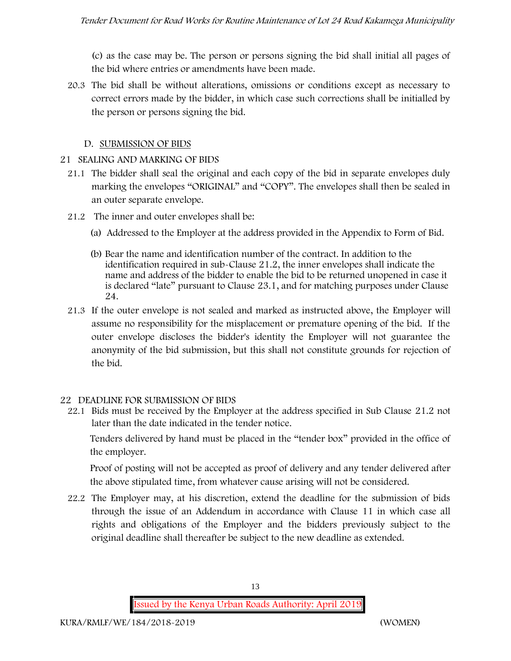(c) as the case may be. The person or persons signing the bid shall initial all pages of the bid where entries or amendments have been made.

20.3 The bid shall be without alterations, omissions or conditions except as necessary to correct errors made by the bidder, in which case such corrections shall be initialled by the person or persons signing the bid.

#### **D. SUBMISSION OF BIDS**

#### **21 SEALING AND MARKING OF BIDS**

- 21.1 The bidder shall seal the original and each copy of the bid in separate envelopes duly marking the envelopes "ORIGINAL" and "COPY". The envelopes shall then be sealed in an outer separate envelope.
- 21.2 The inner and outer envelopes shall be:
	- (a) Addressed to the Employer at the address provided in the Appendix to Form of Bid.
	- (b) Bear the name and identification number of the contract. In addition to the identification required in sub-Clause 21.2, the inner envelopes shall indicate the name and address of the bidder to enable the bid to be returned unopened in case it is declared "late" pursuant to Clause 23.1, and for matching purposes under Clause 24.
- 21.3 If the outer envelope is not sealed and marked as instructed above, the Employer will assume no responsibility for the misplacement or premature opening of the bid. If the outer envelope discloses the bidder's identity the Employer will not guarantee the anonymity of the bid submission, but this shall not constitute grounds for rejection of the bid.

#### **22 DEADLINE FOR SUBMISSION OF BIDS**

22.1 Bids must be received by the Employer at the address specified in Sub Clause 21.2 not later than **the date indicated in the tender notice.**

Tenders delivered by hand must be placed in the "tender box" provided in the office of the employer.

Proof of posting will not be accepted as proof of delivery and any tender delivered after the above stipulated time, from whatever cause arising will not be considered.

22.2 The Employer may, at his discretion, extend the deadline for the submission of bids through the issue of an Addendum in accordance with Clause 11 in which case all rights and obligations of the Employer and the bidders previously subject to the original deadline shall thereafter be subject to the new deadline as extended.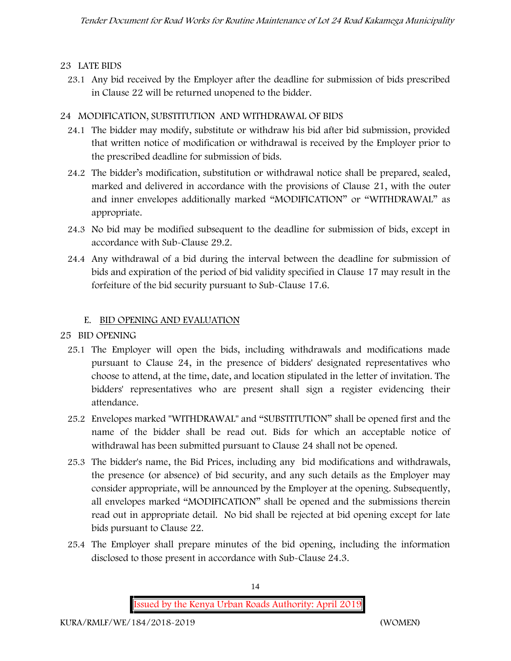#### **23 LATE BIDS**

23.1 Any bid received by the Employer after the deadline for submission of bids prescribed in Clause 22 will be returned unopened to the bidder.

#### **24 MODIFICATION, SUBSTITUTION AND WITHDRAWAL OF BIDS**

- 24.1 The bidder may modify, substitute or withdraw his bid after bid submission, provided that written notice of modification or withdrawal is received by the Employer prior to the prescribed deadline for submission of bids.
- 24.2 The bidder's modification, substitution or withdrawal notice shall be prepared, sealed, marked and delivered in accordance with the provisions of Clause 21, with the outer and inner envelopes additionally marked "MODIFICATION" or "WITHDRAWAL" as appropriate.
- 24.3 No bid may be modified subsequent to the deadline for submission of bids, except in accordance with Sub-Clause 29.2.
- 24.4 Any withdrawal of a bid during the interval between the deadline for submission of bids and expiration of the period of bid validity specified in Clause 17 may result in the forfeiture of the bid security pursuant to Sub-Clause 17.6.

#### **E. BID OPENING AND EVALUATION**

#### **25 BID OPENING**

- 25.1 The Employer will open the bids, including withdrawals and modifications made pursuant to Clause 24, in the presence of bidders' designated representatives who choose to attend, at the time, date, and location stipulated in the letter of invitation. The bidders' representatives who are present shall sign a register evidencing their attendance.
- 25.2 Envelopes marked "WITHDRAWAL" and "SUBSTITUTION" shall be opened first and the name of the bidder shall be read out. Bids for which an acceptable notice of withdrawal has been submitted pursuant to Clause 24 shall not be opened.
- 25.3 The bidder's name, the Bid Prices, including any bid modifications and withdrawals, the presence (or absence) of bid security, and any such details as the Employer may consider appropriate, will be announced by the Employer at the opening. Subsequently, all envelopes marked "MODIFICATION" shall be opened and the submissions therein read out in appropriate detail. No bid shall be rejected at bid opening except for late bids pursuant to Clause 22.
- 25.4 The Employer shall prepare minutes of the bid opening, including the information disclosed to those present in accordance with Sub-Clause 24.3.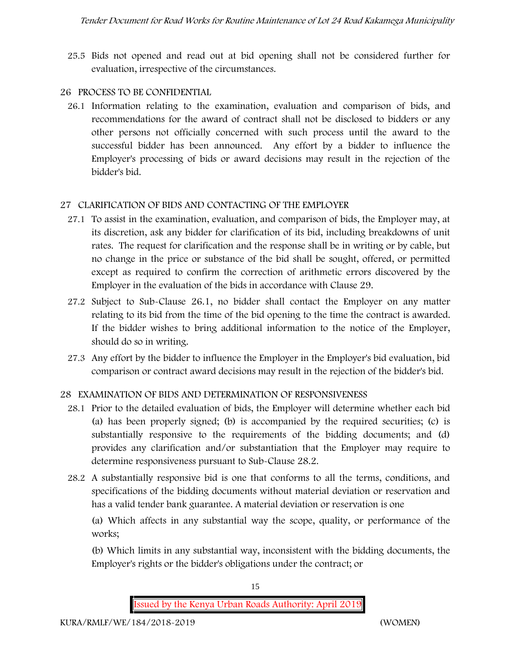25.5 Bids not opened and read out at bid opening shall not be considered further for evaluation, irrespective of the circumstances.

### **26 PROCESS TO BE CONFIDENTIAL**

26.1 Information relating to the examination, evaluation and comparison of bids, and recommendations for the award of contract shall not be disclosed to bidders or any other persons not officially concerned with such process until the award to the successful bidder has been announced. Any effort by a bidder to influence the Employer's processing of bids or award decisions may result in the rejection of the bidder's bid.

## **27 CLARIFICATION OF BIDS AND CONTACTING OF THE EMPLOYER**

- 27.1 To assist in the examination, evaluation, and comparison of bids, the Employer may, at its discretion, ask any bidder for clarification of its bid, including breakdowns of unit rates. The request for clarification and the response shall be in writing or by cable, but no change in the price or substance of the bid shall be sought, offered, or permitted except as required to confirm the correction of arithmetic errors discovered by the Employer in the evaluation of the bids in accordance with Clause 29.
- 27.2 Subject to Sub-Clause 26.1, no bidder shall contact the Employer on any matter relating to its bid from the time of the bid opening to the time the contract is awarded. If the bidder wishes to bring additional information to the notice of the Employer, should do so in writing.
- 27.3 Any effort by the bidder to influence the Employer in the Employer's bid evaluation, bid comparison or contract award decisions may result in the rejection of the bidder's bid.

# **28 EXAMINATION OF BIDS AND DETERMINATION OF RESPONSIVENESS**

- 28.1 Prior to the detailed evaluation of bids, the Employer will determine whether each bid (a) has been properly signed; (b) is accompanied by the required securities; (c) is substantially responsive to the requirements of the bidding documents; and (d) provides any clarification and/or substantiation that the Employer may require to determine responsiveness pursuant to Sub-Clause 28.2.
- 28.2 A substantially responsive bid is one that conforms to all the terms, conditions, and specifications of the bidding documents without material deviation or reservation and has a valid tender bank guarantee. A material deviation or reservation is one

(a) Which affects in any substantial way the scope, quality, or performance of the works;

(b) Which limits in any substantial way, inconsistent with the bidding documents, the Employer's rights or the bidder's obligations under the contract; or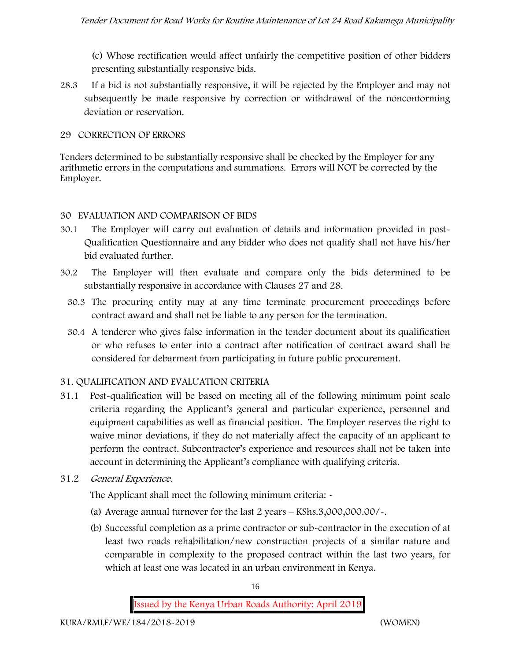(c) Whose rectification would affect unfairly the competitive position of other bidders presenting substantially responsive bids.

28.3 If a bid is not substantially responsive, it will be rejected by the Employer and may not subsequently be made responsive by correction or withdrawal of the nonconforming deviation or reservation.

#### **29 CORRECTION OF ERRORS**

Tenders determined to be substantially responsive shall be checked by the Employer for any arithmetic errors in the computations and summations. Errors will NOT be corrected by the Employer.

#### **30 EVALUATION AND COMPARISON OF BIDS**

- 30.1 The Employer will carry out evaluation of details and information provided in post- Qualification Questionnaire and any bidder who does not qualify shall not have his/her bid evaluated further.
- 30.2 The Employer will then evaluate and compare only the bids determined to be substantially responsive in accordance with Clauses 27 and 28.
	- 30.3 The procuring entity may at any time terminate procurement proceedings before contract award and shall not be liable to any person for the termination.
	- 30.4 A tenderer who gives false information in the tender document about its qualification or who refuses to enter into a contract after notification of contract award shall be considered for debarment from participating in future public procurement.

#### **31. QUALIFICATION AND EVALUATION CRITERIA**

- 31.1 Post-qualification will be based on meeting all of the following minimum point scale criteria regarding the Applicant's general and particular experience, personnel and equipment capabilities as well as financial position. The Employer reserves the right to waive minor deviations, if they do not materially affect the capacity of an applicant to perform the contract. Subcontractor's experience and resources shall not be taken into account in determining the Applicant's compliance with qualifying criteria.
- **31.2** *General Experience***.**

The Applicant shall meet the following minimum criteria: -

- (a) Average annual turnover for the last 2 years **KShs.3,000,000.00/-.**
- (b) Successful completion as a prime contractor or sub-contractor in the execution of at least two roads rehabilitation/new construction projects of a similar nature and comparable in complexity to the proposed contract within the last two years, for which at least one was located in an urban environment in Kenya.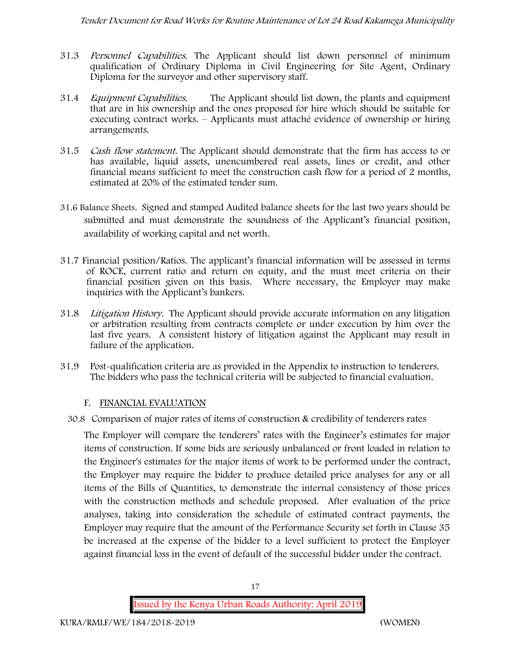- 31.3 *Personnel Capabilities***.** The Applicant should list down personnel of minimum qualification of Ordinary Diploma in Civil Engineering for Site Agent, Ordinary Diploma for the surveyor and other supervisory staff.
- 31.4 *Equipment Capabilities.* The Applicant should list down, the plants and equipment that are in his ownership and the ones proposed for hire which should be suitable for executing contract works. – Applicants must attaché evidence of ownership or hiring arrangements.
- 31.5 *Cash flow statement.* The Applicant should demonstrate that the firm has access to or has available, liquid assets, unencumbered real assets, lines or credit, and other financial means sufficient to meet the construction cash flow for a period of 2 months, estimated at 20% of the estimated tender sum.
- **31.6 Balance Sheets***.* Signed and stamped Audited balance sheets for the last two years should be submitted and must demonstrate the soundness of the Applicant's financial position, availability of working capital and net worth.
- **31.7 Financial position/Ratios.** The applicant's financial information will be assessed in terms of ROCE, current ratio and return on equity, and the must meet criteria on their financial position given on this basis. Where necessary, the Employer may make inquiries with the Applicant's bankers.
- 31.8 *Litigation History.* The Applicant should provide accurate information on any litigation or arbitration resulting from contracts complete or under execution by him over the last five years. A consistent history of litigation against the Applicant may result in failure of the application.
- 31.9 Post-qualification criteria are as provided in the Appendix to instruction to tenderers. The bidders who pass the technical criteria will be subjected to financial evaluation.

#### **F. FINANCIAL EVALUATION**

30.8 Comparison of major rates of items of construction & credibility of tenderers rates

The Employer will compare the tenderers' rates with the Engineer's estimates for major items of construction. If some bids are seriously unbalanced or front loaded in relation to the Engineer's estimates for the major items of work to be performed under the contract, the Employer may require the bidder to produce detailed price analyses for any or all items of the Bills of Quantities, to demonstrate the internal consistency of those prices with the construction methods and schedule proposed. After evaluation of the price analyses, taking into consideration the schedule of estimated contract payments, the Employer may require that the amount of the Performance Security set forth in Clause 35 be increased at the expense of the bidder to a level sufficient to protect the Employer against financial loss in the event of default of the successful bidder under the contract.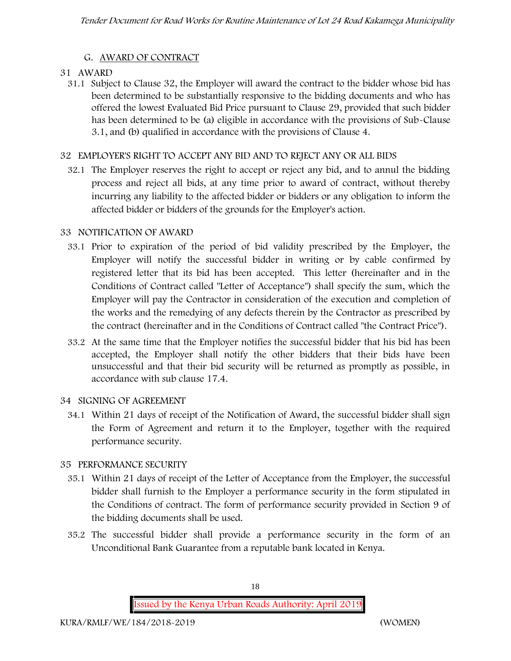## **G. AWARD OF CONTRACT**

#### **31 AWARD**

31.1 Subject to Clause 32, the Employer will award the contract to the bidder whose bid has been determined to be substantially responsive to the bidding documents and who has offered the lowest Evaluated Bid Price pursuant to Clause 29, provided that such bidder has been determined to be (a) eligible in accordance with the provisions of Sub-Clause 3.1, and (b) qualified in accordance with the provisions of Clause 4.

#### **32 EMPLOYER'S RIGHT TO ACCEPT ANY BID AND TO REJECT ANY OR ALL BIDS**

32.1 The Employer reserves the right to accept or reject any bid, and to annul the bidding process and reject all bids, at any time prior to award of contract, without thereby incurring any liability to the affected bidder or bidders or any obligation to inform the affected bidder or bidders of the grounds for the Employer's action.

#### **33 NOTIFICATION OF AWARD**

- 33.1 Prior to expiration of the period of bid validity prescribed by the Employer, the Employer will notify the successful bidder in writing or by cable confirmed by registered letter that its bid has been accepted. This letter (hereinafter and in the Conditions of Contract called "Letter of Acceptance") shall specify the sum, which the Employer will pay the Contractor in consideration of the execution and completion of the works and the remedying of any defects therein by the Contractor as prescribed by the contract (hereinafter and in the Conditions of Contract called "the Contract Price").
- 33.2 At the same time that the Employer notifies the successful bidder that his bid has been accepted, the Employer shall notify the other bidders that their bids have been unsuccessful and that their bid security will be returned as promptly as possible, in accordance with sub clause 17.4.

#### **34 SIGNING OF AGREEMENT**

34.1 Within 21 days of receipt of the Notification of Award, the successful bidder shall sign the Form of Agreement and return it to the Employer, together with the required performance security.

#### **35 PERFORMANCE SECURITY**

- 35.1 Within 21 days of receipt of the Letter of Acceptance from the Employer, the successful bidder shall furnish to the Employer a performance security in the form stipulated in the Conditions of contract. The form of performance security provided in Section 9 of the bidding documents shall be used.
- 35.2 The successful bidder shall provide a performance security in the form of an Unconditional Bank Guarantee from a reputable bank located in Kenya.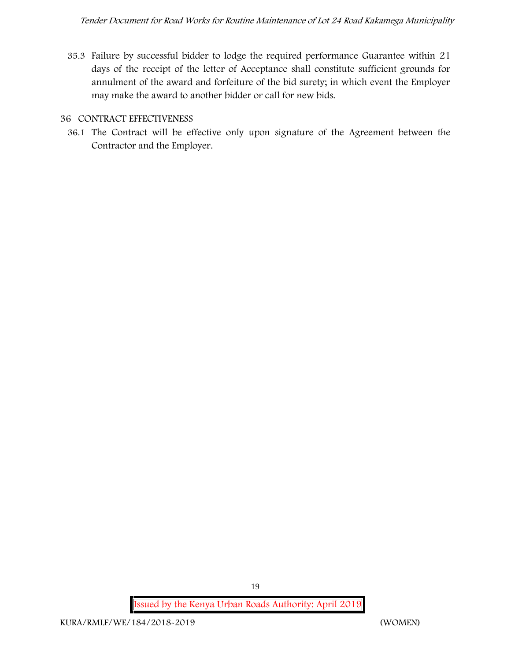35.3 Failure by successful bidder to lodge the required performance Guarantee within 21 days of the receipt of the letter of Acceptance shall constitute sufficient grounds for annulment of the award and forfeiture of the bid surety; in which event the Employer may make the award to another bidder or call for new bids.

#### **36 CONTRACT EFFECTIVENESS**

36.1 The Contract will be effective only upon signature of the Agreement between the Contractor and the Employer.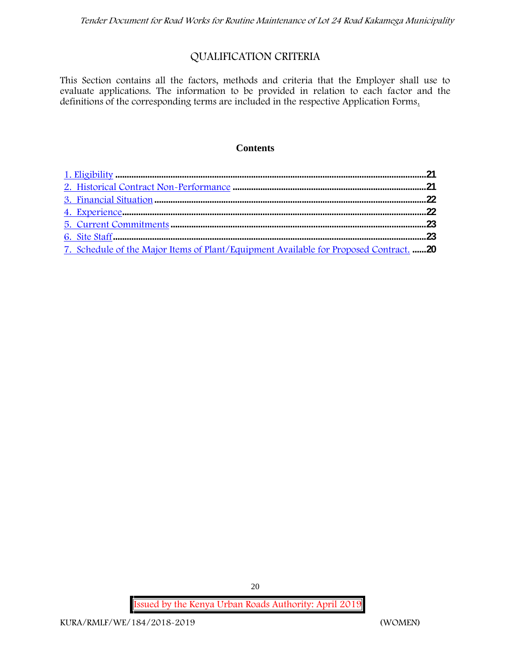# **QUALIFICATION CRITERIA**

This Section contains all the factors, methods and criteria that the Employer shall use to evaluate applications. The information to be provided in relation to each factor and the definitions of the corresponding terms are included in the respective Application Forms.

#### **Contents**

| 7. Schedule of the Major Items of Plant/Equipment Available for Proposed Contract. 20 |  |
|---------------------------------------------------------------------------------------|--|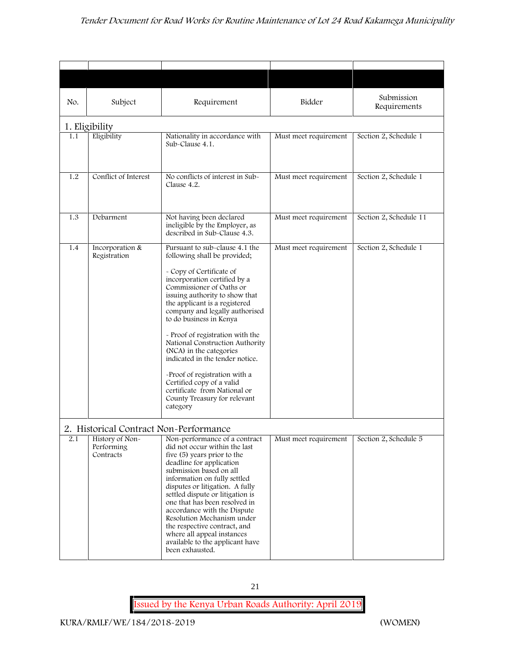| No. | Subject                                                                              | Requirement                                                                                                                                                                                                                                                                                                                                                                                                                                                                                                                                                           | Bidder                | Submission<br>Requirements |
|-----|--------------------------------------------------------------------------------------|-----------------------------------------------------------------------------------------------------------------------------------------------------------------------------------------------------------------------------------------------------------------------------------------------------------------------------------------------------------------------------------------------------------------------------------------------------------------------------------------------------------------------------------------------------------------------|-----------------------|----------------------------|
|     | 1. Eligibility                                                                       |                                                                                                                                                                                                                                                                                                                                                                                                                                                                                                                                                                       |                       |                            |
| 1.1 | Eligibility                                                                          | Nationality in accordance with<br>Sub-Clause 4.1.                                                                                                                                                                                                                                                                                                                                                                                                                                                                                                                     | Must meet requirement | Section 2, Schedule 1      |
| 1.2 | Conflict of Interest                                                                 | No conflicts of interest in Sub-<br>Clause 4.2.                                                                                                                                                                                                                                                                                                                                                                                                                                                                                                                       | Must meet requirement | Section 2, Schedule 1      |
| 1.3 | Debarment                                                                            | Not having been declared<br>ineligible by the Employer, as<br>described in Sub-Clause 4.3.                                                                                                                                                                                                                                                                                                                                                                                                                                                                            | Must meet requirement | Section 2, Schedule 11     |
| 1.4 | Incorporation &<br>Registration                                                      | Pursuant to sub-clause 4.1 the<br>following shall be provided;<br>- Copy of Certificate of<br>incorporation certified by a<br>Commissioner of Oaths or<br>issuing authority to show that<br>the applicant is a registered<br>company and legally authorised<br>to do business in Kenya<br>- Proof of registration with the<br>National Construction Authority<br>(NCA) in the categories<br>indicated in the tender notice.<br>-Proof of registration with a<br>Certified copy of a valid<br>certificate from National or<br>County Treasury for relevant<br>category | Must meet requirement | Section 2, Schedule 1      |
| 2.1 | 2. Historical Contract Non-Performance<br>History of Non-<br>Performing<br>Contracts | Non-performance of a contract<br>did not occur within the last<br>five (5) years prior to the<br>deadline for application<br>submission based on all<br>information on fully settled<br>disputes or litigation. A fully<br>settled dispute or litigation is<br>one that has been resolved in<br>accordance with the Dispute<br>Resolution Mechanism under<br>the respective contract, and<br>where all appeal instances<br>available to the applicant have<br>been exhausted.                                                                                         | Must meet requirement | Section 2, Schedule 5      |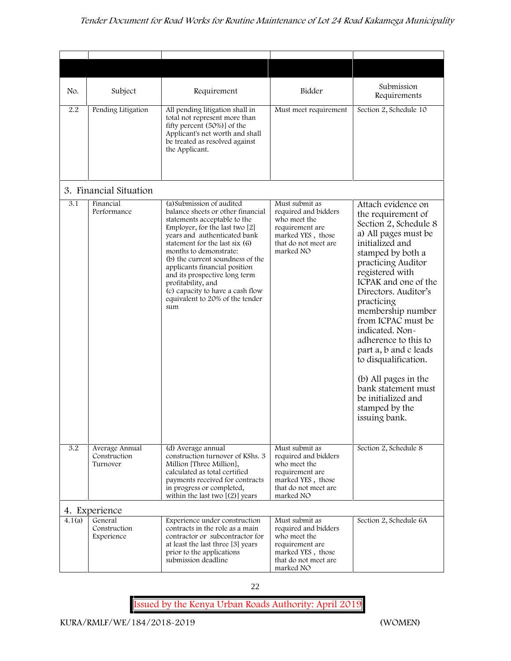| No.    | Subject                                    | Requirement                                                                                                                                                                                                                                                                                                                                                                                                                            | Bidder                                                                                                                              | Submission<br>Requirements                                                                                                                                                                                                                                                                                                                                                                                                                                                              |
|--------|--------------------------------------------|----------------------------------------------------------------------------------------------------------------------------------------------------------------------------------------------------------------------------------------------------------------------------------------------------------------------------------------------------------------------------------------------------------------------------------------|-------------------------------------------------------------------------------------------------------------------------------------|-----------------------------------------------------------------------------------------------------------------------------------------------------------------------------------------------------------------------------------------------------------------------------------------------------------------------------------------------------------------------------------------------------------------------------------------------------------------------------------------|
| 2.2    | Pending Litigation                         | All pending litigation shall in<br>total not represent more than<br>fifty percent (50%)] of the<br>Applicant's net worth and shall<br>be treated as resolved against<br>the Applicant.                                                                                                                                                                                                                                                 | Must meet requirement                                                                                                               | Section 2, Schedule 10                                                                                                                                                                                                                                                                                                                                                                                                                                                                  |
|        | 3. Financial Situation                     |                                                                                                                                                                                                                                                                                                                                                                                                                                        |                                                                                                                                     |                                                                                                                                                                                                                                                                                                                                                                                                                                                                                         |
| 3.1    | Financial<br>Performance                   | (a) Submission of audited<br>balance sheets or other financial<br>statements acceptable to the<br>Employer, for the last two [2]<br>years and authenticated bank<br>statement for the last six (6)<br>months to demonstrate:<br>(b) the current soundness of the<br>applicants financial position<br>and its prospective long term<br>profitability, and<br>(c) capacity to have a cash flow<br>equivalent to 20% of the tender<br>sum | Must submit as<br>required and bidders<br>who meet the<br>requirement are<br>marked YES, those<br>that do not meet are<br>marked NO | Attach evidence on<br>the requirement of<br>Section 2, Schedule 8<br>a) All pages must be<br>initialized and<br>stamped by both a<br>practicing Auditor<br>registered with<br>ICPAK and one of the<br>Directors. Auditor's<br>practicing<br>membership number<br>from ICPAC must be<br>indicated. Non-<br>adherence to this to<br>part a, b and c leads<br>to disqualification.<br>(b) All pages in the<br>bank statement must<br>be initialized and<br>stamped by the<br>issuing bank. |
| 3.2    | Average Annual<br>Construction<br>Turnover | (d) Average annual<br>construction turnover of KShs. 3<br>Million [Three Million],<br>calculated as total certified<br>payments received for contracts<br>in progress or completed,<br>within the last two $[(2)]$ years                                                                                                                                                                                                               | Must submit as<br>required and bidders<br>who meet the<br>requirement are<br>marked YES, those<br>that do not meet are<br>marked NO | Section 2, Schedule 8                                                                                                                                                                                                                                                                                                                                                                                                                                                                   |
|        | 4. Experience                              |                                                                                                                                                                                                                                                                                                                                                                                                                                        |                                                                                                                                     |                                                                                                                                                                                                                                                                                                                                                                                                                                                                                         |
| 4.1(a) | General<br>Construction<br>Experience      | Experience under construction<br>contracts in the role as a main<br>contractor or subcontractor for<br>at least the last three [3] years<br>prior to the applications<br>submission deadline                                                                                                                                                                                                                                           | Must submit as<br>required and bidders<br>who meet the<br>requirement are<br>marked YES, those<br>that do not meet are<br>marked NO | Section 2, Schedule 6A                                                                                                                                                                                                                                                                                                                                                                                                                                                                  |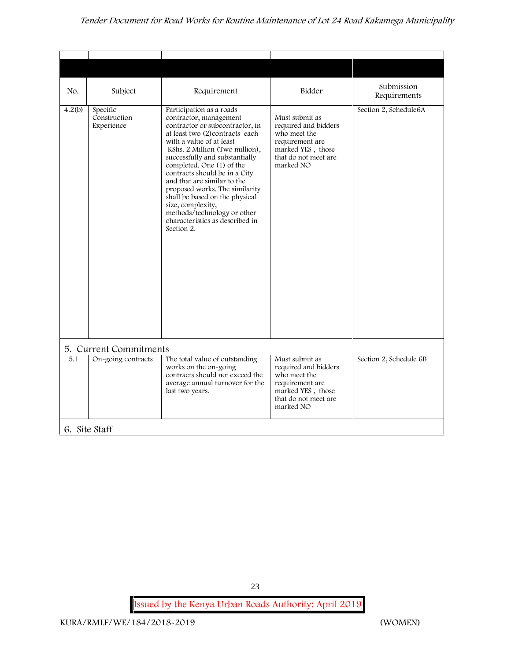## *Tender Document for Road Works for Routine Maintenance of Lot 24 Road Kakamega Municipality*

| No.    | Subject                                | Requirement                                                                                                                                                                                                                                                                                                                                                                                                                                                                                   | Bidder                                                                                                                              | Submission<br>Requirements |
|--------|----------------------------------------|-----------------------------------------------------------------------------------------------------------------------------------------------------------------------------------------------------------------------------------------------------------------------------------------------------------------------------------------------------------------------------------------------------------------------------------------------------------------------------------------------|-------------------------------------------------------------------------------------------------------------------------------------|----------------------------|
| 4.2(b) | Specific<br>Construction<br>Experience | Participation as a roads<br>contractor, management<br>contractor or subcontractor, in<br>at least two (2)contracts each<br>with a value of at least<br>KShs. 2 Million (Two million),<br>successfully and substantially<br>completed. One (1) of the<br>contracts should be in a City<br>and that are similar to the<br>proposed works. The similarity<br>shall be based on the physical<br>size, complexity,<br>methods/technology or other<br>characteristics as described in<br>Section 2. | Must submit as<br>required and bidders<br>who meet the<br>requirement are<br>marked YES, those<br>that do not meet are<br>marked NO | Section 2, Schedule6A      |
|        | 5. Current Commitments                 |                                                                                                                                                                                                                                                                                                                                                                                                                                                                                               |                                                                                                                                     |                            |
| 5.1    | On-going contracts                     | The total value of outstanding<br>works on the on-going<br>contracts should not exceed the<br>average annual turnover for the<br>last two years.                                                                                                                                                                                                                                                                                                                                              | Must submit as<br>required and bidders<br>who meet the<br>requirement are<br>marked YES, those<br>that do not meet are<br>marked NO | Section 2, Schedule 6B     |

23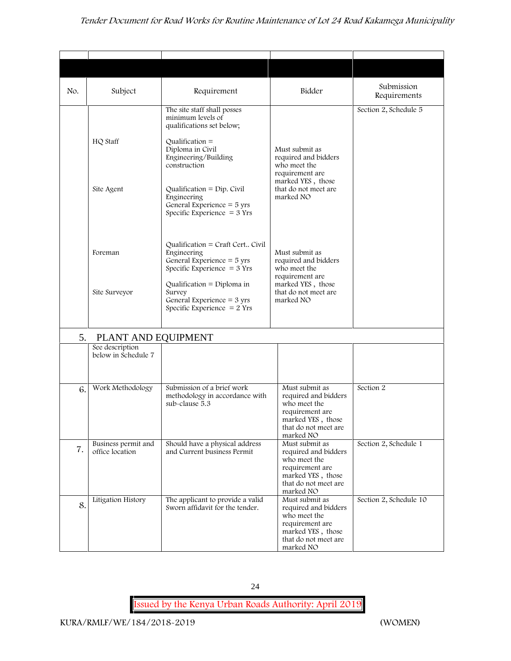## *Tender Document for Road Works for Routine Maintenance of Lot 24 Road Kakamega Municipality*

| No. | Subject                                | Requirement                                                                                                                                                    | Bidder                                                                                                                              | Submission<br>Requirements |
|-----|----------------------------------------|----------------------------------------------------------------------------------------------------------------------------------------------------------------|-------------------------------------------------------------------------------------------------------------------------------------|----------------------------|
|     | HQ Staff                               | The site staff shall posses<br>minimum levels of<br>qualifications set below;<br>Qualification $=$<br>Diploma in Civil<br>Engineering/Building<br>construction | Must submit as<br>required and bidders<br>who meet the                                                                              | Section 2, Schedule 5      |
|     | Site Agent                             | Qualification = Dip. Civil<br>Engineering<br>General Experience $=$ 5 yrs<br>Specific Experience $=$ 3 Yrs                                                     | requirement are<br>marked YES, those<br>that do not meet are<br>marked NO                                                           |                            |
|     | Foreman                                | Qualification = Craft Cert Civil<br>Engineering<br>General Experience $=$ 5 yrs<br>Specific Experience $=$ 3 Yrs                                               | Must submit as<br>required and bidders<br>who meet the<br>requirement are                                                           |                            |
|     | Site Surveyor                          | Qualification = Diploma in<br>Survey<br>General Experience = $3 \text{ yrs}$<br>Specific Experience $= 2$ Yrs                                                  | marked YES, those<br>that do not meet are<br>marked NO                                                                              |                            |
| 5.  | PLANT AND EQUIPMENT                    |                                                                                                                                                                |                                                                                                                                     |                            |
|     | See description<br>below in Schedule 7 |                                                                                                                                                                |                                                                                                                                     |                            |
| 6.  | Work Methodology                       | Submission of a brief work<br>methodology in accordance with<br>sub-clause 5.3                                                                                 | Must submit as<br>required and bidders<br>who meet the<br>requirement are<br>marked YES, those<br>that do not meet are<br>marked NO | Section 2                  |
| 7.  | Business permit and<br>office location | Should have a physical address<br>and Current business Permit                                                                                                  | Must submit as<br>required and bidders<br>who meet the<br>requirement are<br>marked YES, those<br>that do not meet are<br>marked NO | Section 2, Schedule 1      |
| 8.  | Litigation History                     | The applicant to provide a valid<br>Sworn affidavit for the tender.                                                                                            | Must submit as<br>required and bidders<br>who meet the<br>requirement are<br>marked YES, those<br>that do not meet are<br>marked NO | Section 2, Schedule 10     |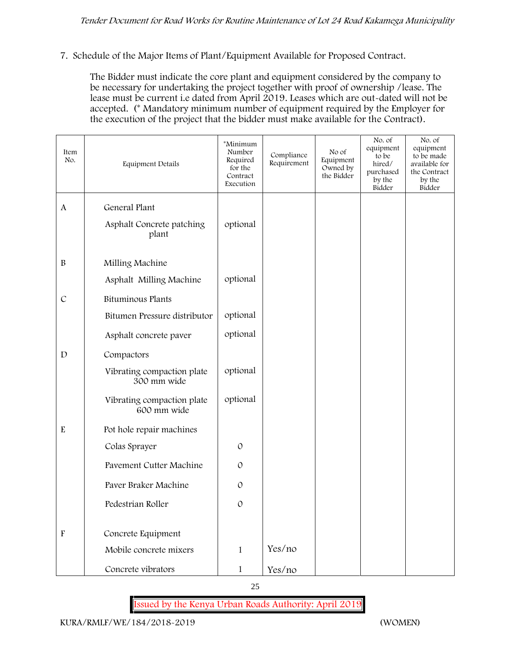**7. Schedule of the Major Items of Plant/Equipment Available for Proposed Contract.**

The Bidder must indicate the core plant and equipment considered by the company to be necessary for undertaking the project together with proof of ownership /lease. The lease must be current i.e dated from April 2019. Leases which are out-dated will not be accepted. (\* Mandatory minimum number of equipment required by the Employer for the execution of the project that the bidder must make available for the Contract).

| Item<br>No.               | Equipment Details                         | *Minimum<br>Number<br>Required<br>for the<br>Contract<br>Execution | Compliance<br>Requirement | No of<br>Equipment<br>Owned by<br>the Bidder | No. of<br>equipment<br>to be<br>hired/<br>purchased<br>by the<br>Bidder | No. of<br>equipment<br>to be made<br>available for<br>the Contract<br>by the<br>Bidder |
|---------------------------|-------------------------------------------|--------------------------------------------------------------------|---------------------------|----------------------------------------------|-------------------------------------------------------------------------|----------------------------------------------------------------------------------------|
| A                         | General Plant                             |                                                                    |                           |                                              |                                                                         |                                                                                        |
|                           | Asphalt Concrete patching<br>plant        | optional                                                           |                           |                                              |                                                                         |                                                                                        |
| $\, {\bf B}$              | Milling Machine                           |                                                                    |                           |                                              |                                                                         |                                                                                        |
|                           | Asphalt Milling Machine                   | optional                                                           |                           |                                              |                                                                         |                                                                                        |
| $\mathcal{C}$             | <b>Bituminous Plants</b>                  |                                                                    |                           |                                              |                                                                         |                                                                                        |
|                           | Bitumen Pressure distributor              | optional                                                           |                           |                                              |                                                                         |                                                                                        |
|                           | Asphalt concrete paver                    | optional                                                           |                           |                                              |                                                                         |                                                                                        |
| $\mathbf D$               | Compactors                                |                                                                    |                           |                                              |                                                                         |                                                                                        |
|                           | Vibrating compaction plate<br>300 mm wide | optional                                                           |                           |                                              |                                                                         |                                                                                        |
|                           | Vibrating compaction plate<br>600 mm wide | optional                                                           |                           |                                              |                                                                         |                                                                                        |
| $\mathbf E$               | Pot hole repair machines                  |                                                                    |                           |                                              |                                                                         |                                                                                        |
|                           | Colas Sprayer                             | $\mathcal{O}$                                                      |                           |                                              |                                                                         |                                                                                        |
|                           | Pavement Cutter Machine                   | $\mathcal{O}$                                                      |                           |                                              |                                                                         |                                                                                        |
|                           | Paver Braker Machine                      | $\mathcal{O}$                                                      |                           |                                              |                                                                         |                                                                                        |
|                           | Pedestrian Roller                         | $\mathcal{O}$                                                      |                           |                                              |                                                                         |                                                                                        |
| $\boldsymbol{\mathrm{F}}$ | Concrete Equipment                        |                                                                    |                           |                                              |                                                                         |                                                                                        |
|                           | Mobile concrete mixers                    | $\mathbf{1}$                                                       | Yes/no                    |                                              |                                                                         |                                                                                        |
|                           | Concrete vibrators                        | $\mathbf 1$                                                        | Yes/no                    |                                              |                                                                         |                                                                                        |

25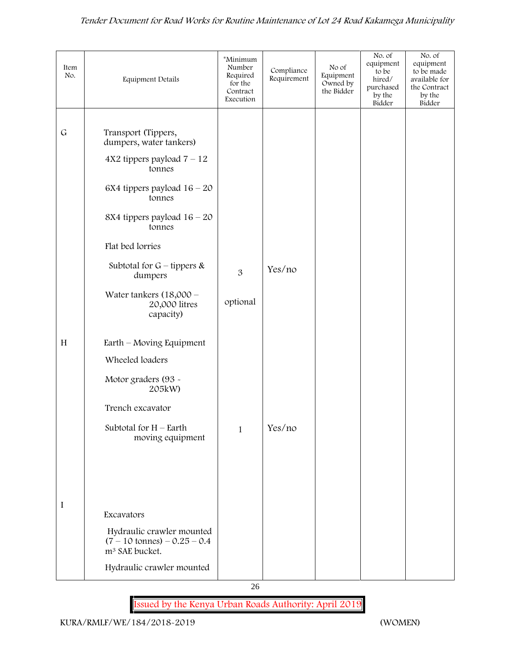| Item<br>No. | Equipment Details                                                                                 | *Minimum<br>Number<br>Required<br>for the<br>Contract<br>Execution | Compliance<br>Requirement | No of<br>Equipment<br>Owned by<br>the Bidder | No. of<br>equipment<br>to be<br>hired/<br>purchased<br>by the<br>Bidder | No. of<br>equipment<br>to be made<br>available for<br>the Contract<br>by the<br>Bidder |
|-------------|---------------------------------------------------------------------------------------------------|--------------------------------------------------------------------|---------------------------|----------------------------------------------|-------------------------------------------------------------------------|----------------------------------------------------------------------------------------|
|             |                                                                                                   |                                                                    |                           |                                              |                                                                         |                                                                                        |
| $\mathsf G$ | Transport (Tippers,<br>dumpers, water tankers)                                                    |                                                                    |                           |                                              |                                                                         |                                                                                        |
|             | $4X2$ tippers payload $7 - 12$<br>tonnes                                                          |                                                                    |                           |                                              |                                                                         |                                                                                        |
|             | 6X4 tippers payload $16 - 20$<br>tonnes                                                           |                                                                    |                           |                                              |                                                                         |                                                                                        |
|             | 8X4 tippers payload $16 - 20$<br>tonnes                                                           |                                                                    |                           |                                              |                                                                         |                                                                                        |
|             | Flat bed lorries                                                                                  |                                                                    |                           |                                              |                                                                         |                                                                                        |
|             | Subtotal for $G$ – tippers &<br>dumpers                                                           | $\overline{3}$                                                     | Yes/no                    |                                              |                                                                         |                                                                                        |
|             | Water tankers $(18,000 -$<br>20,000 litres<br>capacity)                                           | optional                                                           |                           |                                              |                                                                         |                                                                                        |
| H           | Earth – Moving Equipment                                                                          |                                                                    |                           |                                              |                                                                         |                                                                                        |
|             | Wheeled loaders                                                                                   |                                                                    |                           |                                              |                                                                         |                                                                                        |
|             | Motor graders (93 -<br>205kW)                                                                     |                                                                    |                           |                                              |                                                                         |                                                                                        |
|             | Trench excavator                                                                                  |                                                                    |                           |                                              |                                                                         |                                                                                        |
|             | Subtotal for $H$ – Earth<br>moving equipment                                                      | $\mathbf{1}$                                                       | Yes/no                    |                                              |                                                                         |                                                                                        |
|             |                                                                                                   |                                                                    |                           |                                              |                                                                         |                                                                                        |
|             |                                                                                                   |                                                                    |                           |                                              |                                                                         |                                                                                        |
|             |                                                                                                   |                                                                    |                           |                                              |                                                                         |                                                                                        |
| I           | Excavators                                                                                        |                                                                    |                           |                                              |                                                                         |                                                                                        |
|             | Hydraulic crawler mounted<br>$(7 - 10 \text{ tonnes}) - 0.25 - 0.4$<br>m <sup>3</sup> SAE bucket. |                                                                    |                           |                                              |                                                                         |                                                                                        |
|             | Hydraulic crawler mounted                                                                         |                                                                    |                           |                                              |                                                                         |                                                                                        |

**Issued by the Kenya Urban Roads Authority: April 2019**

26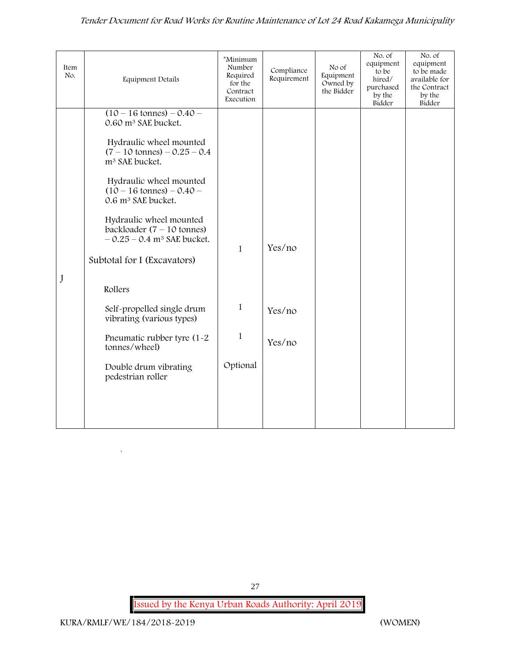| Item<br>No. | <b>Equipment Details</b>                                                                            | *Minimum<br>Number<br>Required<br>for the<br>Contract<br>Execution | Compliance<br>Requirement | No of<br>Equipment<br>Owned by<br>the Bidder | No. of<br>equipment<br>to be<br>hired/<br>purchased<br>by the<br>Bidder | No. of<br>equipment<br>to be made<br>available for<br>the Contract<br>by the<br>Bidder |
|-------------|-----------------------------------------------------------------------------------------------------|--------------------------------------------------------------------|---------------------------|----------------------------------------------|-------------------------------------------------------------------------|----------------------------------------------------------------------------------------|
|             | $(10 - 16 \text{ tonnes}) - 0.40 -$<br>0.60 m <sup>3</sup> SAE bucket.                              |                                                                    |                           |                                              |                                                                         |                                                                                        |
|             | Hydraulic wheel mounted<br>$(7 - 10 \text{ tonnes}) - 0.25 - 0.4$<br>m <sup>3</sup> SAE bucket.     |                                                                    |                           |                                              |                                                                         |                                                                                        |
|             | Hydraulic wheel mounted<br>$(10 - 16 \text{ tonnes}) - 0.40 -$<br>0.6 m <sup>3</sup> SAE bucket.    |                                                                    |                           |                                              |                                                                         |                                                                                        |
|             | Hydraulic wheel mounted<br>backloader $(7 - 10$ tonnes)<br>$-0.25 - 0.4$ m <sup>3</sup> SAE bucket. | $\mathbf{1}$                                                       | Yes/no                    |                                              |                                                                         |                                                                                        |
|             | Subtotal for I (Excavators)                                                                         |                                                                    |                           |                                              |                                                                         |                                                                                        |
| J           | Rollers                                                                                             |                                                                    |                           |                                              |                                                                         |                                                                                        |
|             | Self-propelled single drum<br>vibrating (various types)                                             | $\mathbf{1}$                                                       | Yes/no                    |                                              |                                                                         |                                                                                        |
|             | Pneumatic rubber tyre (1-2<br>tonnes/wheel)                                                         | $\mathbf{1}$                                                       | Yes/no                    |                                              |                                                                         |                                                                                        |
|             | Double drum vibrating<br>pedestrian roller                                                          | Optional                                                           |                           |                                              |                                                                         |                                                                                        |
|             |                                                                                                     |                                                                    |                           |                                              |                                                                         |                                                                                        |
|             |                                                                                                     |                                                                    |                           |                                              |                                                                         |                                                                                        |

 $\overline{\phantom{a}}$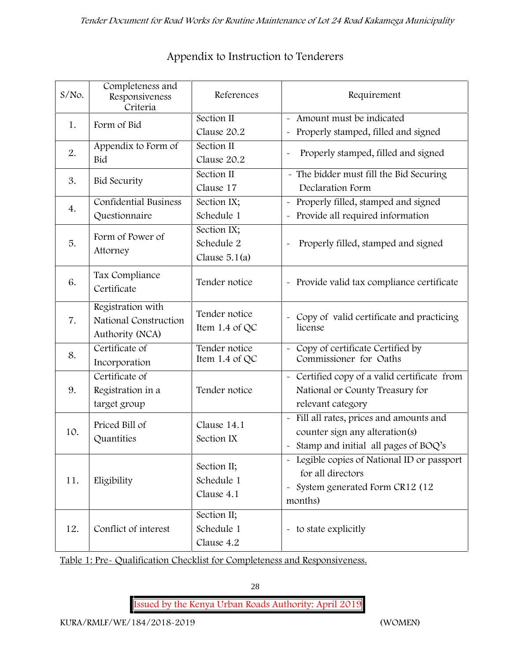| $S/NO$ . | Completeness and<br>Responsiveness<br>Criteria                | References                                   | Requirement                                                                                                                                             |
|----------|---------------------------------------------------------------|----------------------------------------------|---------------------------------------------------------------------------------------------------------------------------------------------------------|
| 1.       | Form of Bid                                                   | Section II<br>Clause 20.2                    | Amount must be indicated<br>$\tilde{\phantom{a}}$<br>Properly stamped, filled and signed<br>$\tilde{\phantom{a}}$                                       |
| 2.       | Appendix to Form of<br>Bid                                    | Section II<br>Clause 20.2                    | Properly stamped, filled and signed                                                                                                                     |
| 3.       | <b>Bid Security</b>                                           | Section II<br>Clause 17                      | - The bidder must fill the Bid Securing<br>Declaration Form                                                                                             |
| 4.       | <b>Confidential Business</b><br>Questionnaire                 | Section IX;<br>Schedule 1                    | Properly filled, stamped and signed<br>$\tilde{\phantom{a}}$<br>Provide all required information<br>$\tilde{\phantom{a}}$                               |
| 5.       | Form of Power of<br>Attorney                                  | Section IX;<br>Schedule 2<br>Clause $5.1(a)$ | Properly filled, stamped and signed                                                                                                                     |
| 6.       | Tax Compliance<br>Certificate                                 | Tender notice                                | - Provide valid tax compliance certificate                                                                                                              |
| 7.       | Registration with<br>National Construction<br>Authority (NCA) | Tender notice<br>Item 1.4 of $QC$            | - Copy of valid certificate and practicing<br>license                                                                                                   |
| 8.       | Certificate of<br>Incorporation                               | Tender notice<br>Item 1.4 of QC              | Copy of certificate Certified by<br>Commissioner for Oaths                                                                                              |
| 9.       | Certificate of<br>Registration in a<br>target group           | Tender notice                                | - Certified copy of a valid certificate from<br>National or County Treasury for<br>relevant category                                                    |
| 10.      | Priced Bill of<br>Quantities                                  | Clause 14.1<br>Section IX                    | Fill all rates, prices and amounts and<br>$\tilde{\phantom{a}}$<br>counter sign any alteration(s)<br>Stamp and initial all pages of BOQ's<br>$\tilde{}$ |
| 11.      | Eligibility                                                   | Section II;<br>Schedule 1<br>Clause 4.1      | - Legible copies of National ID or passport<br>for all directors<br>System generated Form CR12 (12<br>$\widetilde{\phantom{m}}$<br>months)              |
| 12.      | Conflict of interest                                          | Section II;<br>Schedule 1<br>Clause 4.2      | - to state explicitly                                                                                                                                   |

# **Appendix to Instruction to Tenderers**

**Table 1: Pre- Qualification Checklist for Completeness and Responsiveness.**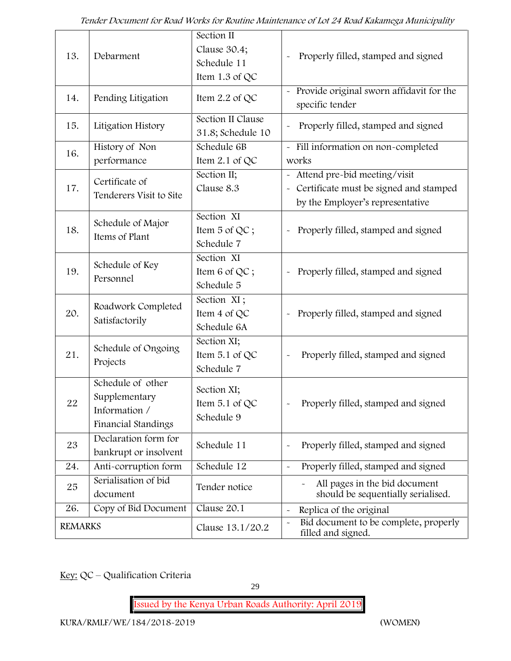| 13.            | Debarment                                                                  | Section II<br>Clause 30.4;<br>Schedule 11<br>Item $1.3$ of QC | Properly filled, stamped and signed                                                                          |
|----------------|----------------------------------------------------------------------------|---------------------------------------------------------------|--------------------------------------------------------------------------------------------------------------|
| 14.            | Pending Litigation                                                         | Item 2.2 of QC                                                | Provide original sworn affidavit for the<br>specific tender                                                  |
| 15.            | Litigation History                                                         | Section II Clause<br>31.8; Schedule 10                        | Properly filled, stamped and signed                                                                          |
| 16.            | History of Non<br>performance                                              | Schedule 6B<br>Item $2.1$ of QC                               | - Fill information on non-completed<br>works                                                                 |
| 17.            | Certificate of<br>Tenderers Visit to Site                                  | Section II;<br>Clause 8.3                                     | Attend pre-bid meeting/visit<br>- Certificate must be signed and stamped<br>by the Employer's representative |
| 18.            | Schedule of Major<br>Items of Plant                                        | Section XI<br>Item 5 of QC;<br>Schedule 7                     | Properly filled, stamped and signed                                                                          |
| 19.            | Schedule of Key<br>Personnel                                               | Section XI<br>Item 6 of QC;<br>Schedule 5                     | Properly filled, stamped and signed<br>$\tilde{}$                                                            |
| 20.            | Roadwork Completed<br>Satisfactorily                                       | Section XI;<br>Item 4 of QC<br>Schedule 6A                    | Properly filled, stamped and signed<br>$\tilde{\phantom{a}}$                                                 |
| 21.            | Schedule of Ongoing<br>Projects                                            | Section XI;<br>Item 5.1 of QC<br>Schedule 7                   | Properly filled, stamped and signed                                                                          |
| 22             | Schedule of other<br>Supplementary<br>Information /<br>Financial Standings | Section XI;<br>Item $5.1$ of QC<br>Schedule 9                 | Properly filled, stamped and signed                                                                          |
| 23             | Declaration form for<br>bankrupt or insolvent                              | Schedule 11                                                   | Properly filled, stamped and signed                                                                          |
| 24.            | Anti-corruption form                                                       | Schedule 12                                                   | Properly filled, stamped and signed                                                                          |
| 25             | Serialisation of bid<br>document                                           | Tender notice                                                 | All pages in the bid document<br>should be sequentially serialised.                                          |
| 26.            | Copy of Bid Document                                                       | Clause 20.1                                                   | Replica of the original<br>$\sim$                                                                            |
| <b>REMARKS</b> |                                                                            | Clause 13.1/20.2                                              | Bid document to be complete, properly<br>filled and signed.                                                  |

**Key:** QC – Qualification Criteria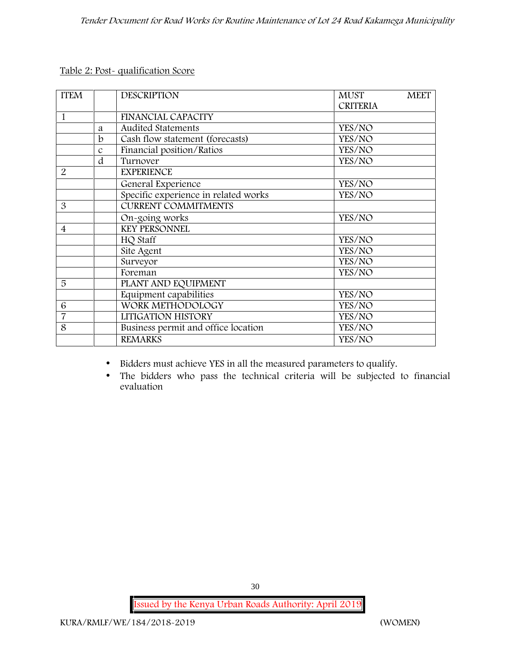**Table 2: Post- qualification Score**

| <b>ITEM</b>    |               | <b>DESCRIPTION</b>                   | <b>MUST</b>     | <b>MEET</b> |
|----------------|---------------|--------------------------------------|-----------------|-------------|
|                |               |                                      | <b>CRITERIA</b> |             |
| 1              |               | FINANCIAL CAPACITY                   |                 |             |
|                | a             | <b>Audited Statements</b>            | YES/NO          |             |
|                | $\mathbf b$   | Cash flow statement (forecasts)      | YES/NO          |             |
|                | $\mathcal{C}$ | Financial position/Ratios            | YES/NO          |             |
|                | d             | Turnover                             | YES/NO          |             |
| 2              |               | <b>EXPERIENCE</b>                    |                 |             |
|                |               | General Experience                   | YES/NO          |             |
|                |               | Specific experience in related works | YES/NO          |             |
| 3              |               | <b>CURRENT COMMITMENTS</b>           |                 |             |
|                |               | On-going works                       | YES/NO          |             |
| $\overline{4}$ |               | <b>KEY PERSONNEL</b>                 |                 |             |
|                |               | HQ Staff                             | YES/NO          |             |
|                |               | Site Agent                           | YES/NO          |             |
|                |               | Surveyor                             | YES/NO          |             |
|                |               | Foreman                              | YES/NO          |             |
| 5              |               | PLANT AND EQUIPMENT                  |                 |             |
|                |               | Equipment capabilities               | YES/NO          |             |
| 6              |               | WORK METHODOLOGY                     | YES/NO          |             |
| $\overline{7}$ |               | LITIGATION HISTORY                   | YES/NO          |             |
| 8              |               | Business permit and office location  | YES/NO          |             |
|                |               | <b>REMARKS</b>                       | YES/NO          |             |
|                |               |                                      |                 |             |

Bidders must achieve YES in all the measured parameters to qualify.

 The bidders who pass the technical criteria will be subjected to financial evaluation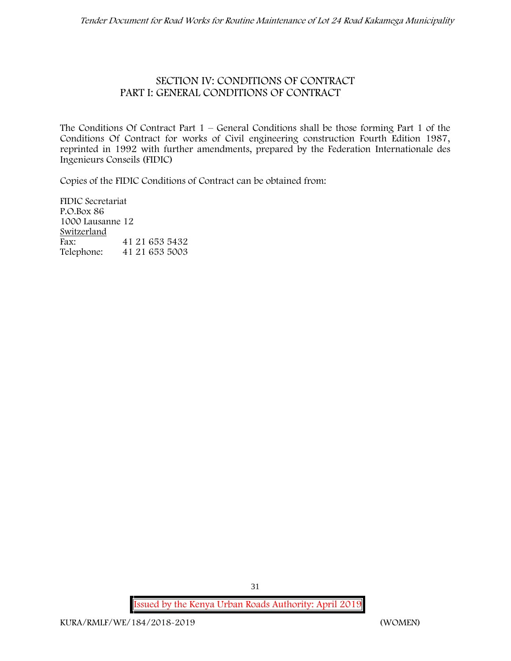#### **SECTION IV: CONDITIONS OF CONTRACT PART I: GENERAL CONDITIONS OF CONTRACT**

The Conditions Of Contract Part  $1$  – General Conditions shall be those forming Part 1 of the Conditions Of Contract for works of Civil engineering construction Fourth Edition 1987, reprinted in 1992 with further amendments, prepared by the Federation Internationale des Ingenieurs Conseils (FIDIC)

Copies of the FIDIC Conditions of Contract can be obtained from:

FIDIC Secretariat P.O.Box 86 1000 Lausanne 12 **Switzerland** Fax: 41 21 653 5432 Telephone: 41 21 653 5003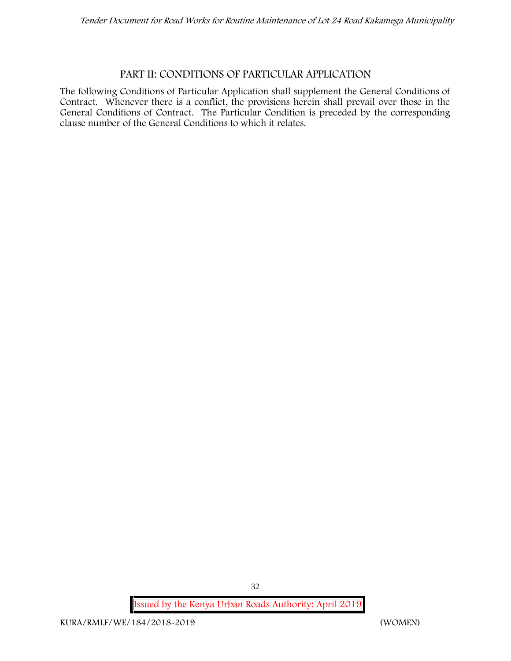#### **PART II: CONDITIONS OF PARTICULAR APPLICATION**

The following Conditions of Particular Application shall supplement the General Conditions of Contract. Whenever there is a conflict, the provisions herein shall prevail over those in the General Conditions of Contract. The Particular Condition is preceded by the corresponding clause number of the General Conditions to which it relates.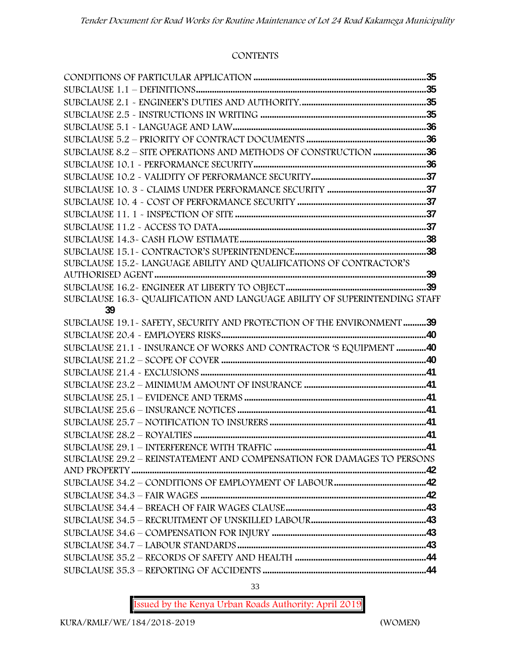#### **CONTENTS**

| SUBCLAUSE 8.2 - SITE OPERATIONS AND METHODS OF CONSTRUCTION 36             |  |
|----------------------------------------------------------------------------|--|
|                                                                            |  |
|                                                                            |  |
|                                                                            |  |
|                                                                            |  |
|                                                                            |  |
|                                                                            |  |
|                                                                            |  |
|                                                                            |  |
| SUBCLAUSE 15.2~ LANGUAGE ABILITY AND QUALIFICATIONS OF CONTRACTOR'S        |  |
|                                                                            |  |
|                                                                            |  |
| SUBCLAUSE 16.3- QUALIFICATION AND LANGUAGE ABILITY OF SUPERINTENDING STAFF |  |
| 39                                                                         |  |
| SUBCLAUSE 19.1 - SAFETY, SECURITY AND PROTECTION OF THE ENVIRONMENT 39     |  |
|                                                                            |  |
| SUBCLAUSE 21.1 - INSURANCE OF WORKS AND CONTRACTOR 'S EQUIPMENT 40         |  |
|                                                                            |  |
|                                                                            |  |
|                                                                            |  |
|                                                                            |  |
|                                                                            |  |
|                                                                            |  |
|                                                                            |  |
|                                                                            |  |
| SUBCLAUSE 29.2 - REINSTATEMENT AND COMPENSATION FOR DAMAGES TO PERSONS     |  |
|                                                                            |  |
|                                                                            |  |
|                                                                            |  |
|                                                                            |  |
|                                                                            |  |
|                                                                            |  |
|                                                                            |  |
|                                                                            |  |
|                                                                            |  |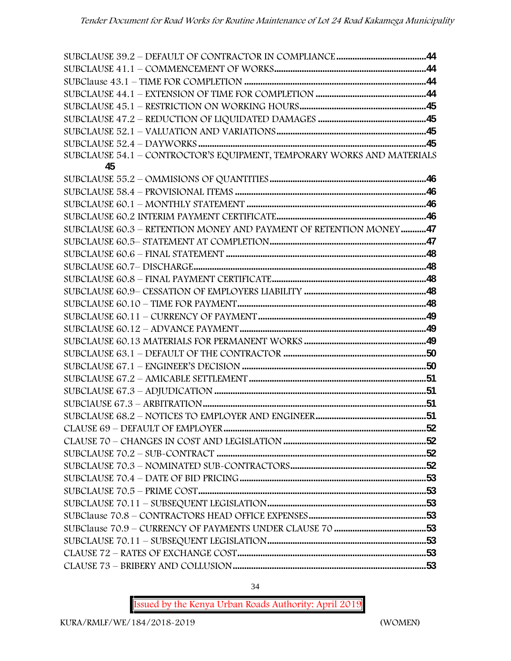| SUBCLAUSE 54.1 - CONTROCTOR'S EQUIPMENT, TEMPORARY WORKS AND MATERIALS |  |
|------------------------------------------------------------------------|--|
| 45                                                                     |  |
|                                                                        |  |
|                                                                        |  |
|                                                                        |  |
|                                                                        |  |
| SUBCLAUSE 60.3 - RETENTION MONEY AND PAYMENT OF RETENTION MONEY47      |  |
|                                                                        |  |
|                                                                        |  |
|                                                                        |  |
|                                                                        |  |
|                                                                        |  |
|                                                                        |  |
|                                                                        |  |
|                                                                        |  |
|                                                                        |  |
|                                                                        |  |
|                                                                        |  |
|                                                                        |  |
|                                                                        |  |
|                                                                        |  |
|                                                                        |  |
|                                                                        |  |
|                                                                        |  |
|                                                                        |  |
|                                                                        |  |
|                                                                        |  |
|                                                                        |  |
|                                                                        |  |
|                                                                        |  |
|                                                                        |  |
|                                                                        |  |
|                                                                        |  |
|                                                                        |  |
|                                                                        |  |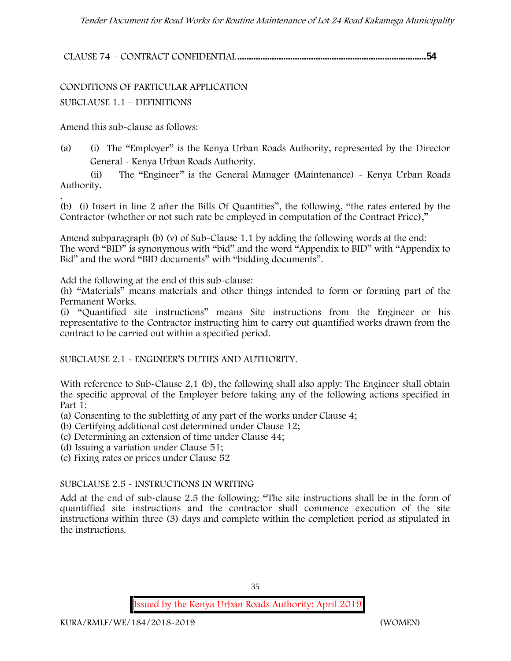**CLAUSE 74 – CONTRACT CONFIDENTIAL..................................................................................54**

CONDITIONS OF PARTICULAR APPLICATION SUBCLAUSE 1.1 – DEFINITIONS

Amend this sub-clause as follows:

(a) (i) The "Employer" is the Kenya Urban Roads Authority, represented by the Director General - Kenya Urban Roads Authority.

(ii) The "Engineer" is the General Manager (Maintenance) - Kenya Urban Roads Authority.

.(b) (i) Insert in line 2 after the Bills Of Quantities", the following, "the rates entered by the Contractor (whether or not such rate be employed in computation of the Contract Price),"

Amend subparagraph (b) (v) of Sub-Clause 1.1 by adding the following words at the end: The word "BID" is synonymous with "bid" and the word "Appendix to BID" with "Appendix to Bid" and the word "BID documents" with "bidding documents".

Add the following at the end of this sub-clause:

(h) "Materials" means materials and other things intended to form or forming part of the Permanent Works.

(i) "Quantified site instructions" means Site instructions from the Engineer or his representative to the Contractor instructing him to carry out quantified works drawn from the contract to be carried out within a specified period.

SUBCLAUSE 2.1 - ENGINEER'S DUTIES AND AUTHORITY.

With reference to Sub-Clause 2.1 (b), the following shall also apply: The Engineer shall obtain the specific approval of the Employer before taking any of the following actions specified in Part 1:

(a) Consenting to the subletting of any part of the works under Clause 4;

- (b) Certifying additional cost determined under Clause 12;
- (c) Determining an extension of time under Clause 44;

(d) Issuing a variation under Clause 51;

(e) Fixing rates or prices under Clause 52

#### SUBCLAUSE 2.5 - INSTRUCTIONS IN WRITING

Add at the end of sub-clause 2.5 the following: "The site instructions shall be in the form of quantiffied site instructions and the contractor shall commence execution of the site instructions within three (3) days and complete within the completion period as stipulated in the instructions.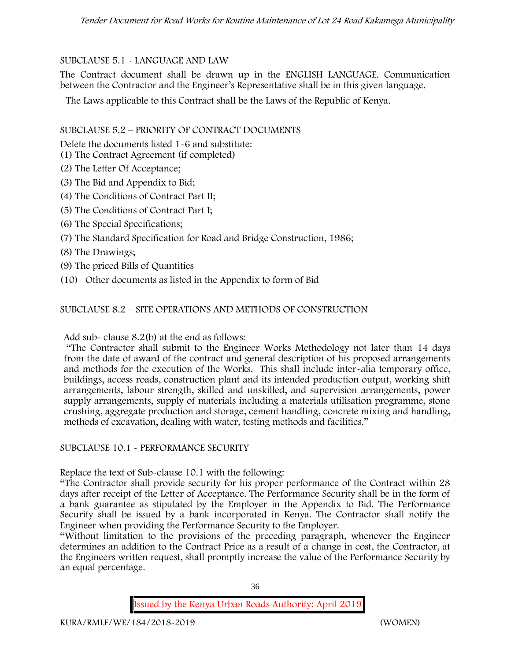# SUBCLAUSE 5.1 - LANGUAGE AND LAW

The Contract document shall be drawn up in the ENGLISH LANGUAGE. Communication between the Contractor and the Engineer's Representative shall be in this given language.

The Laws applicable to this Contract shall be the Laws of the Republic of Kenya.

# SUBCLAUSE 5.2 – PRIORITY OF CONTRACT DOCUMENTS

Delete the documents listed 1-6 and substitute:

- (1) The Contract Agreement (if completed)
- (2) The Letter Of Acceptance;
- (3) The Bid and Appendix to Bid;
- (4) The Conditions of Contract Part II;
- (5) The Conditions of Contract Part I;
- (6) The Special Specifications;
- (7) The Standard Specification for Road and Bridge Construction, 1986;
- (8) The Drawings;
- (9) The priced Bills of Quantities
- (10) Other documents as listed in the Appendix to form of Bid

# SUBCLAUSE 8.2 – SITE OPERATIONS AND METHODS OF CONSTRUCTION

Add sub- clause 8.2(b) at the end as follows:

"The Contractor shall submit to the Engineer Works Methodology not later than 14 days from the date of award of the contract and general description of his proposed arrangements and methods for the execution of the Works. This shall include inter-alia temporary office, buildings, access roads, construction plant and its intended production output, working shift arrangements, labour strength, skilled and unskilled, and supervision arrangements, power supply arrangements, supply of materials including a materials utilisation programme, stone crushing, aggregate production and storage, cement handling, concrete mixing and handling, methods of excavation, dealing with water, testing methods and facilities."

# SUBCLAUSE 10.1 - PERFORMANCE SECURITY

Replace the text of Sub-clause 10.1 with the following:

"The Contractor shall provide security for his proper performance of the Contract within 28 days after receipt of the Letter of Acceptance. The Performance Security shall be in the form of a bank guarantee as stipulated by the Employer in the Appendix to Bid. The Performance Security shall be issued by a bank incorporated in Kenya. The Contractor shall notify the Engineer when providing the Performance Security to the Employer.

"Without limitation to the provisions of the preceding paragraph, whenever the Engineer determines an addition to the Contract Price as a result of a change in cost, the Contractor, at the Engineers written request, shall promptly increase the value of the Performance Security by an equal percentage.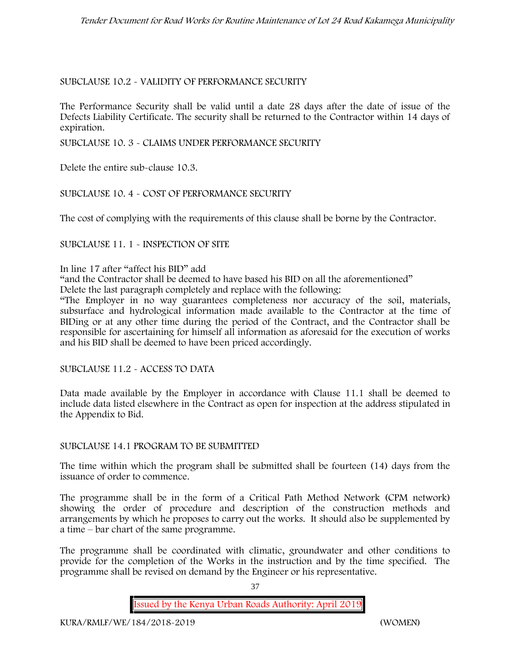# SUBCLAUSE 10.2 - VALIDITY OF PERFORMANCE SECURITY

The Performance Security shall be valid until a date 28 days after the date of issue of the Defects Liability Certificate. The security shall be returned to the Contractor within 14 days of expiration.

SUBCLAUSE 10. 3 - CLAIMS UNDER PERFORMANCE SECURITY

Delete the entire sub-clause 10.3.

# SUBCLAUSE 10. 4 - COST OF PERFORMANCE SECURITY

The cost of complying with the requirements of this clause shall be borne by the Contractor.

# SUBCLAUSE 11. 1 - INSPECTION OF SITE

In line 17 after "affect his BID" add

"and the Contractor shall be deemed to have based his BID on all the aforementioned"

Delete the last paragraph completely and replace with the following:

"The Employer in no way guarantees completeness nor accuracy of the soil, materials, subsurface and hydrological information made available to the Contractor at the time of BIDing or at any other time during the period of the Contract, and the Contractor shall be responsible for ascertaining for himself all information as aforesaid for the execution of works and his BID shall be deemed to have been priced accordingly.

SUBCLAUSE 11.2 - ACCESS TO DATA

Data made available by the Employer in accordance with Clause 11.1 shall be deemed to include data listed elsewhere in the Contract as open for inspection at the address stipulated in the Appendix to Bid.

# SUBCLAUSE 14.1 PROGRAM TO BE SUBMITTED

The time within which the program shall be submitted shall be fourteen (14) days from the issuance of order to commence**.**

The programme shall be in the form of a Critical Path Method Network (CPM network) showing the order of procedure and description of the construction methods and arrangements by which he proposes to carry out the works. It should also be supplemented by a time – bar chart of the same programme.

The programme shall be coordinated with climatic, groundwater and other conditions to provide for the completion of the Works in the instruction and by the time specified. The programme shall be revised on demand by the Engineer or his representative.

37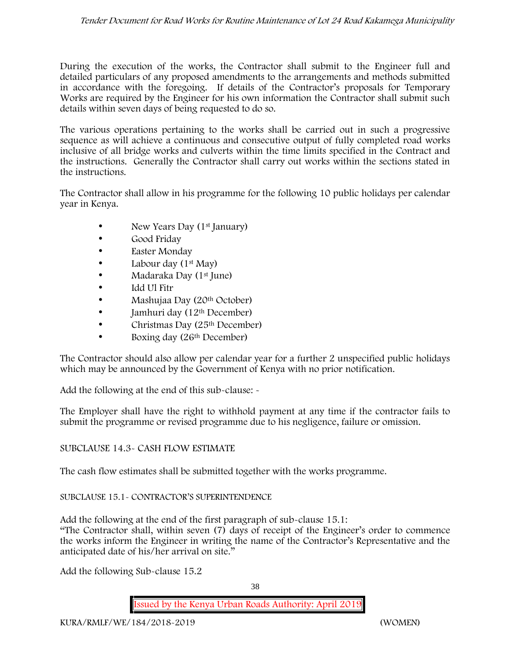During the execution of the works, the Contractor shall submit to the Engineer full and detailed particulars of any proposed amendments to the arrangements and methods submitted in accordance with the foregoing. If details of the Contractor's proposals for Temporary Works are required by the Engineer for his own information the Contractor shall submit such details within seven days of being requested to do so.

The various operations pertaining to the works shall be carried out in such a progressive sequence as will achieve a continuous and consecutive output of fully completed road works inclusive of all bridge works and culverts within the time limits specified in the Contract and the instructions. Generally the Contractor shall carry out works within the sections stated in the instructions.

The Contractor shall allow in his programme for the following 10 public holidays per calendar year in Kenya.

- New Years Day (1<sup>st</sup> January)
- Good Friday
- **Easter Monday**
- Labour day  $(1<sup>st</sup>$  May)
- Madaraka Day (1st June)
- Idd Ul Fitr
- Mashujaa Day (20<sup>th</sup> October)
- $\bullet$  Jamhuri day (12<sup>th</sup> December)
- Christmas Day (25<sup>th</sup> December)
- Boxing day (26<sup>th</sup> December)

The Contractor should also allow per calendar year for a further 2 unspecified public holidays which may be announced by the Government of Kenya with no prior notification.

Add the following at the end of this sub-clause: -

The Employer shall have the right to withhold payment at any time if the contractor fails to submit the programme or revised programme due to his negligence, failure or omission.

# SUBCLAUSE 14.3- CASH FLOW ESTIMATE

The cash flow estimates shall be submitted together with the works programme.

# SUBCLAUSE 15.1- CONTRACTOR'S SUPERINTENDENCE

Add the following at the end of the first paragraph of sub-clause 15.1:

"The Contractor shall, within seven (7) days of receipt of the Engineer's order to commence the works inform the Engineer in writing the name of the Contractor's Representative and the anticipated date of his/her arrival on site."

Add the following Sub-clause 15.2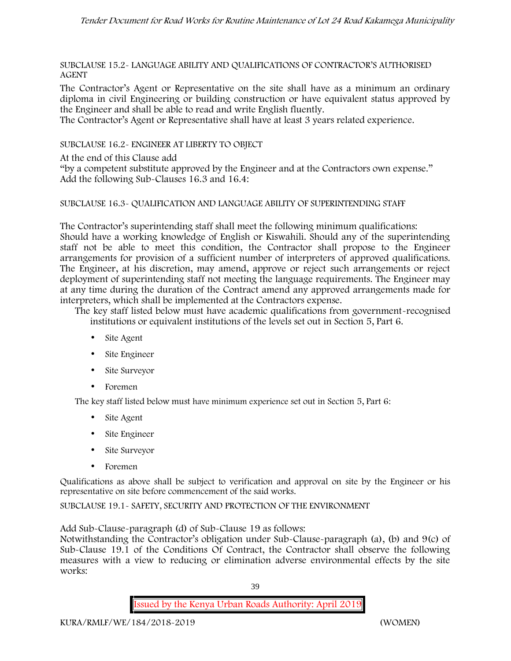SUBCLAUSE 15.2- LANGUAGE ABILITY AND QUALIFICATIONS OF CONTRACTOR'S AUTHORISED AGENT

The Contractor's Agent or Representative on the site shall have as a minimum an ordinary diploma in civil Engineering or building construction or have equivalent status approved by the Engineer and shall be able to read and write English fluently.

The Contractor's Agent or Representative shall have at least 3 years related experience.

SUBCLAUSE 16.2- ENGINEER AT LIBERTY TO OBJECT

At the end of this Clause add

"by a competent substitute approved by the Engineer and at the Contractors own expense." Add the following Sub-Clauses 16.3 and 16.4:

## SUBCLAUSE 16.3- QUALIFICATION AND LANGUAGE ABILITY OF SUPERINTENDING STAFF

The Contractor's superintending staff shall meet the following minimum qualifications: Should have a working knowledge of English or Kiswahili. Should any of the superintending staff not be able to meet this condition, the Contractor shall propose to the Engineer arrangements for provision of a sufficient number of interpreters of approved qualifications. The Engineer, at his discretion, may amend, approve or reject such arrangements or reject deployment of superintending staff not meeting the language requirements. The Engineer may at any time during the duration of the Contract amend any approved arrangements made for interpreters, which shall be implemented at the Contractors expense.

The key staff listed below must have academic qualifications from government-recognised institutions or equivalent institutions of the levels set out in Section 5, Part 6.

- Site Agent
- Site Engineer
- Site Surveyor
- Foremen

The key staff listed below must have minimum experience set out in Section 5, Part 6:

- Site Agent
- Site Engineer
- Site Surveyor
- Foremen

Qualifications as above shall be subject to verification and approval on site by the Engineer or his representative on site before commencement of the said works.

SUBCLAUSE 19.1- SAFETY, SECURITY AND PROTECTION OF THE ENVIRONMENT

Add Sub-Clause-paragraph (d) of Sub-Clause 19 as follows:

Notwithstanding the Contractor's obligation under Sub-Clause-paragraph (a), (b) and 9(c) of Sub-Clause 19.1 of the Conditions Of Contract, the Contractor shall observe the following measures with a view to reducing or elimination adverse environmental effects by the site works:

39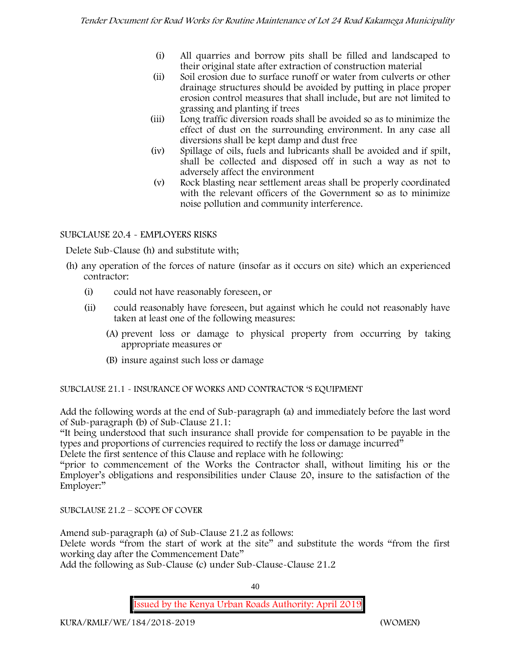- (i) All quarries and borrow pits shall be filled and landscaped to their original state after extraction of construction material
- (ii) Soil erosion due to surface runoff or water from culverts or other drainage structures should be avoided by putting in place proper erosion control measures that shall include, but are not limited to grassing and planting if trees
- (iii) Long traffic diversion roads shall be avoided so as to minimize the effect of dust on the surrounding environment. In any case all diversions shall be kept damp and dust free
- (iv) Spillage of oils, fuels and lubricants shall be avoided and if spilt, shall be collected and disposed off in such a way as not to adversely affect the environment
- (v) Rock blasting near settlement areas shall be properly coordinated with the relevant officers of the Government so as to minimize noise pollution and community interference.

# SUBCLAUSE 20.4 - EMPLOYERS RISKS

Delete Sub-Clause (h) and substitute with;

- (h) any operation of the forces of nature (insofar as it occurs on site) which an experienced contractor:
	- (i) could not have reasonably foreseen, or
	- (ii) could reasonably have foreseen, but against which he could not reasonably have taken at least one of the following measures:
		- (A) prevent loss or damage to physical property from occurring by taking appropriate measures or
		- (B) insure against such loss or damage

SUBCLAUSE 21.1 - INSURANCE OF WORKS AND CONTRACTOR 'S EQUIPMENT

Add the following words at the end of Sub-paragraph (a) and immediately before the last word of Sub-paragraph (b) of Sub-Clause 21.1:

"It being understood that such insurance shall provide for compensation to be payable in the types and proportions of currencies required to rectify the loss or damage incurred"

Delete the first sentence of this Clause and replace with he following:

"prior to commencement of the Works the Contractor shall, without limiting his or the Employer's obligations and responsibilities under Clause 20, insure to the satisfaction of the Employer:"

SUBCLAUSE 21.2 – SCOPE OF COVER

Amend sub-paragraph (a) of Sub-Clause 21.2 as follows:

Delete words "from the start of work at the site" and substitute the words "from the first working day after the Commencement Date"

Add the following as Sub-Clause (c) under Sub-Clause-Clause 21.2

40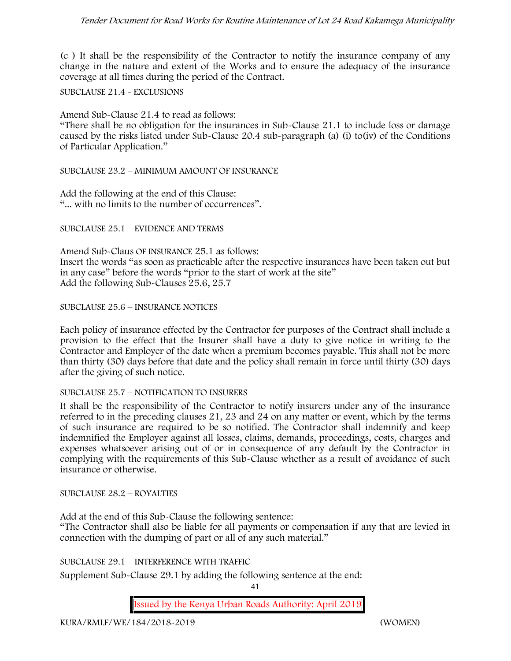(c ) It shall be the responsibility of the Contractor to notify the insurance company of any change in the nature and extent of the Works and to ensure the adequacy of the insurance coverage at all times during the period of the Contract.

SUBCLAUSE 21.4 - EXCLUSIONS

Amend Sub-Clause 21.4 to read as follows:

"There shall be no obligation for the insurances in Sub-Clause 21.1 to include loss or damage caused by the risks listed under Sub-Clause 20.4 sub-paragraph (a) (i) to(iv) of the Conditions of Particular Application."

SUBCLAUSE 23.2 – MINIMUM AMOUNT OF INSURANCE

Add the following at the end of this Clause: "... with no limits to the number of occurrences".

SUBCLAUSE 25.1 – EVIDENCE AND TERMS

Amend Sub-Claus OF INSURANCE 25.1 as follows: Insert the words "as soon as practicable after the respective insurances have been taken out but in any case" before the words "prior to the start of work at the site" Add the following Sub-Clauses 25.6, 25.7

SUBCLAUSE 25.6 – INSURANCE NOTICES

Each policy of insurance effected by the Contractor for purposes of the Contract shall include a provision to the effect that the Insurer shall have a duty to give notice in writing to the Contractor and Employer of the date when a premium becomes payable. This shall not be more than thirty (30) days before that date and the policy shall remain in force until thirty (30) days after the giving of such notice.

#### SUBCLAUSE 25.7 – NOTIFICATION TO INSURERS

It shall be the responsibility of the Contractor to notify insurers under any of the insurance referred to in the preceding clauses 21, 23 and 24 on any matter or event, which by the terms of such insurance are required to be so notified. The Contractor shall indemnify and keep indemnified the Employer against all losses, claims, demands, proceedings, costs, charges and expenses whatsoever arising out of or in consequence of any default by the Contractor in complying with the requirements of this Sub-Clause whether as a result of avoidance of such insurance or otherwise.

SUBCLAUSE 28.2 – ROYALTIES

Add at the end of this Sub-Clause the following sentence: "The Contractor shall also be liable for all payments or compensation if any that are levied in connection with the dumping of part or all of any such material."

SUBCLAUSE 29.1 – INTERFERENCE WITH TRAFFIC

Supplement Sub-Clause 29.1 by adding the following sentence at the end:

41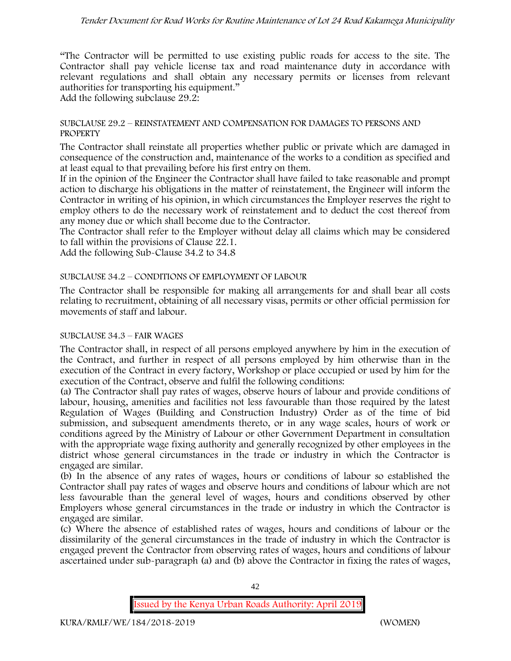"The Contractor will be permitted to use existing public roads for access to the site. The Contractor shall pay vehicle license tax and road maintenance duty in accordance with relevant regulations and shall obtain any necessary permits or licenses from relevant authorities for transporting his equipment."

Add the following subclause 29.2:

#### SUBCLAUSE 29.2 – REINSTATEMENT AND COMPENSATION FOR DAMAGES TO PERSONS AND **PROPERTY**

The Contractor shall reinstate all properties whether public or private which are damaged in consequence of the construction and, maintenance of the works to a condition as specified and at least equal to that prevailing before his first entry on them.

If in the opinion of the Engineer the Contractor shall have failed to take reasonable and prompt action to discharge his obligations in the matter of reinstatement, the Engineer will inform the Contractor in writing of his opinion, in which circumstances the Employer reserves the right to employ others to do the necessary work of reinstatement and to deduct the cost thereof from any money due or which shall become due to the Contractor.

The Contractor shall refer to the Employer without delay all claims which may be considered to fall within the provisions of Clause 22.1.

Add the following Sub-Clause 34.2 to 34.8

## SUBCLAUSE 34.2 – CONDITIONS OF EMPLOYMENT OF LABOUR

The Contractor shall be responsible for making all arrangements for and shall bear all costs relating to recruitment, obtaining of all necessary visas, permits or other official permission for movements of staff and labour.

#### SUBCLAUSE 34.3 – FAIR WAGES

The Contractor shall, in respect of all persons employed anywhere by him in the execution of the Contract, and further in respect of all persons employed by him otherwise than in the execution of the Contract in every factory, Workshop or place occupied or used by him for the execution of the Contract, observe and fulfil the following conditions:

(a) The Contractor shall pay rates of wages, observe hours of labour and provide conditions of labour, housing, amenities and facilities not less favourable than those required by the latest Regulation of Wages (Building and Construction Industry) Order as of the time of bid submission, and subsequent amendments thereto, or in any wage scales, hours of work or conditions agreed by the Ministry of Labour or other Government Department in consultation with the appropriate wage fixing authority and generally recognized by other employees in the district whose general circumstances in the trade or industry in which the Contractor is engaged are similar.

(b) In the absence of any rates of wages, hours or conditions of labour so established the Contractor shall pay rates of wages and observe hours and conditions of labour which are not less favourable than the general level of wages, hours and conditions observed by other Employers whose general circumstances in the trade or industry in which the Contractor is engaged are similar.

(c) Where the absence of established rates of wages, hours and conditions of labour or the dissimilarity of the general circumstances in the trade of industry in which the Contractor is engaged prevent the Contractor from observing rates of wages, hours and conditions of labour ascertained under sub-paragraph (a) and (b) above the Contractor in fixing the rates of wages,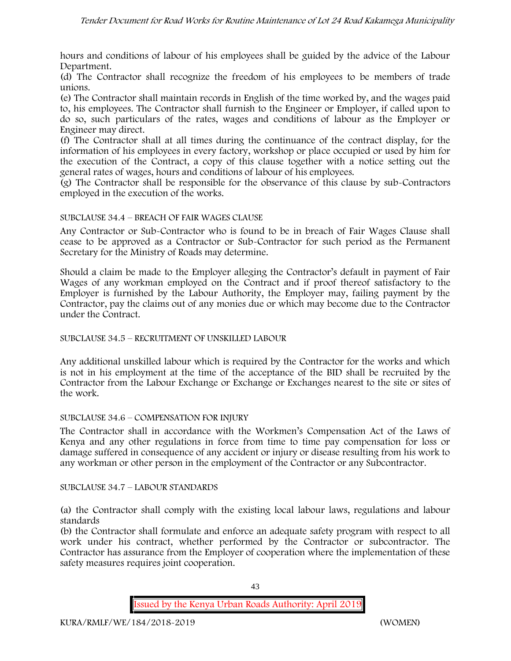hours and conditions of labour of his employees shall be guided by the advice of the Labour Department.

(d) The Contractor shall recognize the freedom of his employees to be members of trade unions.

(e) The Contractor shall maintain records in English of the time worked by, and the wages paid to, his employees. The Contractor shall furnish to the Engineer or Employer, if called upon to do so, such particulars of the rates, wages and conditions of labour as the Employer or Engineer may direct.

(f) The Contractor shall at all times during the continuance of the contract display, for the information of his employees in every factory, workshop or place occupied or used by him for the execution of the Contract, a copy of this clause together with a notice setting out the general rates of wages, hours and conditions of labour of his employees.

(g) The Contractor shall be responsible for the observance of this clause by sub-Contractors employed in the execution of the works.

## SUBCLAUSE 34.4 – BREACH OF FAIR WAGES CLAUSE

Any Contractor or Sub-Contractor who is found to be in breach of Fair Wages Clause shall cease to be approved as a Contractor or Sub-Contractor for such period as the Permanent Secretary for the Ministry of Roads may determine.

Should a claim be made to the Employer alleging the Contractor's default in payment of Fair Wages of any workman employed on the Contract and if proof thereof satisfactory to the Employer is furnished by the Labour Authority, the Employer may, failing payment by the Contractor, pay the claims out of any monies due or which may become due to the Contractor under the Contract.

#### SUBCLAUSE 34.5 – RECRUITMENT OF UNSKILLED LABOUR

Any additional unskilled labour which is required by the Contractor for the works and which is not in his employment at the time of the acceptance of the BID shall be recruited by the Contractor from the Labour Exchange or Exchange or Exchanges nearest to the site or sites of the work.

#### SUBCLAUSE 34.6 – COMPENSATION FOR INJURY

The Contractor shall in accordance with the Workmen's Compensation Act of the Laws of Kenya and any other regulations in force from time to time pay compensation for loss or damage suffered in consequence of any accident or injury or disease resulting from his work to any workman or other person in the employment of the Contractor or any Subcontractor.

#### SUBCLAUSE 34.7 – LABOUR STANDARDS

(a) the Contractor shall comply with the existing local labour laws, regulations and labour standards

(b) the Contractor shall formulate and enforce an adequate safety program with respect to all work under his contract, whether performed by the Contractor or subcontractor. The Contractor has assurance from the Employer of cooperation where the implementation of these safety measures requires joint cooperation.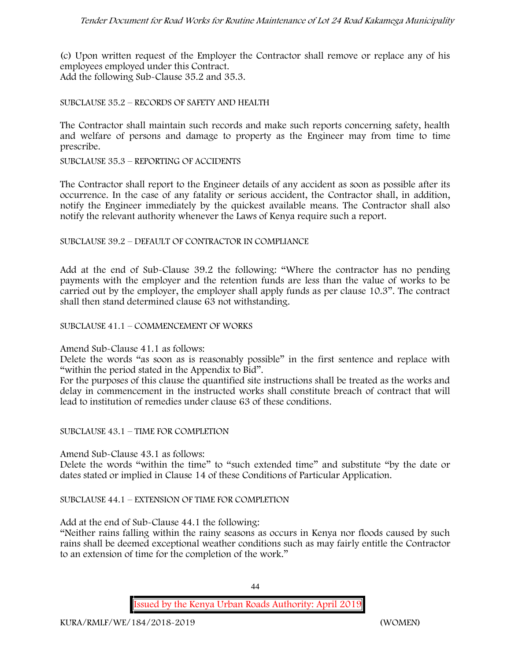(c) Upon written request of the Employer the Contractor shall remove or replace any of his employees employed under this Contract. Add the following Sub-Clause 35.2 and 35.3.

## SUBCLAUSE 35.2 – RECORDS OF SAFETY AND HEALTH

The Contractor shall maintain such records and make such reports concerning safety, health and welfare of persons and damage to property as the Engineer may from time to time prescribe.

SUBCLAUSE 35.3 – REPORTING OF ACCIDENTS

The Contractor shall report to the Engineer details of any accident as soon as possible after its occurrence. In the case of any fatality or serious accident, the Contractor shall, in addition, notify the Engineer immediately by the quickest available means. The Contractor shall also notify the relevant authority whenever the Laws of Kenya require such a report.

#### SUBCLAUSE 39.2 – DEFAULT OF CONTRACTOR IN COMPLIANCE

Add at the end of Sub-Clause 39.2 the following: "Where the contractor has no pending payments with the employer and the retention funds are less than the value of works to be carried out by the employer, the employer shall apply funds as per clause 10.3". The contract shall then stand determined clause 63 not withstanding.

#### SUBCLAUSE 41.1 – COMMENCEMENT OF WORKS

#### Amend Sub-Clause 41.1 as follows:

Delete the words "as soon as is reasonably possible" in the first sentence and replace with "within the period stated in the Appendix to Bid".

For the purposes of this clause the quantified site instructions shall be treated as the works and delay in commencement in the instructed works shall constitute breach of contract that will lead to institution of remedies under clause 63 of these conditions.

#### SUBCLAUSE 43.1 – TIME FOR COMPLETION

Amend Sub-Clause 43.1 as follows:

Delete the words "within the time" to "such extended time" and substitute "by the date or dates stated or implied in Clause 14 of these Conditions of Particular Application.

#### SUBCLAUSE 44.1 – EXTENSION OF TIME FOR COMPLETION

Add at the end of Sub-Clause 44.1 the following:

"Neither rains falling within the rainy seasons as occurs in Kenya nor floods caused by such rains shall be deemed exceptional weather conditions such as may fairly entitle the Contractor to an extension of time for the completion of the work."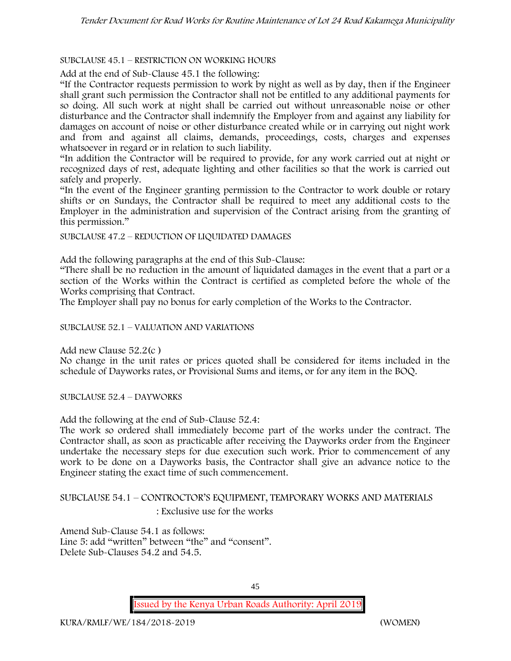## SUBCLAUSE 45.1 – RESTRICTION ON WORKING HOURS

Add at the end of Sub-Clause 45.1 the following:

"If the Contractor requests permission to work by night as well as by day, then if the Engineer shall grant such permission the Contractor shall not be entitled to any additional payments for so doing. All such work at night shall be carried out without unreasonable noise or other disturbance and the Contractor shall indemnify the Employer from and against any liability for damages on account of noise or other disturbance created while or in carrying out night work and from and against all claims, demands, proceedings, costs, charges and expenses whatsoever in regard or in relation to such liability.

"In addition the Contractor will be required to provide, for any work carried out at night or recognized days of rest, adequate lighting and other facilities so that the work is carried out safely and properly.

"In the event of the Engineer granting permission to the Contractor to work double or rotary shifts or on Sundays, the Contractor shall be required to meet any additional costs to the Employer in the administration and supervision of the Contract arising from the granting of this permission."

SUBCLAUSE 47.2 – REDUCTION OF LIQUIDATED DAMAGES

Add the following paragraphs at the end of this Sub-Clause:

"There shall be no reduction in the amount of liquidated damages in the event that a part or a section of the Works within the Contract is certified as completed before the whole of the Works comprising that Contract.

The Employer shall pay no bonus for early completion of the Works to the Contractor.

SUBCLAUSE 52.1 – VALUATION AND VARIATIONS

Add new Clause 52.2(c )

No change in the unit rates or prices quoted shall be considered for items included in the schedule of Dayworks rates, or Provisional Sums and items, or for any item in the BOQ.

SUBCLAUSE 52.4 – DAYWORKS

Add the following at the end of Sub-Clause 52.4:

The work so ordered shall immediately become part of the works under the contract. The Contractor shall, as soon as practicable after receiving the Dayworks order from the Engineer undertake the necessary steps for due execution such work. Prior to commencement of any work to be done on a Dayworks basis, the Contractor shall give an advance notice to the Engineer stating the exact time of such commencement.

SUBCLAUSE 54.1 – CONTROCTOR'S EQUIPMENT, TEMPORARY WORKS AND MATERIALS : Exclusive use for the works

Amend Sub-Clause 54.1 as follows: Line 5: add "written" between "the" and "consent". Delete Sub-Clauses 54.2 and 54.5.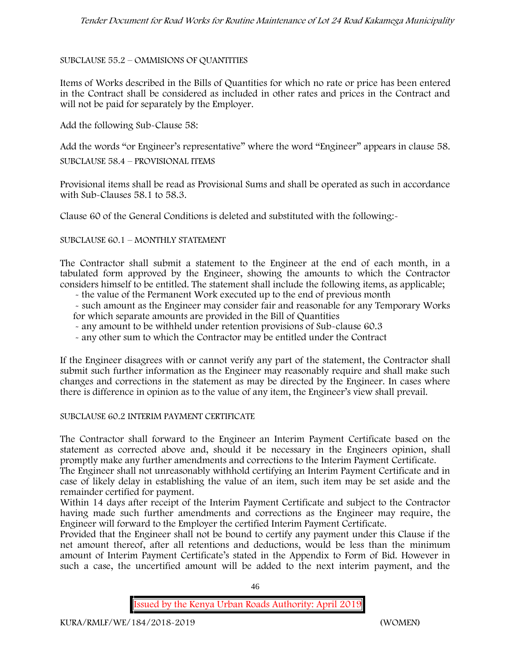## SUBCLAUSE 55.2 – OMMISIONS OF QUANTITIES

Items of Works described in the Bills of Quantities for which no rate or price has been entered in the Contract shall be considered as included in other rates and prices in the Contract and will not be paid for separately by the Employer.

Add the following Sub-Clause 58:

Add the words "or Engineer's representative" where the word "Engineer" appears in clause 58.

SUBCLAUSE 58.4 – PROVISIONAL ITEMS

Provisional items shall be read as Provisional Sums and shall be operated as such in accordance with Sub-Clauses 58.1 to 58.3.

Clause 60 of the General Conditions is deleted and substituted with the following:-

#### SUBCLAUSE 60.1 – MONTHLY STATEMENT

The Contractor shall submit a statement to the Engineer at the end of each month, in a tabulated form approved by the Engineer, showing the amounts to which the Contractor considers himself to be entitled. The statement shall include the following items, as applicable;

- the value of the Permanent Work executed up to the end of previous month
- such amount as the Engineer may consider fair and reasonable for any Temporary Works for which separate amounts are provided in the Bill of Quantities
- any amount to be withheld under retention provisions of Sub-clause 60.3
- any other sum to which the Contractor may be entitled under the Contract

If the Engineer disagrees with or cannot verify any part of the statement, the Contractor shall submit such further information as the Engineer may reasonably require and shall make such changes and corrections in the statement as may be directed by the Engineer. In cases where there is difference in opinion as to the value of any item, the Engineer's view shall prevail.

#### SUBCLAUSE 60.2 INTERIM PAYMENT CERTIFICATE

The Contractor shall forward to the Engineer an Interim Payment Certificate based on the statement as corrected above and, should it be necessary in the Engineers opinion, shall promptly make any further amendments and corrections to the Interim Payment Certificate.

The Engineer shall not unreasonably withhold certifying an Interim Payment Certificate and in case of likely delay in establishing the value of an item, such item may be set aside and the remainder certified for payment.

Within 14 days after receipt of the Interim Payment Certificate and subject to the Contractor having made such further amendments and corrections as the Engineer may require, the Engineer will forward to the Employer the certified Interim Payment Certificate.

Provided that the Engineer shall not be bound to certify any payment under this Clause if the net amount thereof, after all retentions and deductions, would be less than the minimum amount of Interim Payment Certificate's stated in the Appendix to Form of Bid. However in such a case, the uncertified amount will be added to the next interim payment, and the

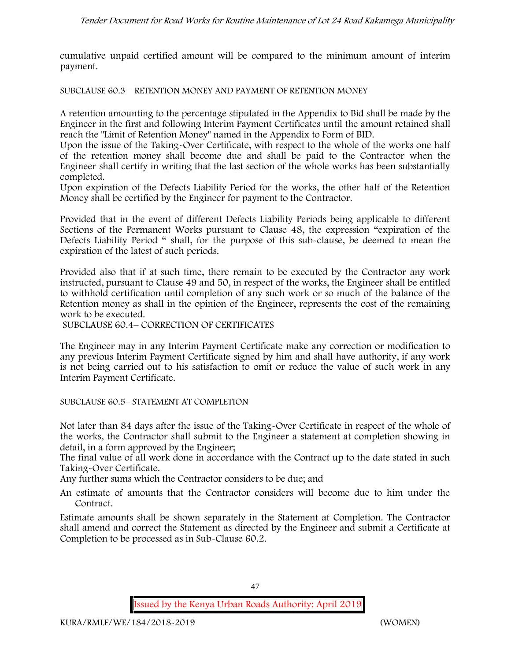cumulative unpaid certified amount will be compared to the minimum amount of interim payment.

SUBCLAUSE 60.3 – RETENTION MONEY AND PAYMENT OF RETENTION MONEY

A retention amounting to the percentage stipulated in the Appendix to Bid shall be made by the Engineer in the first and following Interim Payment Certificates until the amount retained shall reach the "Limit of Retention Money" named in the Appendix to Form of BID.

Upon the issue of the Taking-Over Certificate, with respect to the whole of the works one half of the retention money shall become due and shall be paid to the Contractor when the Engineer shall certify in writing that the last section of the whole works has been substantially completed.

Upon expiration of the Defects Liability Period for the works, the other half of the Retention Money shall be certified by the Engineer for payment to the Contractor.

Provided that in the event of different Defects Liability Periods being applicable to different Sections of the Permanent Works pursuant to Clause 48, the expression "expiration of the Defects Liability Period " shall, for the purpose of this sub-clause, be deemed to mean the expiration of the latest of such periods.

Provided also that if at such time, there remain to be executed by the Contractor any work instructed, pursuant to Clause 49 and 50, in respect of the works, the Engineer shall be entitled to withhold certification until completion of any such work or so much of the balance of the Retention money as shall in the opinion of the Engineer, represents the cost of the remaining work to be executed.

SUBCLAUSE 60.4– CORRECTION OF CERTIFICATES

The Engineer may in any Interim Payment Certificate make any correction or modification to any previous Interim Payment Certificate signed by him and shall have authority, if any work is not being carried out to his satisfaction to omit or reduce the value of such work in any Interim Payment Certificate.

SUBCLAUSE 60.5– STATEMENT AT COMPLETION

Not later than 84 days after the issue of the Taking-Over Certificate in respect of the whole of the works, the Contractor shall submit to the Engineer a statement at completion showing in detail, in a form approved by the Engineer;

The final value of all work done in accordance with the Contract up to the date stated in such Taking-Over Certificate.

Any further sums which the Contractor considers to be due; and

An estimate of amounts that the Contractor considers will become due to him under the Contract.

Estimate amounts shall be shown separately in the Statement at Completion. The Contractor shall amend and correct the Statement as directed by the Engineer and submit a Certificate at Completion to be processed as in Sub-Clause 60.2.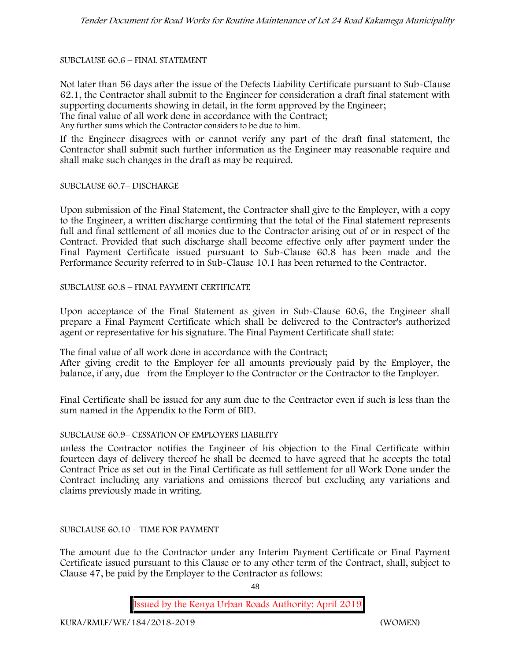#### SUBCLAUSE 60.6 – FINAL STATEMENT

Not later than 56 days after the issue of the Defects Liability Certificate pursuant to Sub-Clause 62.1, the Contractor shall submit to the Engineer for consideration a draft final statement with supporting documents showing in detail, in the form approved by the Engineer; The final value of all work done in accordance with the Contract; Any further sums which the Contractor considers to be due to him.

If the Engineer disagrees with or cannot verify any part of the draft final statement, the Contractor shall submit such further information as the Engineer may reasonable require and shall make such changes in the draft as may be required.

SUBCLAUSE 60.7– DISCHARGE

Upon submission of the Final Statement, the Contractor shall give to the Employer, with a copy to the Engineer, a written discharge confirming that the total of the Final statement represents full and final settlement of all monies due to the Contractor arising out of or in respect of the Contract. Provided that such discharge shall become effective only after payment under the Final Payment Certificate issued pursuant to Sub-Clause 60.8 has been made and the Performance Security referred to in Sub-Clause 10.1 has been returned to the Contractor.

SUBCLAUSE 60.8 – FINAL PAYMENT CERTIFICATE

Upon acceptance of the Final Statement as given in Sub-Clause 60.6, the Engineer shall prepare a Final Payment Certificate which shall be delivered to the Contractor's authorized agent or representative for his signature. The Final Payment Certificate shall state:

The final value of all work done in accordance with the Contract;

After giving credit to the Employer for all amounts previously paid by the Employer, the balance, if any, due from the Employer to the Contractor or the Contractor to the Employer.

Final Certificate shall be issued for any sum due to the Contractor even if such is less than the sum named in the Appendix to the Form of BID.

#### SUBCLAUSE 60.9– CESSATION OF EMPLOYERS LIABILITY

unless the Contractor notifies the Engineer of his objection to the Final Certificate within fourteen days of delivery thereof he shall be deemed to have agreed that he accepts the total Contract Price as set out in the Final Certificate as full settlement for all Work Done under the Contract including any variations and omissions thereof but excluding any variations and claims previously made in writing.

## SUBCLAUSE 60.10 – TIME FOR PAYMENT

The amount due to the Contractor under any Interim Payment Certificate or Final Payment Certificate issued pursuant to this Clause or to any other term of the Contract, shall, subject to Clause 47, be paid by the Employer to the Contractor as follows:

48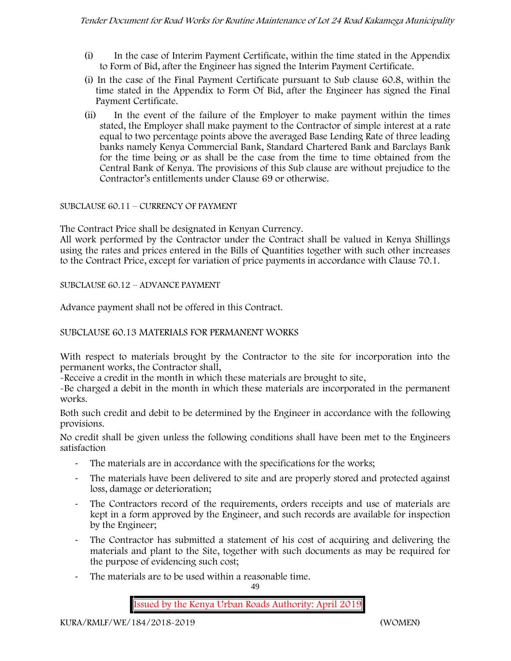- (i) In the case of Interim Payment Certificate, within the time stated in the Appendix to Form of Bid, after the Engineer has signed the Interim Payment Certificate.
- (i) In the case of the Final Payment Certificate pursuant to Sub clause 60.8, within the time stated in the Appendix to Form Of Bid, after the Engineer has signed the Final Payment Certificate.
- (ii) In the event of the failure of the Employer to make payment within the times stated, the Employer shall make payment to the Contractor of simple interest at a rate equal to two percentage points above the averaged Base Lending Rate of three leading banks namely Kenya Commercial Bank, Standard Chartered Bank and Barclays Bank for the time being or as shall be the case from the time to time obtained from the Central Bank of Kenya. The provisions of this Sub clause are without prejudice to the Contractor's entitlements under Clause 69 or otherwise.

# SUBCLAUSE 60.11 – CURRENCY OF PAYMENT

The Contract Price shall be designated in Kenyan Currency.

All work performed by the Contractor under the Contract shall be valued in Kenya Shillings using the rates and prices entered in the Bills of Quantities together with such other increases to the Contract Price, except for variation of price payments in accordance with Clause 70.1.

# SUBCLAUSE 60.12 – ADVANCE PAYMENT

Advance payment shall not be offered in this Contract.

# SUBCLAUSE 60.13 MATERIALS FOR PERMANENT WORKS

With respect to materials brought by the Contractor to the site for incorporation into the permanent works, the Contractor shall,

-Receive a credit in the month in which these materials are brought to site,

-Be charged a debit in the month in which these materials are incorporated in the permanent works.

Both such credit and debit to be determined by the Engineer in accordance with the following provisions.

No credit shall be given unless the following conditions shall have been met to the Engineers satisfaction

- The materials are in accordance with the specifications for the works;
- The materials have been delivered to site and are properly stored and protected against loss, damage or deterioration;
- The Contractors record of the requirements, orders receipts and use of materials are kept in a form approved by the Engineer, and such records are available for inspection by the Engineer;
- The Contractor has submitted a statement of his cost of acquiring and delivering the materials and plant to the Site, together with such documents as may be required for the purpose of evidencing such cost;
- The materials are to be used within a reasonable time.

49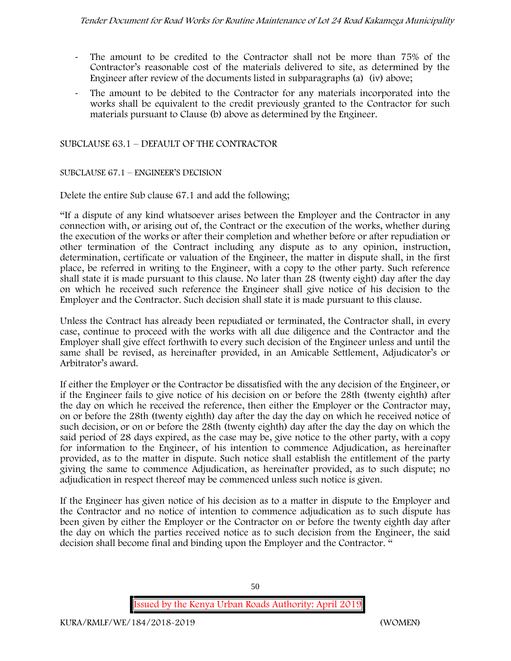- The amount to be credited to the Contractor shall not be more than 75% of the Contractor's reasonable cost of the materials delivered to site, as determined by the Engineer after review of the documents listed in subparagraphs (a) (iv) above;
- The amount to be debited to the Contractor for any materials incorporated into the works shall be equivalent to the credit previously granted to the Contractor for such materials pursuant to Clause (b) above as determined by the Engineer.

SUBCLAUSE 63.1 – DEFAULT OF THE CONTRACTOR

# SUBCLAUSE 67.1 – ENGINEER'S DECISION

Delete the entire Sub clause 67.1 and add the following;

"If a dispute of any kind whatsoever arises between the Employer and the Contractor in any connection with, or arising out of, the Contract or the execution of the works, whether during the execution of the works or after their completion and whether before or after repudiation or other termination of the Contract including any dispute as to any opinion, instruction, determination, certificate or valuation of the Engineer, the matter in dispute shall, in the first place, be referred in writing to the Engineer, with a copy to the other party. Such reference shall state it is made pursuant to this clause. No later than 28 (twenty eight) day after the day on which he received such reference the Engineer shall give notice of his decision to the Employer and the Contractor. Such decision shall state it is made pursuant to this clause.

Unless the Contract has already been repudiated or terminated, the Contractor shall, in every case, continue to proceed with the works with all due diligence and the Contractor and the Employer shall give effect forthwith to every such decision of the Engineer unless and until the same shall be revised, as hereinafter provided, in an Amicable Settlement, Adjudicator's or Arbitrator's award.

If either the Employer or the Contractor be dissatisfied with the any decision of the Engineer, or if the Engineer fails to give notice of his decision on or before the 28th (twenty eighth) after the day on which he received the reference, then either the Employer or the Contractor may, on or before the 28th (twenty eighth) day after the day the day on which he received notice of such decision, or on or before the 28th (twenty eighth) day after the day the day on which the said period of 28 days expired, as the case may be, give notice to the other party, with a copy for information to the Engineer, of his intention to commence Adjudication, as hereinafter provided, as to the matter in dispute. Such notice shall establish the entitlement of the party giving the same to commence Adjudication, as hereinafter provided, as to such dispute; no adjudication in respect thereof may be commenced unless such notice is given.

If the Engineer has given notice of his decision as to a matter in dispute to the Employer and the Contractor and no notice of intention to commence adjudication as to such dispute has been given by either the Employer or the Contractor on or before the twenty eighth day after the day on which the parties received notice as to such decision from the Engineer, the said decision shall become final and binding upon the Employer and the Contractor. "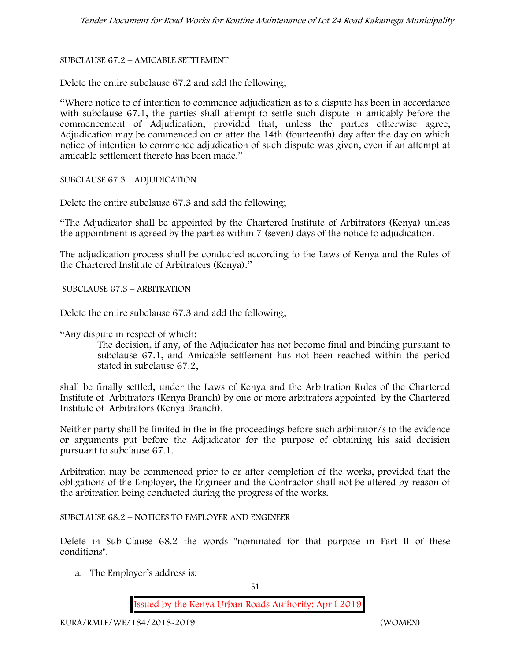## SUBCLAUSE 67.2 – AMICABLE SETTLEMENT

Delete the entire subclause 67.2 and add the following;

"Where notice to of intention to commence adjudication as to a dispute has been in accordance with subclause 67.1, the parties shall attempt to settle such dispute in amicably before the commencement of Adjudication; provided that, unless the parties otherwise agree, Adjudication may be commenced on or after the 14th (fourteenth) day after the day on which notice of intention to commence adjudication of such dispute was given, even if an attempt at amicable settlement thereto has been made."

SUBCLAUSE 67.3 – ADJUDICATION

Delete the entire subclause 67.3 and add the following;

"The Adjudicator shall be appointed by the Chartered Institute of Arbitrators (Kenya) unless the appointment is agreed by the parties within 7 (seven) days of the notice to adjudication.

The adjudication process shall be conducted according to the Laws of Kenya and the Rules of the Chartered Institute of Arbitrators (Kenya)."

SUBCLAUSE 67.3 – ARBITRATION

Delete the entire subclause 67.3 and add the following;

"Any dispute in respect of which:

The decision, if any, of the Adjudicator has not become final and binding pursuant to subclause 67.1, and Amicable settlement has not been reached within the period stated in subclause 67.2,

shall be finally settled, under the Laws of Kenya and the Arbitration Rules of the Chartered Institute of Arbitrators (Kenya Branch) by one or more arbitrators appointed by the Chartered Institute of Arbitrators (Kenya Branch).

Neither party shall be limited in the in the proceedings before such arbitrator/s to the evidence or arguments put before the Adjudicator for the purpose of obtaining his said decision pursuant to subclause 67.1.

Arbitration may be commenced prior to or after completion of the works, provided that the obligations of the Employer, the Engineer and the Contractor shall not be altered by reason of the arbitration being conducted during the progress of the works.

SUBCLAUSE 68.2 – NOTICES TO EMPLOYER AND ENGINEER

Delete in Sub-Clause 68.2 the words "nominated for that purpose in Part II of these conditions".

a. The Employer's address is: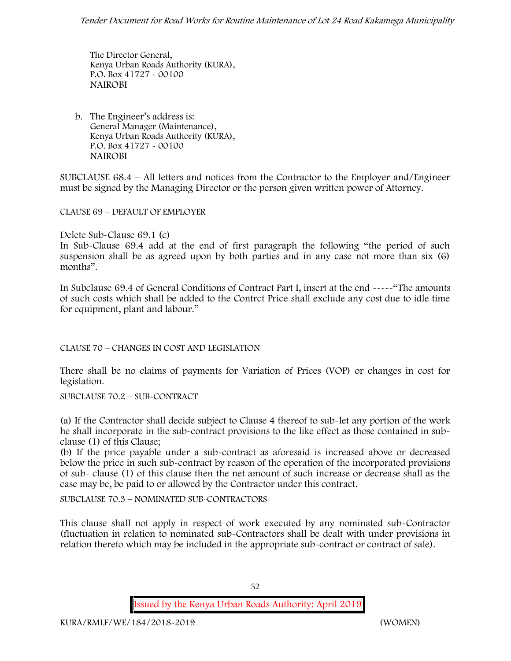The Director General, Kenya Urban Roads Authority (KURA), P.O. Box 41727 - 00100 **NAIROBI**

b. The Engineer's address is: General Manager (Maintenance), Kenya Urban Roads Authority (KURA), P.O. Box 41727 - 00100 **NAIROBI**

SUBCLAUSE 68.4 – All letters and notices from the Contractor to the Employer and/Engineer must be signed by the Managing Director or the person given written power of Attorney.

CLAUSE 69 – DEFAULT OF EMPLOYER

Delete Sub-Clause 69.1 (c)

In Sub-Clause 69.4 add at the end of first paragraph the following "the period of such suspension shall be as agreed upon by both parties and in any case not more than six (6) months".

In Subclause 69.4 of General Conditions of Contract Part I, insert at the end -----"The amounts of such costs which shall be added to the Contrct Price shall exclude any cost due to idle time for equipment, plant and labour."

CLAUSE 70 – CHANGES IN COST AND LEGISLATION

There shall be no claims of payments for Variation of Prices (VOP) or changes in cost for legislation.

SUBCLAUSE 70.2 – SUB-CONTRACT

(a) If the Contractor shall decide subject to Clause 4 thereof to sub-let any portion of the work he shall incorporate in the sub-contract provisions to the like effect as those contained in sub clause (1) of this Clause;

(b) If the price payable under a sub-contract as aforesaid is increased above or decreased below the price in such sub-contract by reason of the operation of the incorporated provisions of sub- clause (1) of this clause then the net amount of such increase or decrease shall as the case may be, be paid to or allowed by the Contractor under this contract.

SUBCLAUSE 70.3 – NOMINATED SUB-CONTRACTORS

This clause shall not apply in respect of work executed by any nominated sub-Contractor (fluctuation in relation to nominated sub-Contractors shall be dealt with under provisions in relation thereto which may be included in the appropriate sub-contract or contract of sale).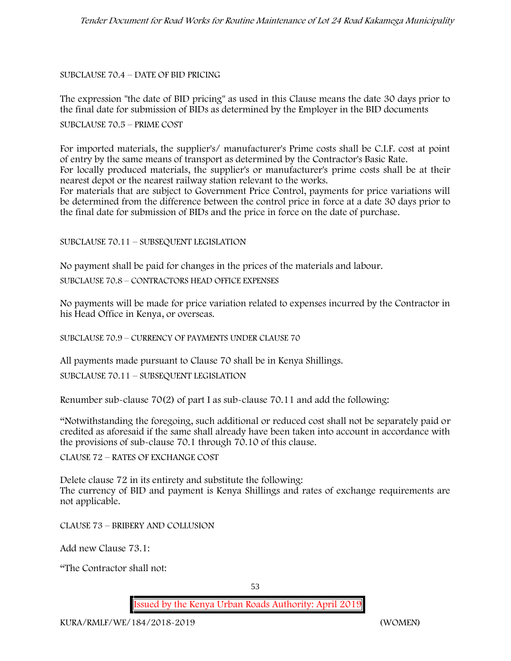## SUBCLAUSE 70.4 – DATE OF BID PRICING

The expression "the date of BID pricing" as used in this Clause means the date 30 days prior to the final date for submission of BIDs as determined by the Employer in the BID documents

SUBCLAUSE 70.5 – PRIME COST

For imported materials, the supplier's/ manufacturer's Prime costs shall be C.I.F. cost at point of entry by the same means of transport as determined by the Contractor's Basic Rate. For locally produced materials, the supplier's or manufacturer's prime costs shall be at their nearest depot or the nearest railway station relevant to the works.

For materials that are subject to Government Price Control, payments for price variations will be determined from the difference between the control price in force at a date 30 days prior to the final date for submission of BIDs and the price in force on the date of purchase.

## SUBCLAUSE 70.11 – SUBSEQUENT LEGISLATION

No payment shall be paid for changes in the prices of the materials and labour.

SUBCLAUSE 70.8 – CONTRACTORS HEAD OFFICE EXPENSES

No payments will be made for price variation related to expenses incurred by the Contractor in his Head Office in Kenya, or overseas.

SUBCLAUSE 70.9 – CURRENCY OF PAYMENTS UNDER CLAUSE 70

All payments made pursuant to Clause 70 shall be in Kenya Shillings.

SUBCLAUSE 70.11 – SUBSEQUENT LEGISLATION

Renumber sub-clause 70(2) of part I as sub-clause 70.11 and add the following:

"Notwithstanding the foregoing, such additional or reduced cost shall not be separately paid or credited as aforesaid if the same shall already have been taken into account in accordance with the provisions of sub-clause 70.1 through 70.10 of this clause.

CLAUSE 72 – RATES OF EXCHANGE COST

Delete clause 72 in its entirety and substitute the following: The currency of BID and payment is Kenya Shillings and rates of exchange requirements are not applicable.

CLAUSE 73 – BRIBERY AND COLLUSION

Add new Clause 73.1:

"The Contractor shall not: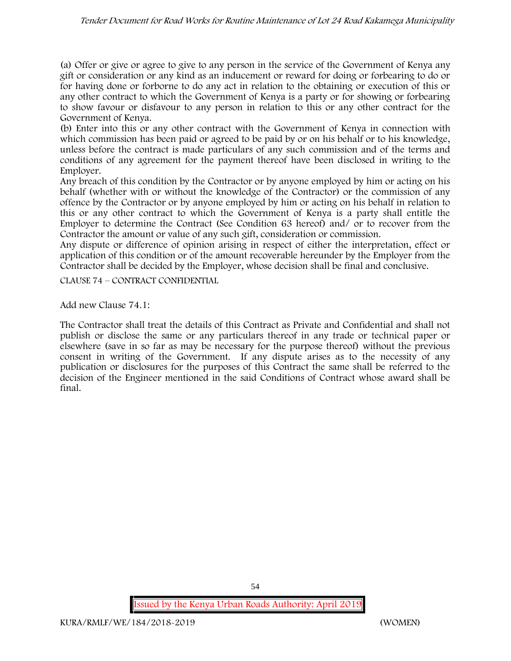(a) Offer or give or agree to give to any person in the service of the Government of Kenya any gift or consideration or any kind as an inducement or reward for doing or forbearing to do or for having done or forborne to do any act in relation to the obtaining or execution of this or any other contract to which the Government of Kenya is a party or for showing or forbearing to show favour or disfavour to any person in relation to this or any other contract for the Government of Kenya.

(b) Enter into this or any other contract with the Government of Kenya in connection with which commission has been paid or agreed to be paid by or on his behalf or to his knowledge, unless before the contract is made particulars of any such commission and of the terms and conditions of any agreement for the payment thereof have been disclosed in writing to the Employer.

Any breach of this condition by the Contractor or by anyone employed by him or acting on his behalf (whether with or without the knowledge of the Contractor) or the commission of any offence by the Contractor or by anyone employed by him or acting on his behalf in relation to this or any other contract to which the Government of Kenya is a party shall entitle the Employer to determine the Contract (See Condition 63 hereof) and/ or to recover from the Contractor the amount or value of any such gift, consideration or commission.

Any dispute or difference of opinion arising in respect of either the interpretation, effect or application of this condition or of the amount recoverable hereunder by the Employer from the Contractor shall be decided by the Employer, whose decision shall be final and conclusive.

CLAUSE 74 – CONTRACT CONFIDENTIAL

Add new Clause 74.1:

The Contractor shall treat the details of this Contract as Private and Confidential and shall not publish or disclose the same or any particulars thereof in any trade or technical paper or elsewhere (save in so far as may be necessary for the purpose thereof) without the previous consent in writing of the Government. If any dispute arises as to the necessity of any publication or disclosures for the purposes of this Contract the same shall be referred to the decision of the Engineer mentioned in the said Conditions of Contract whose award shall be final.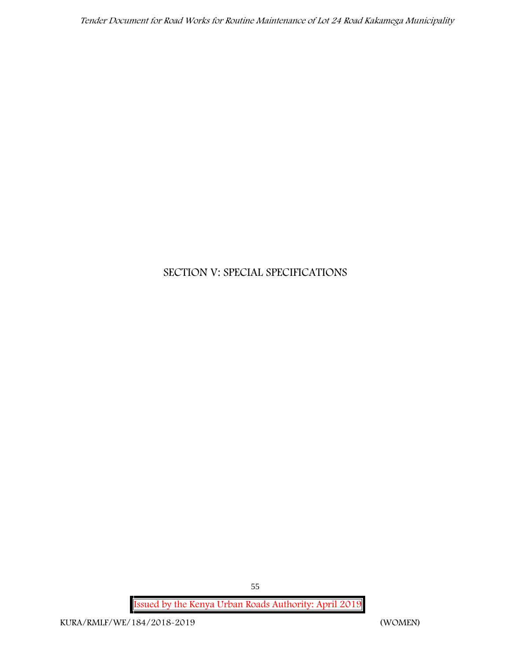# **SECTION V: SPECIAL SPECIFICATIONS**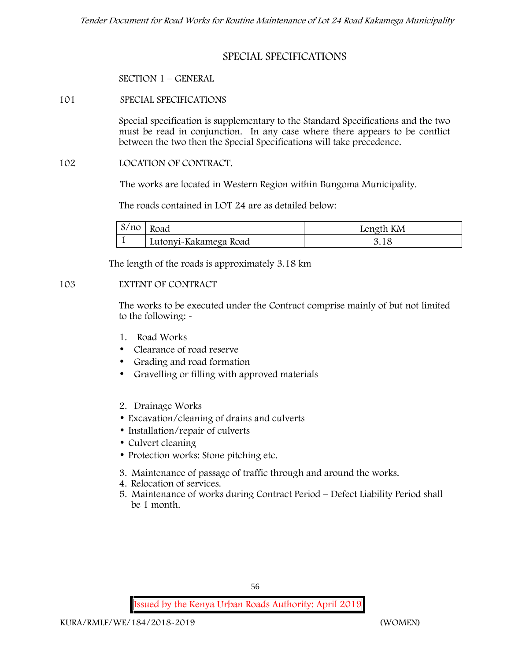# **SPECIAL SPECIFICATIONS**

## **SECTION 1 – GENERAL**

**101 SPECIAL SPECIFICATIONS**

Special specification is supplementary to the Standard Specifications and the two must be read in conjunction. In any case where there appears to be conflict between the two then the Special Specifications will take precedence.

#### **102 LOCATION OF CONTRACT.**

The works are located in Western Region within Bungoma Municipality.

The roads contained in LOT 24 are as detailed below:

| S/no | Road                  | Length KM |
|------|-----------------------|-----------|
|      | Lutonyi-Kakamega Road |           |

The length of the roads is approximately 3.18 km

## **103 EXTENT OF CONTRACT**

The works to be executed under the Contract comprise mainly of but not limited to the following: -

- **1. Road Works**
- Clearance of road reserve
- Grading and road formation
- Gravelling or filling with approved materials
- **2. Drainage Works**
- Excavation/cleaning of drains and culverts
- Installation/repair of culverts
- Culvert cleaning
- Protection works: Stone pitching etc.
- **3. Maintenance of passage of traffic through and around the works.**
- **4. Relocation of services.**
- **5. Maintenance of works during Contract Period – Defect Liability Period shall be 1 month.**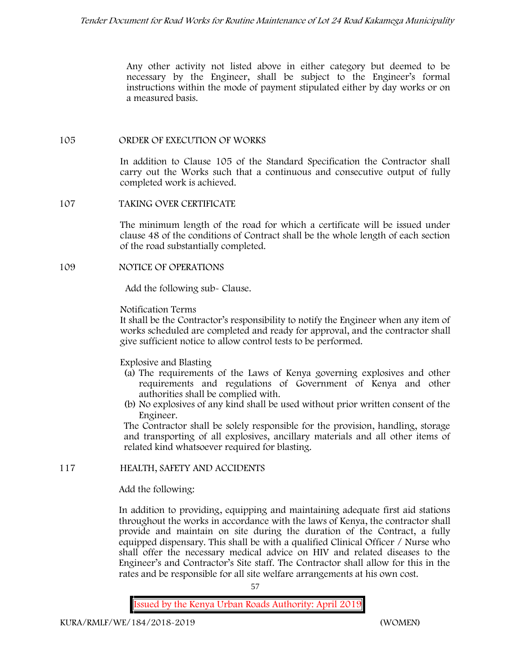Any other activity not listed above in either category but deemed to be necessary by the Engineer, shall be subject to the Engineer's formal instructions within the mode of payment stipulated either by day works or on a measured basis.

## **105 ORDER OF EXECUTION OF WORKS**

In addition to Clause 105 of the Standard Specification the Contractor shall carry out the Works such that a continuous and consecutive output of fully completed work is achieved.

## **107 TAKING OVER CERTIFICATE**

The minimum length of the road for which a certificate will be issued under clause 48 of the conditions of Contract shall be the whole length of each section of the road substantially completed.

## **109 NOTICE OF OPERATIONS**

Add the following sub- Clause.

## Notification Terms

It shall be the Contractor's responsibility to notify the Engineer when any item of works scheduled are completed and ready for approval, and the contractor shall give sufficient notice to allow control tests to be performed.

# Explosive and Blasting

- (a) The requirements of the Laws of Kenya governing explosives and other requirements and regulations of Government of Kenya and other authorities shall be complied with.
- (b) No explosives of any kind shall be used without prior written consent of the Engineer.

The Contractor shall be solely responsible for the provision, handling, storage and transporting of all explosives, ancillary materials and all other items of related kind whatsoever required for blasting.

# **117 HEALTH, SAFETY AND ACCIDENTS**

# Add the following:

In addition to providing, equipping and maintaining adequate first aid stations throughout the works in accordance with the laws of Kenya, the contractor shall provide and maintain on site during the duration of the Contract, a fully equipped dispensary. This shall be with a qualified Clinical Officer / Nurse who shall offer the necessary medical advice on HIV and related diseases to the Engineer's and Contractor's Site staff. The Contractor shall allow for this in the rates and be responsible for all site welfare arrangements at his own cost.

57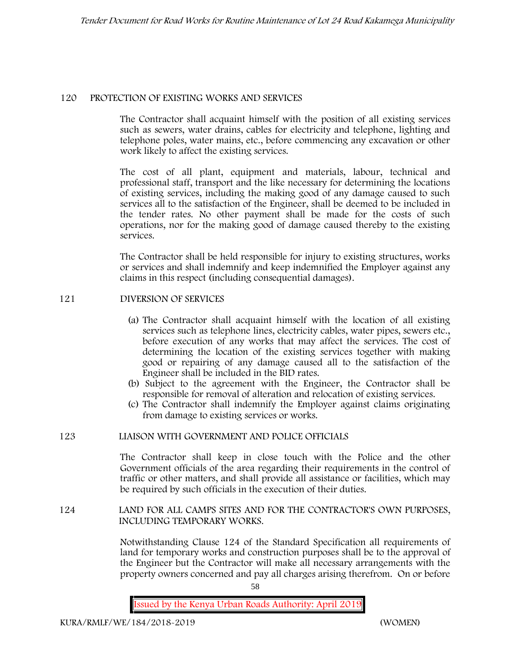## **120 PROTECTION OF EXISTING WORKS AND SERVICES**

The Contractor shall acquaint himself with the position of all existing services such as sewers, water drains, cables for electricity and telephone, lighting and telephone poles, water mains, etc., before commencing any excavation or other work likely to affect the existing services.

The cost of all plant, equipment and materials, labour, technical and professional staff, transport and the like necessary for determining the locations of existing services, including the making good of any damage caused to such services all to the satisfaction of the Engineer, shall be deemed to be included in the tender rates. No other payment shall be made for the costs of such operations, nor for the making good of damage caused thereby to the existing services.

The Contractor shall be held responsible for injury to existing structures, works or services and shall indemnify and keep indemnified the Employer against any claims in this respect (including consequential damages).

# **121 DIVERSION OF SERVICES**

- (a) The Contractor shall acquaint himself with the location of all existing services such as telephone lines, electricity cables, water pipes, sewers etc., before execution of any works that may affect the services. The cost of determining the location of the existing services together with making good or repairing of any damage caused all to the satisfaction of the Engineer shall be included in the BID rates.
- (b) Subject to the agreement with the Engineer, the Contractor shall be responsible for removal of alteration and relocation of existing services.
- (c) The Contractor shall indemnify the Employer against claims originating from damage to existing services or works.

# **123 LIAISON WITH GOVERNMENT AND POLICE OFFICIALS**

The Contractor shall keep in close touch with the Police and the other Government officials of the area regarding their requirements in the control of traffic or other matters, and shall provide all assistance or facilities, which may be required by such officials in the execution of their duties.

## **124 LAND FOR ALL CAMPS SITES AND FOR THE CONTRACTOR'S OWN PURPOSES, INCLUDING TEMPORARY WORKS.**

Notwithstanding Clause 124 of the Standard Specification all requirements of land for temporary works and construction purposes shall be to the approval of the Engineer but the Contractor will make all necessary arrangements with the property owners concerned and pay all charges arising therefrom. On or before

58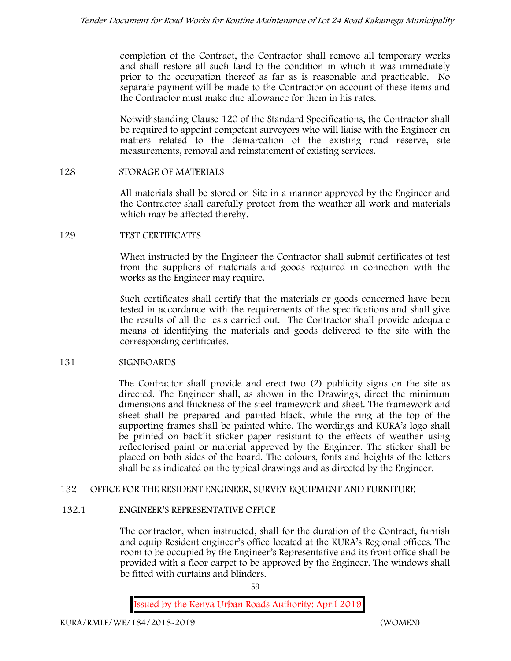completion of the Contract, the Contractor shall remove all temporary works and shall restore all such land to the condition in which it was immediately prior to the occupation thereof as far as is reasonable and practicable. No separate payment will be made to the Contractor on account of these items and the Contractor must make due allowance for them in his rates.

Notwithstanding Clause 120 of the Standard Specifications, the Contractor shall be required to appoint competent surveyors who will liaise with the Engineer on matters related to the demarcation of the existing road reserve, site measurements, removal and reinstatement of existing services.

# **128 STORAGE OF MATERIALS**

All materials shall be stored on Site in a manner approved by the Engineer and the Contractor shall carefully protect from the weather all work and materials which may be affected thereby.

## **129 TEST CERTIFICATES**

When instructed by the Engineer the Contractor shall submit certificates of test from the suppliers of materials and goods required in connection with the works as the Engineer may require.

Such certificates shall certify that the materials or goods concerned have been tested in accordance with the requirements of the specifications and shall give the results of all the tests carried out. The Contractor shall provide adequate means of identifying the materials and goods delivered to the site with the corresponding certificates.

# **131 SIGNBOARDS**

The Contractor shall provide and erect two (2) publicity signs on the site as directed. The Engineer shall, as shown in the Drawings, direct the minimum dimensions and thickness of the steel framework and sheet. The framework and sheet shall be prepared and painted black, while the ring at the top of the supporting frames shall be painted white. The wordings and KURA's logo shall be printed on backlit sticker paper resistant to the effects of weather using reflectorised paint or material approved by the Engineer. The sticker shall be placed on both sides of the board. The colours, fonts and heights of the letters shall be as indicated on the typical drawings and as directed by the Engineer.

# **132 OFFICE FOR THE RESIDENT ENGINEER, SURVEY EQUIPMENT AND FURNITURE**

# **132.1 ENGINEER'S REPRESENTATIVE OFFICE**

The contractor, when instructed, shall for the duration of the Contract, furnish and equip Resident engineer's office located at the KURA's Regional offices. The room to be occupied by the Engineer's Representative and its front office shall be provided with a floor carpet to be approved by the Engineer. The windows shall be fitted with curtains and blinders.

59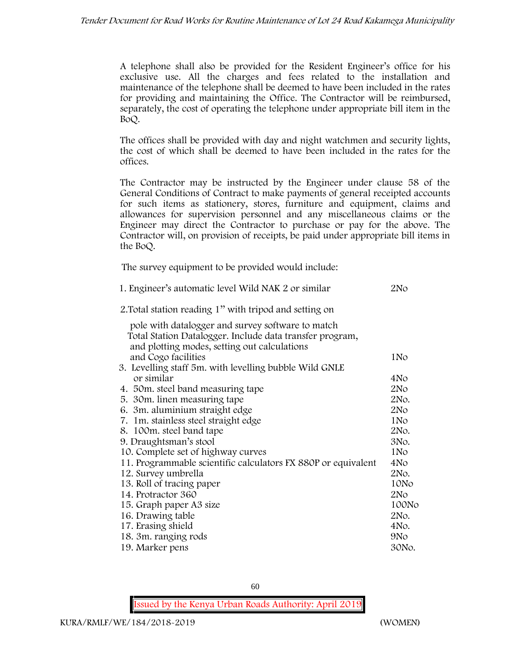A telephone shall also be provided for the Resident Engineer's office for his exclusive use. All the charges and fees related to the installation and maintenance of the telephone shall be deemed to have been included in the rates for providing and maintaining the Office. The Contractor will be reimbursed, separately, the cost of operating the telephone under appropriate bill item in the BoQ.

The offices shall be provided with day and night watchmen and security lights, the cost of which shall be deemed to have been included in the rates for the offices.

The Contractor may be instructed by the Engineer under clause 58 of the General Conditions of Contract to make payments of general receipted accounts for such items as stationery, stores, furniture and equipment, claims and allowances for supervision personnel and any miscellaneous claims or the Engineer may direct the Contractor to purchase or pay for the above. The Contractor will, on provision of receipts, be paid under appropriate bill items in the BoQ.

**The survey equipment to be provided would include:**

| 1. Engineer's automatic level Wild NAK 2 or similar           | 2N <sub>O</sub> |
|---------------------------------------------------------------|-----------------|
| 2. Total station reading 1" with tripod and setting on        |                 |
| pole with datalogger and survey software to match             |                 |
| Total Station Datalogger. Include data transfer program,      |                 |
| and plotting modes, setting out calculations                  |                 |
| and Cogo facilities                                           | 1No             |
| 3. Levelling staff 5m. with levelling bubble Wild GNLE        |                 |
| or similar                                                    | 4No             |
| 4. 50 m. steel band measuring tape                            | 2No             |
| 5. 30 m. linen measuring tape                                 | 2No.            |
| 6. 3m. aluminium straight edge                                | 2No             |
| 7. 1m. stainless steel straight edge                          | 1No             |
| 8. 100m. steel band tape                                      | 2No.            |
| 9. Draughtsman's stool                                        | 3No.            |
| 10. Complete set of highway curves                            | 1N <sub>o</sub> |
| 11. Programmable scientific calculators FX 880P or equivalent | 4No             |
| 12. Survey umbrella                                           | 2No.            |
| 13. Roll of tracing paper                                     | 10No            |
| 14. Protractor 360                                            | 2N <sub>O</sub> |
| 15. Graph paper A3 size                                       | 100No           |
| 16. Drawing table                                             | 2No.            |
| 17. Erasing shield                                            | 4No.            |
| 18. 3m. ranging rods                                          | 9N <sub>o</sub> |
| 19. Marker pens                                               | 30No.           |

60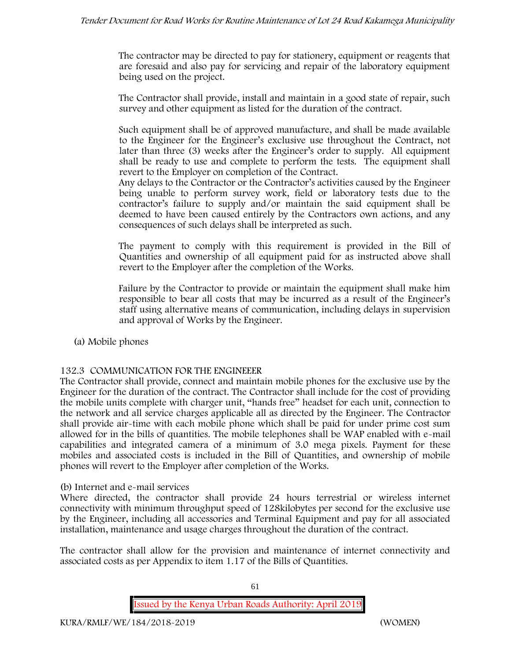The contractor may be directed to pay for stationery, equipment or reagents that are foresaid and also pay for servicing and repair of the laboratory equipment being used on the project.

The Contractor shall provide, install and maintain in a good state of repair, such survey and other equipment as listed for the duration of the contract.

Such equipment shall be of approved manufacture, and shall be made available to the Engineer for the Engineer's exclusive use throughout the Contract, not later than three (3) weeks after the Engineer's order to supply. All equipment shall be ready to use and complete to perform the tests. The equipment shall revert to the Employer on completion of the Contract.

Any delays to the Contractor or the Contractor's activities caused by the Engineer being unable to perform survey work, field or laboratory tests due to the contractor's failure to supply and/or maintain the said equipment shall be deemed to have been caused entirely by the Contractors own actions, and any consequences of such delays shall be interpreted as such.

The payment to comply with this requirement is provided in the Bill of Quantities and ownership of all equipment paid for as instructed above shall revert to the Employer after the completion of the Works.

Failure by the Contractor to provide or maintain the equipment shall make him responsible to bear all costs that may be incurred as a result of the Engineer's staff using alternative means of communication, including delays in supervision and approval of Works by the Engineer.

**(a) Mobile phones**

# **132.3 COMMUNICATION FOR THE ENGINEEER**

The Contractor shall provide, connect and maintain mobile phones for the exclusive use by the Engineer for the duration of the contract. The Contractor shall include for the cost of providing the mobile units complete with charger unit, "hands free" headset for each unit, connection to the network and all service charges applicable all as directed by the Engineer. The Contractor shall provide air-time with each mobile phone which shall be paid for under prime cost sum allowed for in the bills of quantities. The mobile telephones shall be WAP enabled with e-mail capabilities and integrated camera of a minimum of 3.0 mega pixels. Payment for these mobiles and associated costs is included in the Bill of Quantities, and ownership of mobile phones will revert to the Employer after completion of the Works.

#### **(b) Internet and e-mail services**

Where directed, the contractor shall provide 24 hours terrestrial or wireless internet connectivity with minimum throughput speed of 128kilobytes per second for the exclusive use by the Engineer, including all accessories and Terminal Equipment and pay for all associated installation, maintenance and usage charges throughout the duration of the contract.

The contractor shall allow for the provision and maintenance of internet connectivity and associated costs as per Appendix to item 1.17 of the Bills of Quantities.

**Issued by the Kenya Urban Roads Authority: April 2019**

61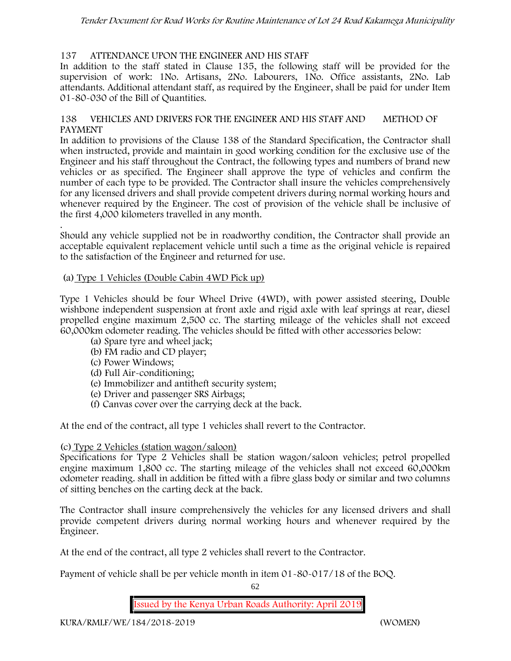# **137 ATTENDANCE UPON THE ENGINEER AND HIS STAFF**

In addition to the staff stated in Clause 135, the following staff will be provided for the supervision of work: 1No. Artisans, 2No. Labourers, 1No. Office assistants, 2No. Lab attendants. Additional attendant staff, as required by the Engineer, shall be paid for under Item 01-80-030 of the Bill of Quantities.

## **138 VEHICLES AND DRIVERS FOR THE ENGINEER AND HIS STAFF AND METHOD OF PAYMENT**

In addition to provisions of the Clause 138 of the Standard Specification, the Contractor shall when instructed, provide and maintain in good working condition for the exclusive use of the Engineer and his staff throughout the Contract, the following types and numbers of brand new vehicles or as specified. The Engineer shall approve the type of vehicles and confirm the number of each type to be provided. The Contractor shall insure the vehicles comprehensively for any licensed drivers and shall provide competent drivers during normal working hours and whenever required by the Engineer. The cost of provision of the vehicle shall be inclusive of the first 4,000 kilometers travelled in any month.

.Should any vehicle supplied not be in roadworthy condition, the Contractor shall provide an acceptable equivalent replacement vehicle until such a time as the original vehicle is repaired to the satisfaction of the Engineer and returned for use.

## **(a) Type 1 Vehicles (Double Cabin 4WD Pick up)**

Type 1 Vehicles should be four Wheel Drive (4WD), with power assisted steering, Double wishbone independent suspension at front axle and rigid axle with leaf springs at rear, diesel propelled engine maximum 2,500 cc. The starting mileage of the vehicles shall not exceed 60,000km odometer reading. The vehicles should be fitted with other accessories below:

- (a) Spare tyre and wheel jack;
- (b) FM radio and CD player;
- (c) Power Windows;
- (d) Full Air-conditioning;
- (e) Immobilizer and antitheft security system;
- (e) Driver and passenger SRS Airbags;
- (f) Canvas cover over the carrying deck at the back.

At the end of the contract, all type 1 vehicles shall revert to the Contractor.

# **(c) Type 2 Vehicles (station wagon/saloon)**

Specifications for Type 2 Vehicles shall be station wagon/saloon vehicles; petrol propelled engine maximum 1,800 cc. The starting mileage of the vehicles shall not exceed 60,000km odometer reading. shall in addition be fitted with a fibre glass body or similar and two columns of sitting benches on the carting deck at the back.

The Contractor shall insure comprehensively the vehicles for any licensed drivers and shall provide competent drivers during normal working hours and whenever required by the Engineer.

At the end of the contract, all type 2 vehicles shall revert to the Contractor.

Payment of vehicle shall be per vehicle month in item 01-80-017/18 of the BOQ.

62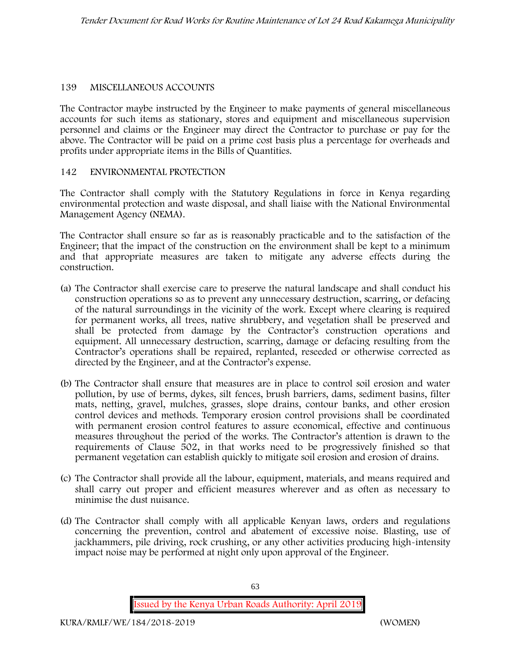# **139 MISCELLANEOUS ACCOUNTS**

The Contractor maybe instructed by the Engineer to make payments of general miscellaneous accounts for such items as stationary, stores and equipment and miscellaneous supervision personnel and claims or the Engineer may direct the Contractor to purchase or pay for the above. The Contractor will be paid on a prime cost basis plus a percentage for overheads and profits under appropriate items in the Bills of Quantities.

# **142 ENVIRONMENTAL PROTECTION**

The Contractor shall comply with the Statutory Regulations in force in Kenya regarding environmental protection and waste disposal, and shall liaise with the National Environmental Management Agency (NEMA).

The Contractor shall ensure so far as is reasonably practicable and to the satisfaction of the Engineer; that the impact of the construction on the environment shall be kept to a minimum and that appropriate measures are taken to mitigate any adverse effects during the construction.

- (a) The Contractor shall exercise care to preserve the natural landscape and shall conduct his construction operations so as to prevent any unnecessary destruction, scarring, or defacing of the natural surroundings in the vicinity of the work. Except where clearing is required for permanent works, all trees, native shrubbery, and vegetation shall be preserved and shall be protected from damage by the Contractor's construction operations and equipment. All unnecessary destruction, scarring, damage or defacing resulting from the Contractor's operations shall be repaired, replanted, reseeded or otherwise corrected as directed by the Engineer, and at the Contractor's expense.
- (b) The Contractor shall ensure that measures are in place to control soil erosion and water pollution, by use of berms, dykes, silt fences, brush barriers, dams, sediment basins, filter mats, netting, gravel, mulches, grasses, slope drains, contour banks, and other erosion control devices and methods. Temporary erosion control provisions shall be coordinated with permanent erosion control features to assure economical, effective and continuous measures throughout the period of the works. The Contractor's attention is drawn to the requirements of Clause 502, in that works need to be progressively finished so that permanent vegetation can establish quickly to mitigate soil erosion and erosion of drains.
- (c) The Contractor shall provide all the labour, equipment, materials, and means required and shall carry out proper and efficient measures wherever and as often as necessary to minimise the dust nuisance.
- (d) The Contractor shall comply with all applicable Kenyan laws, orders and regulations concerning the prevention, control and abatement of excessive noise. Blasting, use of jackhammers, pile driving, rock crushing, or any other activities producing high-intensity impact noise may be performed at night only upon approval of the Engineer.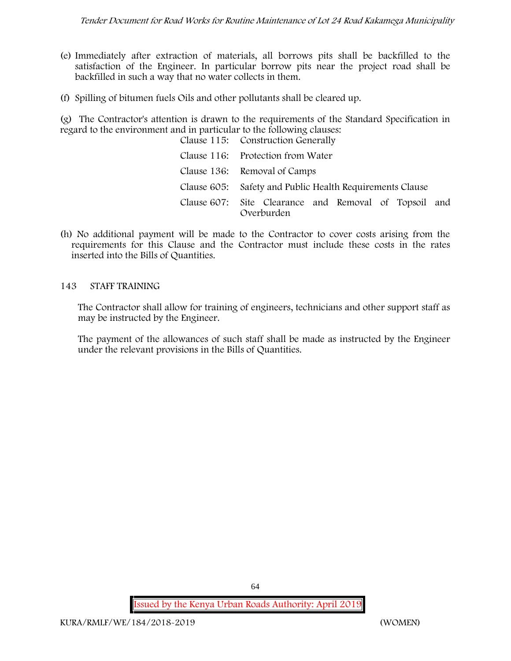- (e) Immediately after extraction of materials, all borrows pits shall be backfilled to the satisfaction of the Engineer. In particular borrow pits near the project road shall be backfilled in such a way that no water collects in them.
- (f) Spilling of bitumen fuels Oils and other pollutants shall be cleared up.

(g) The Contractor's attention is drawn to the requirements of the Standard Specification in regard to the environment and in particular to the following clauses:

| Clause 115: Construction Generally                                  |
|---------------------------------------------------------------------|
| Clause 116: Protection from Water                                   |
| Clause 136: Removal of Camps                                        |
| Clause 605: Safety and Public Health Requirements Clause            |
| Clause 607: Site Clearance and Removal of Topsoil and<br>Overburden |

(h) No additional payment will be made to the Contractor to cover costs arising from the requirements for this Clause and the Contractor must include these costs in the rates inserted into the Bills of Quantities.

# **143 STAFF TRAINING**

The Contractor shall allow for training of engineers, technicians and other support staff as may be instructed by the Engineer.

The payment of the allowances of such staff shall be made as instructed by the Engineer under the relevant provisions in the Bills of Quantities.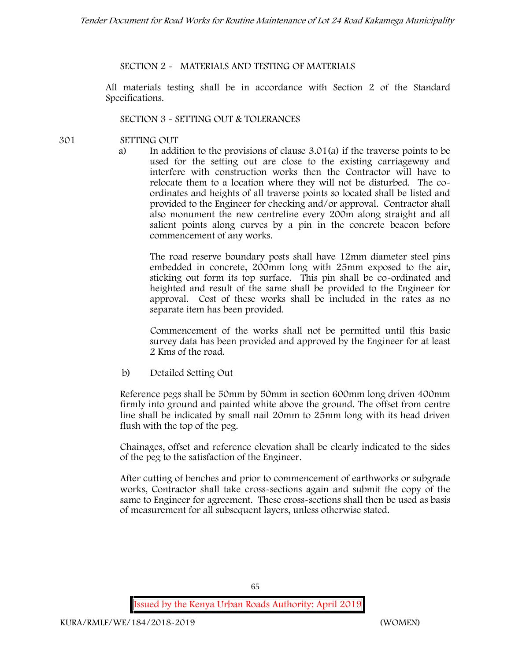# **SECTION 2 - MATERIALS AND TESTING OF MATERIALS**

All materials testing shall be in accordance with Section 2 of the Standard Specifications.

# **SECTION 3 - SETTING OUT & TOLERANCES**

- **301 SETTING OUT**
	- a) In addition to the provisions of clause 3.01(a) if the traverse points to be used for the setting out are close to the existing carriageway and interfere with construction works then the Contractor will have to relocate them to a location where they will not be disturbed. The co ordinates and heights of all traverse points so located shall be listed and provided to the Engineer for checking and/or approval. Contractor shall also monument the new centreline every 200m along straight and all salient points along curves by a pin in the concrete beacon before commencement of any works.

The road reserve boundary posts shall have 12mm diameter steel pins embedded in concrete, 200mm long with 25mm exposed to the air, sticking out form its top surface. This pin shall be co-ordinated and heighted and result of the same shall be provided to the Engineer for approval. Cost of these works shall be included in the rates as no separate item has been provided.

Commencement of the works shall not be permitted until this basic survey data has been provided and approved by the Engineer for at least 2 Kms of the road.

b) Detailed Setting Out

Reference pegs shall be 50mm by 50mm in section 600mm long driven 400mm firmly into ground and painted white above the ground. The offset from centre line shall be indicated by small nail 20mm to 25mm long with its head driven flush with the top of the peg.

Chainages, offset and reference elevation shall be clearly indicated to the sides of the peg to the satisfaction of the Engineer.

After cutting of benches and prior to commencement of earthworks or subgrade works, Contractor shall take cross-sections again and submit the copy of the same to Engineer for agreement. These cross-sections shall then be used as basis of measurement for all subsequent layers, unless otherwise stated.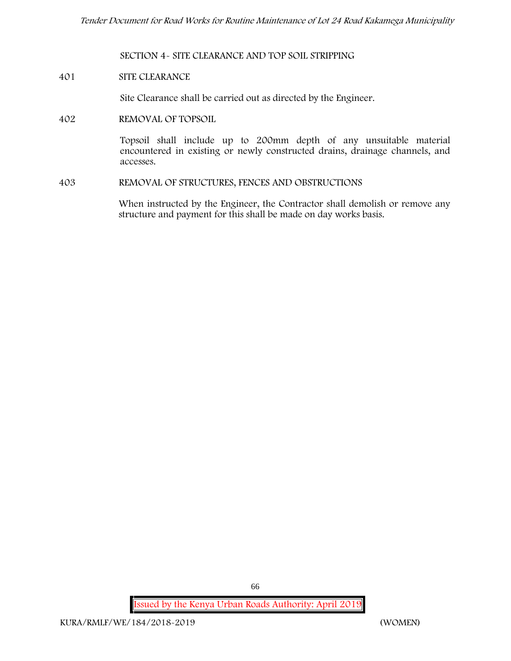**SECTION 4- SITE CLEARANCE AND TOP SOIL STRIPPING**

#### **401 SITE CLEARANCE**

Site Clearance shall be carried out as directed by the Engineer.

**402 REMOVAL OF TOPSOIL**

Topsoil shall include up to 200mm depth of any unsuitable material encountered in existing or newly constructed drains, drainage channels, and accesses.

**403 REMOVAL OF STRUCTURES, FENCES AND OBSTRUCTIONS**

When instructed by the Engineer, the Contractor shall demolish or remove any structure and payment for this shall be made on day works basis.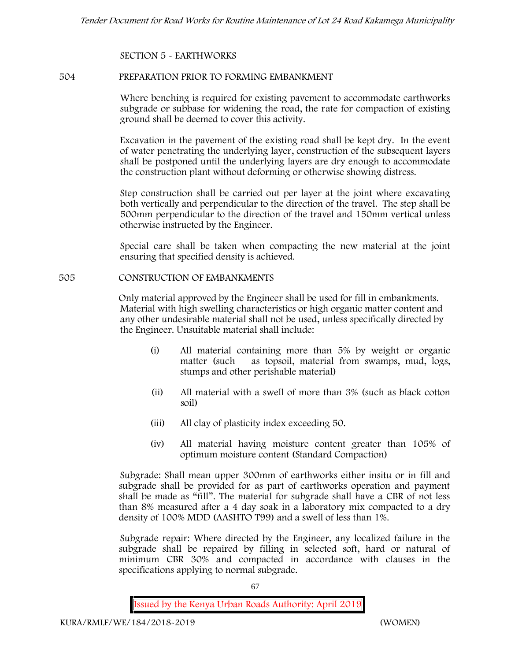## **SECTION 5 - EARTHWORKS**

#### **504 PREPARATION PRIOR TO FORMING EMBANKMENT**

Where benching is required for existing pavement to accommodate earthworks subgrade or subbase for widening the road, the rate for compaction of existing ground shall be deemed to cover this activity.

Excavation in the pavement of the existing road shall be kept dry. In the event of water penetrating the underlying layer, construction of the subsequent layers shall be postponed until the underlying layers are dry enough to accommodate the construction plant without deforming or otherwise showing distress.

Step construction shall be carried out per layer at the joint where excavating both vertically and perpendicular to the direction of the travel. The step shall be 500mm perpendicular to the direction of the travel and 150mm vertical unless otherwise instructed by the Engineer.

Special care shall be taken when compacting the new material at the joint ensuring that specified density is achieved.

#### **505 CONSTRUCTION OF EMBANKMENTS**

Only material approved by the Engineer shall be used for fill in embankments. Material with high swelling characteristics or high organic matter content and any other undesirable material shall not be used, unless specifically directed by the Engineer. Unsuitable material shall include:

- (i) All material containing more than 5% by weight or organic matter (such as topsoil, material from swamps, mud, logs, stumps and other perishable material)
- (ii) All material with a swell of more than 3% (such as black cotton soil)
- (iii) All clay of plasticity index exceeding 50.
- (iv) All material having moisture content greater than 105% of optimum moisture content (Standard Compaction)

Subgrade: Shall mean upper 300mm of earthworks either insitu or in fill and subgrade shall be provided for as part of earthworks operation and payment shall be made as "fill". The material for subgrade shall have a CBR of not less than 8% measured after a 4 day soak in a laboratory mix compacted to a dry density of 100% MDD (AASHTO T99) and a swell of less than 1%.

Subgrade repair: Where directed by the Engineer, any localized failure in the subgrade shall be repaired by filling in selected soft, hard or natural of minimum CBR 30% and compacted in accordance with clauses in the specifications applying to normal subgrade.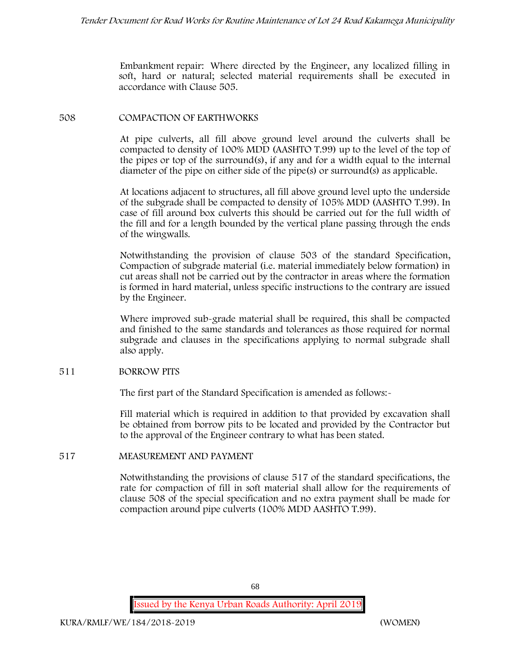Embankment repair: Where directed by the Engineer, any localized filling in soft, hard or natural; selected material requirements shall be executed in accordance with Clause 505.

## **508 COMPACTION OF EARTHWORKS**

At pipe culverts, all fill above ground level around the culverts shall be compacted to density of 100% MDD (AASHTO T.99) up to the level of the top of the pipes or top of the surround(s), if any and for a width equal to the internal diameter of the pipe on either side of the pipe(s) or surround(s) as applicable.

At locations adjacent to structures, all fill above ground level upto the underside of the subgrade shall be compacted to density of 105% MDD (AASHTO T.99). In case of fill around box culverts this should be carried out for the full width of the fill and for a length bounded by the vertical plane passing through the ends of the wingwalls.

Notwithstanding the provision of clause 503 of the standard Specification, Compaction of subgrade material (i.e. material immediately below formation) in cut areas shall not be carried out by the contractor in areas where the formation is formed in hard material, unless specific instructions to the contrary are issued by the Engineer.

Where improved sub-grade material shall be required, this shall be compacted and finished to the same standards and tolerances as those required for normal subgrade and clauses in the specifications applying to normal subgrade shall also apply.

# **511 BORROW PITS**

The first part of the Standard Specification is amended as follows:

Fill material which is required in addition to that provided by excavation shall be obtained from borrow pits to be located and provided by the Contractor but to the approval of the Engineer contrary to what has been stated.

# **517 MEASUREMENT AND PAYMENT**

Notwithstanding the provisions of clause 517 of the standard specifications, the rate for compaction of fill in soft material shall allow for the requirements of clause 508 of the special specification and no extra payment shall be made for compaction around pipe culverts (100% MDD AASHTO T.99).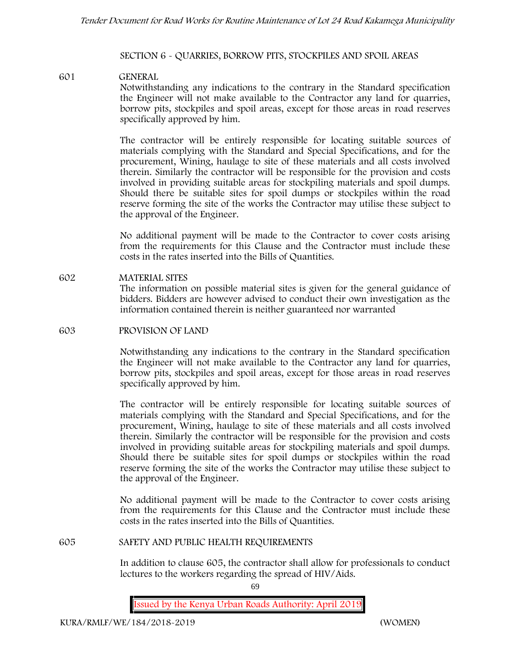#### **SECTION 6 - QUARRIES, BORROW PITS, STOCKPILES AND SPOIL AREAS**

## **601 GENERAL**

Notwithstanding any indications to the contrary in the Standard specification the Engineer will not make available to the Contractor any land for quarries, borrow pits, stockpiles and spoil areas, except for those areas in road reserves specifically approved by him.

The contractor will be entirely responsible for locating suitable sources of materials complying with the Standard and Special Specifications, and for the procurement, Wining, haulage to site of these materials and all costs involved therein. Similarly the contractor will be responsible for the provision and costs involved in providing suitable areas for stockpiling materials and spoil dumps. Should there be suitable sites for spoil dumps or stockpiles within the road reserve forming the site of the works the Contractor may utilise these subject to the approval of the Engineer.

No additional payment will be made to the Contractor to cover costs arising from the requirements for this Clause and the Contractor must include these costs in the rates inserted into the Bills of Quantities.

**602 MATERIAL SITES** The information on possible material sites is given for the general guidance of bidders. Bidders are however advised to conduct their own investigation as the information contained therein is neither guaranteed nor warranted

#### **603 PROVISION OF LAND**

Notwithstanding any indications to the contrary in the Standard specification the Engineer will not make available to the Contractor any land for quarries, borrow pits, stockpiles and spoil areas, except for those areas in road reserves specifically approved by him.

The contractor will be entirely responsible for locating suitable sources of materials complying with the Standard and Special Specifications, and for the procurement, Wining, haulage to site of these materials and all costs involved therein. Similarly the contractor will be responsible for the provision and costs involved in providing suitable areas for stockpiling materials and spoil dumps. Should there be suitable sites for spoil dumps or stockpiles within the road reserve forming the site of the works the Contractor may utilise these subject to the approval of the Engineer.

No additional payment will be made to the Contractor to cover costs arising from the requirements for this Clause and the Contractor must include these costs in the rates inserted into the Bills of Quantities.

#### **605 SAFETY AND PUBLIC HEALTH REQUIREMENTS**

In addition to clause 605, the contractor shall allow for professionals to conduct lectures to the workers regarding the spread of HIV/Aids.

69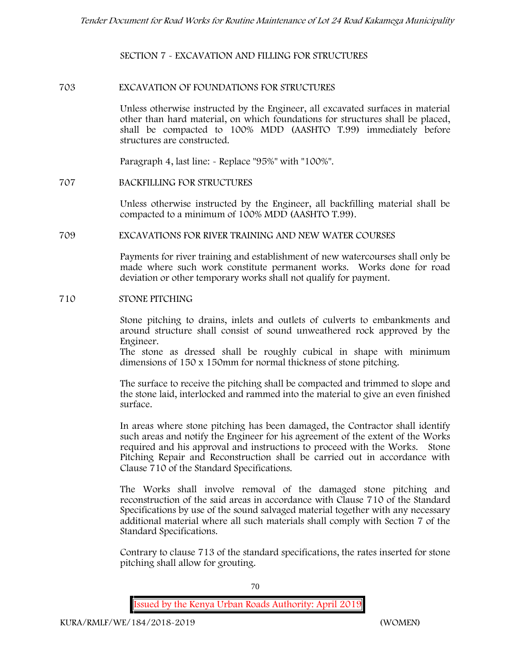**SECTION 7 - EXCAVATION AND FILLING FOR STRUCTURES**

#### **703 EXCAVATION OF FOUNDATIONS FOR STRUCTURES**

Unless otherwise instructed by the Engineer, all excavated surfaces in material other than hard material, on which foundations for structures shall be placed, shall be compacted to 100% MDD (AASHTO T.99) immediately before structures are constructed.

Paragraph 4, last line: - Replace "95%" with "100%".

#### **707 BACKFILLING FOR STRUCTURES**

Unless otherwise instructed by the Engineer, all backfilling material shall be compacted to a minimum of 100% MDD (AASHTO T.99).

#### **709 EXCAVATIONS FOR RIVER TRAINING AND NEW WATER COURSES**

Payments for river training and establishment of new watercourses shall only be made where such work constitute permanent works. Works done for road deviation or other temporary works shall not qualify for payment.

#### **710 STONE PITCHING**

Stone pitching to drains, inlets and outlets of culverts to embankments and around structure shall consist of sound unweathered rock approved by the Engineer.

The stone as dressed shall be roughly cubical in shape with minimum dimensions of 150 x 150mm for normal thickness of stone pitching.

The surface to receive the pitching shall be compacted and trimmed to slope and the stone laid, interlocked and rammed into the material to give an even finished surface.

In areas where stone pitching has been damaged, the Contractor shall identify such areas and notify the Engineer for his agreement of the extent of the Works required and his approval and instructions to proceed with the Works. Stone Pitching Repair and Reconstruction shall be carried out in accordance with Clause 710 of the Standard Specifications.

The Works shall involve removal of the damaged stone pitching and reconstruction of the said areas in accordance with Clause 710 of the Standard Specifications by use of the sound salvaged material together with any necessary additional material where all such materials shall comply with Section 7 of the Standard Specifications.

Contrary to clause 713 of the standard specifications, the rates inserted for stone pitching shall allow for grouting.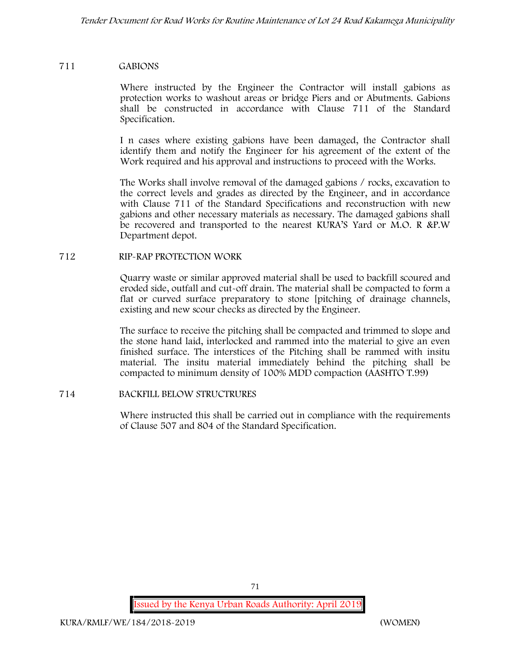## **711 GABIONS**

Where instructed by the Engineer the Contractor will install gabions as protection works to washout areas or bridge Piers and or Abutments. Gabions shall be constructed in accordance with Clause 711 of the Standard Specification.

I n cases where existing gabions have been damaged, the Contractor shall identify them and notify the Engineer for his agreement of the extent of the Work required and his approval and instructions to proceed with the Works.

The Works shall involve removal of the damaged gabions / rocks, excavation to the correct levels and grades as directed by the Engineer, and in accordance with Clause 711 of the Standard Specifications and reconstruction with new gabions and other necessary materials as necessary. The damaged gabions shall be recovered and transported to the nearest KURA'S Yard or M.O. R &P.W Department depot.

## **712 RIP-RAP PROTECTION WORK**

Quarry waste or similar approved material shall be used to backfill scoured and eroded side, outfall and cut-off drain. The material shall be compacted to form a flat or curved surface preparatory to stone [pitching of drainage channels, existing and new scour checks as directed by the Engineer.

The surface to receive the pitching shall be compacted and trimmed to slope and the stone hand laid, interlocked and rammed into the material to give an even finished surface. The interstices of the Pitching shall be rammed with insitu material. The insitu material immediately behind the pitching shall be compacted to minimum density of 100% MDD compaction (AASHTO T.99)

# **714 BACKFILL BELOW STRUCTRURES**

Where instructed this shall be carried out in compliance with the requirements of Clause 507 and 804 of the Standard Specification.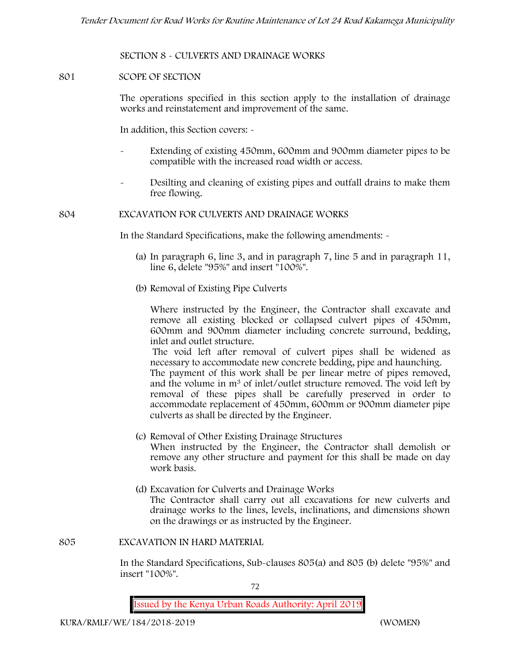### **SECTION 8 - CULVERTS AND DRAINAGE WORKS**

#### **801 SCOPE OF SECTION**

The operations specified in this section apply to the installation of drainage works and reinstatement and improvement of the same.

In addition, this Section covers: -

- Extending of existing 450mm, 600mm and 900mm diameter pipes to be compatible with the increased road width or access.
- Desilting and cleaning of existing pipes and outfall drains to make them free flowing.

**804 EXCAVATION FOR CULVERTS AND DRAINAGE WORKS**

In the Standard Specifications, make the following amendments: -

- (a) In paragraph 6, line 3, and in paragraph 7, line 5 and in paragraph 11, line 6, delete "95%" and insert "100%".
- (b) Removal of Existing Pipe Culverts

Where instructed by the Engineer, the Contractor shall excavate and remove all existing blocked or collapsed culvert pipes of 450mm, 600mm and 900mm diameter including concrete surround, bedding, inlet and outlet structure.

The void left after removal of culvert pipes shall be widened as necessary to accommodate new concrete bedding, pipe and haunching. The payment of this work shall be per linear metre of pipes removed,

and the volume in m<sup>3</sup> of inlet/outlet structure removed. The void left by removal of these pipes shall be carefully preserved in order to accommodate replacement of 450mm, 600mm or 900mm diameter pipe culverts as shall be directed by the Engineer.

- (c) Removal of Other Existing Drainage Structures When instructed by the Engineer, the Contractor shall demolish or remove any other structure and payment for this shall be made on day work basis.
- (d) Excavation for Culverts and Drainage Works The Contractor shall carry out all excavations for new culverts and drainage works to the lines, levels, inclinations, and dimensions shown on the drawings or as instructed by the Engineer.

**805 EXCAVATION IN HARD MATERIAL**

In the Standard Specifications, Sub-clauses 805(a) and 805 (b) delete "95%" and insert "100%".

72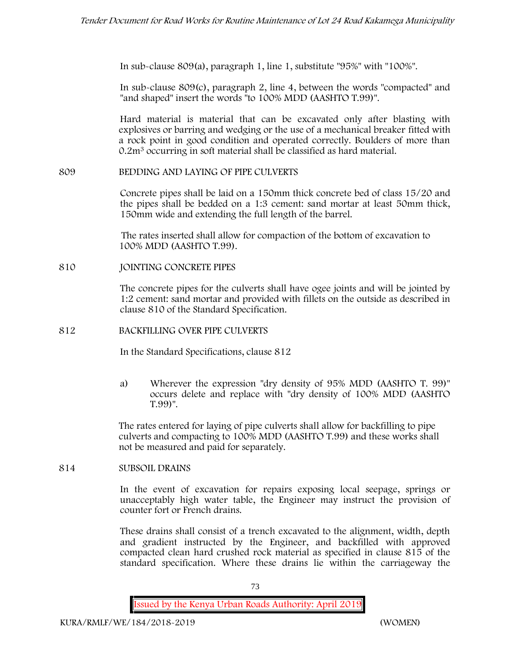In sub-clause 809(a), paragraph 1, line 1, substitute "95%" with "100%".

In sub-clause 809(c), paragraph 2, line 4, between the words "compacted" and "and shaped" insert the words "to 100% MDD (AASHTO T.99)".

Hard material is material that can be excavated only after blasting with explosives or barring and wedging or the use of a mechanical breaker fitted with a rock point in good condition and operated correctly. Boulders of more than 0.2m<sup>3</sup> occurring in soft material shall be classified as hard material.

## **809 BEDDING AND LAYING OF PIPE CULVERTS**

Concrete pipes shall be laid on a 150mm thick concrete bed of class 15/20 and the pipes shall be bedded on a 1:3 cement: sand mortar at least 50mm thick, 150mm wide and extending the full length of the barrel.

The rates inserted shall allow for compaction of the bottom of excavation to 100% MDD (AASHTO T.99).

### **810 JOINTING CONCRETE PIPES**

The concrete pipes for the culverts shall have ogee joints and will be jointed by 1:2 cement: sand mortar and provided with fillets on the outside as described in clause 810 of the Standard Specification.

### **812 BACKFILLING OVER PIPE CULVERTS**

In the Standard Specifications, clause 812

a) Wherever the expression "dry density of 95% MDD (AASHTO T. 99)" occurs delete and replace with "dry density of 100% MDD (AASHTO T.99)".

The rates entered for laying of pipe culverts shall allow for backfilling to pipe culverts and compacting to 100% MDD (AASHTO T.99) and these works shall not be measured and paid for separately.

### **814 SUBSOIL DRAINS**

In the event of excavation for repairs exposing local seepage, springs or unacceptably high water table, the Engineer may instruct the provision of counter fort or French drains.

These drains shall consist of a trench excavated to the alignment, width, depth and gradient instructed by the Engineer, and backfilled with approved compacted clean hard crushed rock material as specified in clause 815 of the standard specification. Where these drains lie within the carriageway the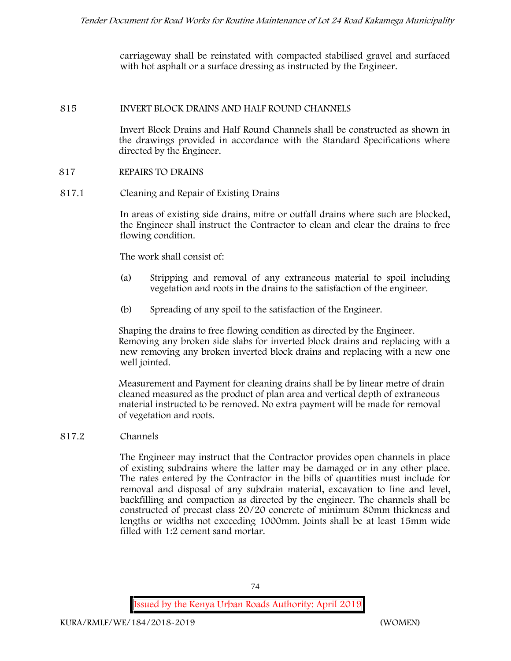carriageway shall be reinstated with compacted stabilised gravel and surfaced with hot asphalt or a surface dressing as instructed by the Engineer.

### **815 INVERT BLOCK DRAINS AND HALF ROUND CHANNELS**

Invert Block Drains and Half Round Channels shall be constructed as shown in the drawings provided in accordance with the Standard Specifications where directed by the Engineer.

## **817 REPAIRS TO DRAINS**

**817.1 Cleaning and Repair of Existing Drains**

In areas of existing side drains, mitre or outfall drains where such are blocked, the Engineer shall instruct the Contractor to clean and clear the drains to free flowing condition.

The work shall consist of:

- (a) Stripping and removal of any extraneous material to spoil including vegetation and roots in the drains to the satisfaction of the engineer.
- (b) Spreading of any spoil to the satisfaction of the Engineer.

Shaping the drains to free flowing condition as directed by the Engineer. Removing any broken side slabs for inverted block drains and replacing with a new removing any broken inverted block drains and replacing with a new one well jointed.

Measurement and Payment for cleaning drains shall be by linear metre of drain cleaned measured as the product of plan area and vertical depth of extraneous material instructed to be removed. No extra payment will be made for removal of vegetation and roots.

# **817.2 Channels**

The Engineer may instruct that the Contractor provides open channels in place of existing subdrains where the latter may be damaged or in any other place. The rates entered by the Contractor in the bills of quantities must include for removal and disposal of any subdrain material, excavation to line and level, backfilling and compaction as directed by the engineer. The channels shall be constructed of precast class 20/20 concrete of minimum 80mm thickness and lengths or widths not exceeding 1000mm. Joints shall be at least 15mm wide filled with 1:2 cement sand mortar.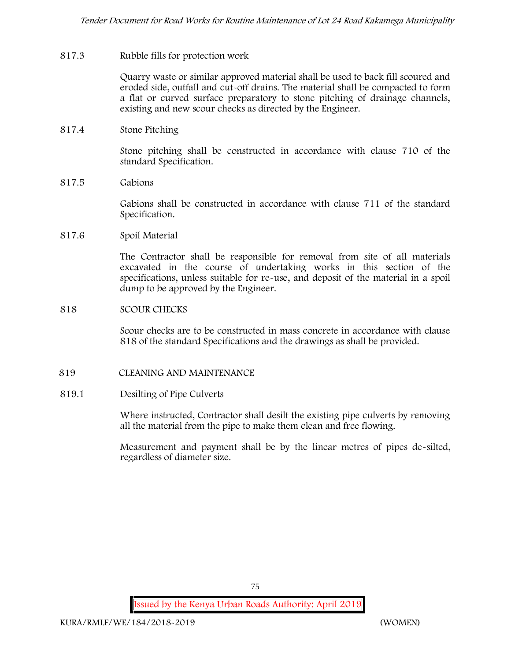## **817.3 Rubble fills for protection work**

Quarry waste or similar approved material shall be used to back fill scoured and eroded side, outfall and cut-off drains. The material shall be compacted to form a flat or curved surface preparatory to stone pitching of drainage channels, existing and new scour checks as directed by the Engineer.

## **817.4 Stone Pitching**

Stone pitching shall be constructed in accordance with clause 710 of the standard Specification.

**817.5 Gabions**

Gabions shall be constructed in accordance with clause 711 of the standard Specification.

**817.6 Spoil Material**

The Contractor shall be responsible for removal from site of all materials excavated in the course of undertaking works in this section of the specifications, unless suitable for re-use, and deposit of the material in a spoil dump to be approved by the Engineer.

### **818 SCOUR CHECKS**

Scour checks are to be constructed in mass concrete in accordance with clause 818 of the standard Specifications and the drawings as shall be provided.

### **819 CLEANING AND MAINTENANCE**

### **819.1 Desilting of Pipe Culverts**

Where instructed, Contractor shall desilt the existing pipe culverts by removing all the material from the pipe to make them clean and free flowing.

Measurement and payment shall be by the linear metres of pipes de-silted, regardless of diameter size.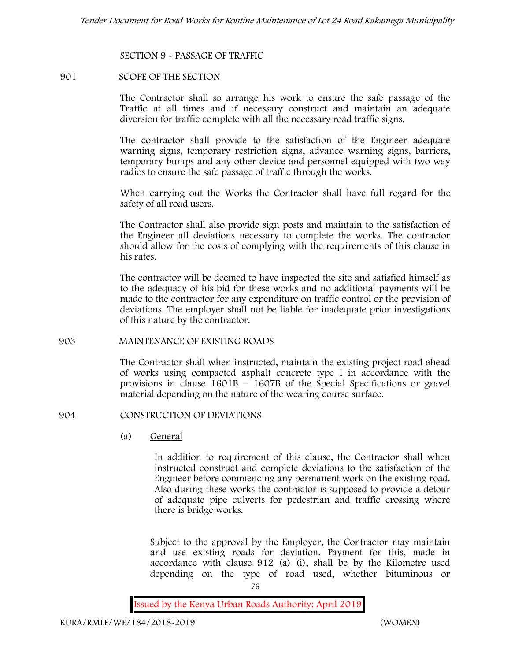### **SECTION 9 - PASSAGE OF TRAFFIC**

#### **901 SCOPE OF THE SECTION**

The Contractor shall so arrange his work to ensure the safe passage of the Traffic at all times and if necessary construct and maintain an adequate diversion for traffic complete with all the necessary road traffic signs.

The contractor shall provide to the satisfaction of the Engineer adequate warning signs, temporary restriction signs, advance warning signs, barriers, temporary bumps and any other device and personnel equipped with two way radios to ensure the safe passage of traffic through the works.

When carrying out the Works the Contractor shall have full regard for the safety of all road users.

The Contractor shall also provide sign posts and maintain to the satisfaction of the Engineer all deviations necessary to complete the works. The contractor should allow for the costs of complying with the requirements of this clause in his rates.

The contractor will be deemed to have inspected the site and satisfied himself as to the adequacy of his bid for these works and no additional payments will be made to the contractor for any expenditure on traffic control or the provision of deviations. The employer shall not be liable for inadequate prior investigations of this nature by the contractor.

#### **903 MAINTENANCE OF EXISTING ROADS**

The Contractor shall when instructed, maintain the existing project road ahead of works using compacted asphalt concrete type I in accordance with the provisions in clause 1601B – 1607B of the Special Specifications or gravel material depending on the nature of the wearing course surface.

### **904 CONSTRUCTION OF DEVIATIONS**

(a) **General**

In addition to requirement of this clause, the Contractor shall when instructed construct and complete deviations to the satisfaction of the Engineer before commencing any permanent work on the existing road. Also during these works the contractor is supposed to provide a detour of adequate pipe culverts for pedestrian and traffic crossing where there is bridge works.

Subject to the approval by the Employer, the Contractor may maintain and use existing roads for deviation. Payment for this, made in accordance with clause 912 (a) (i), shall be by the Kilometre used depending on the type of road used, whether bituminous or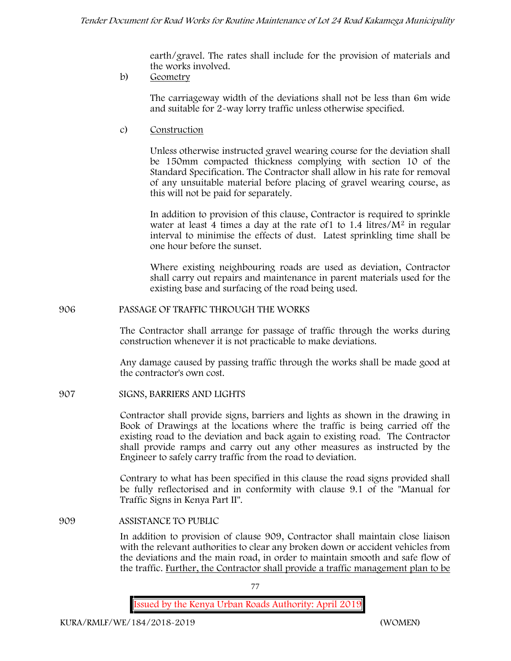earth/gravel. The rates shall include for the provision of materials and the works involved.

b) **Geometry**

The carriageway width of the deviations shall not be less than 6m wide and suitable for 2-way lorry traffic unless otherwise specified.

c) **Construction**

Unless otherwise instructed gravel wearing course for the deviation shall be 150mm compacted thickness complying with section 10 of the Standard Specification. The Contractor shall allow in his rate for removal of any unsuitable material before placing of gravel wearing course, as this will not be paid for separately.

In addition to provision of this clause, Contractor is required to sprinkle water at least 4 times a day at the rate of 1 to  $1.4$  litres/ $M<sup>2</sup>$  in regular interval to minimise the effects of dust. Latest sprinkling time shall be one hour before the sunset.

Where existing neighbouring roads are used as deviation, Contractor shall carry out repairs and maintenance in parent materials used for the existing base and surfacing of the road being used.

**906 PASSAGE OF TRAFFIC THROUGH THE WORKS**

The Contractor shall arrange for passage of traffic through the works during construction whenever it is not practicable to make deviations.

Any damage caused by passing traffic through the works shall be made good at the contractor's own cost.

**907 SIGNS, BARRIERS AND LIGHTS**

Contractor shall provide signs, barriers and lights as shown in the drawing in Book of Drawings at the locations where the traffic is being carried off the existing road to the deviation and back again to existing road. The Contractor shall provide ramps and carry out any other measures as instructed by the Engineer to safely carry traffic from the road to deviation.

Contrary to what has been specified in this clause the road signs provided shall be fully reflectorised and in conformity with clause 9.1 of the "Manual for Traffic Signs in Kenya Part II".

**909 ASSISTANCE TO PUBLIC**

In addition to provision of clause 909, Contractor shall maintain close liaison with the relevant authorities to clear any broken down or accident vehicles from the deviations and the main road, in order to maintain smooth and safe flow of the traffic. Further, the Contractor shall provide a traffic management plan to be

77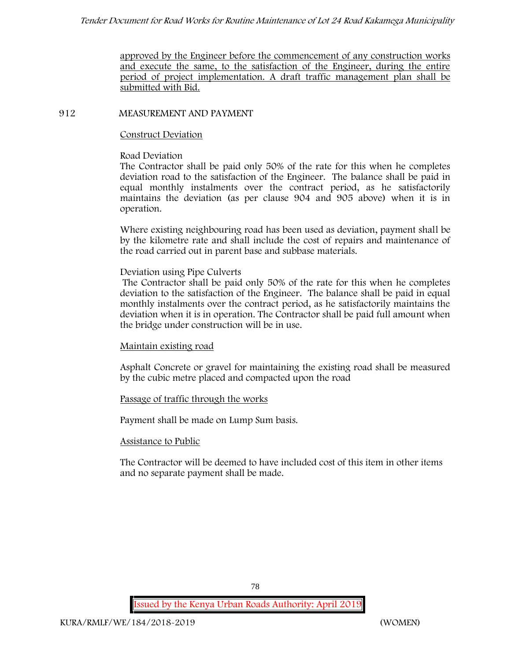approved by the Engineer before the commencement of any construction works and execute the same, to the satisfaction of the Engineer, during the entire period of project implementation. A draft traffic management plan shall be submitted with Bid.

### **912 MEASUREMENT AND PAYMENT**

### **Construct Deviation**

### **Road Deviation**

The Contractor shall be paid only 50% of the rate for this when he completes deviation road to the satisfaction of the Engineer. The balance shall be paid in equal monthly instalments over the contract period, as he satisfactorily maintains the deviation (as per clause 904 and 905 above) when it is in operation.

Where existing neighbouring road has been used as deviation, payment shall be by the kilometre rate and shall include the cost of repairs and maintenance of the road carried out in parent base and subbase materials.

## **Deviation using Pipe Culverts**

The Contractor shall be paid only 50% of the rate for this when he completes deviation to the satisfaction of the Engineer. The balance shall be paid in equal monthly instalments over the contract period, as he satisfactorily maintains the deviation when it is in operation. The Contractor shall be paid full amount when the bridge under construction will be in use.

# **Maintain existing road**

Asphalt Concrete or gravel for maintaining the existing road shall be measured by the cubic metre placed and compacted upon the road

# **Passage of traffic through the works**

Payment shall be made on Lump Sum basis.

### **Assistance to Public**

The Contractor will be deemed to have included cost of this item in other items and no separate payment shall be made.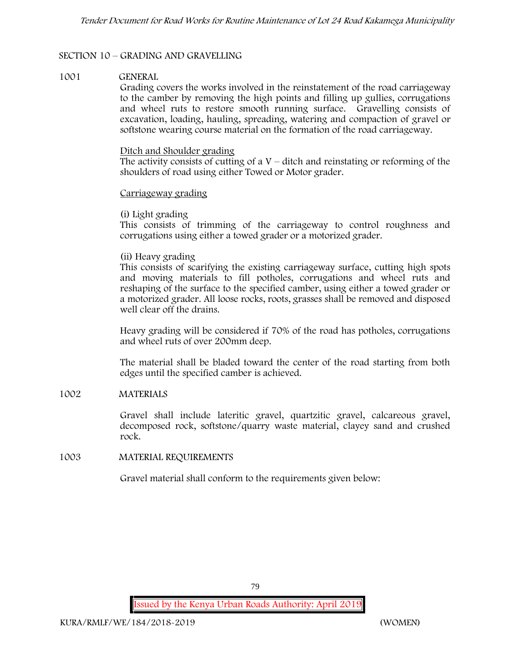### **SECTION 10 – GRADING AND GRAVELLING**

### **1001 GENERAL**

Grading covers the works involved in the reinstatement of the road carriageway to the camber by removing the high points and filling up gullies, corrugations and wheel ruts to restore smooth running surface. Gravelling consists of excavation, loading, hauling, spreading, watering and compaction of gravel or softstone wearing course material on the formation of the road carriageway.

#### Ditch and Shoulder grading

The activity consists of cutting of  $aV - \text{ditch}$  and reinstating or reforming of the shoulders of road using either Towed or Motor grader.

#### Carriageway grading

### **(i) Light grading**

This consists of trimming of the carriageway to control roughness and corrugations using either a towed grader or a motorized grader.

### **(ii) Heavy grading**

This consists of scarifying the existing carriageway surface, cutting high spots and moving materials to fill potholes, corrugations and wheel ruts and reshaping of the surface to the specified camber, using either a towed grader or a motorized grader. All loose rocks, roots, grasses shall be removed and disposed well clear off the drains.

Heavy grading will be considered if 70% of the road has potholes, corrugations and wheel ruts of over 200mm deep.

The material shall be bladed toward the center of the road starting from both edges until the specified camber is achieved.

### **1002 MATERIALS**

Gravel shall include lateritic gravel, quartzitic gravel, calcareous gravel, decomposed rock, softstone/quarry waste material, clayey sand and crushed rock.

### **1003 MATERIAL REQUIREMENTS**

Gravel material shall conform to the requirements given below: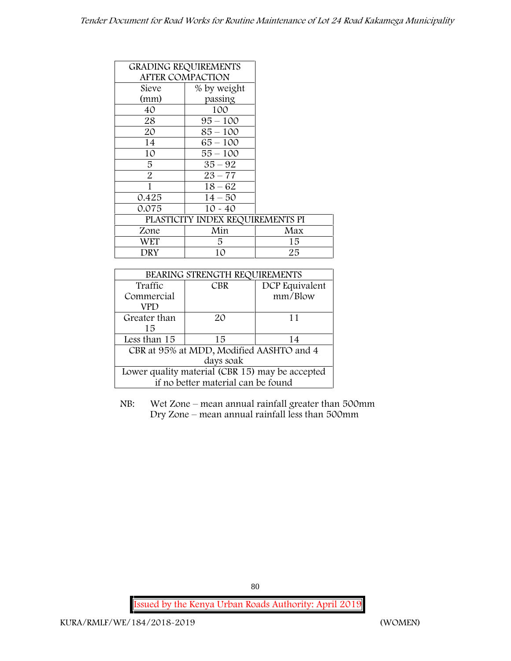|                         | <b>GRADING REQUIREMENTS</b>      |     |
|-------------------------|----------------------------------|-----|
| <b>AFTER COMPACTION</b> |                                  |     |
| Sieve                   | % by weight                      |     |
| (mm)                    | passing                          |     |
| 40                      | 100                              |     |
| 28                      | $95 - 100$                       |     |
| 20                      | $85 - 100$                       |     |
| 14                      | $65 - 100$                       |     |
| 10                      | $55 - 100$                       |     |
| 5                       | $35 - 92$                        |     |
| $\overline{2}$          | $23 - 77$                        |     |
| 1                       | $18 - 62$                        |     |
| 0.425                   | $14 - 50$                        |     |
| 0.075                   | $10 - 40$                        |     |
|                         | PLASTICITY INDEX REQUIREMENTS PI |     |
| Zone                    | Min                              | Max |
| WET                     | 5.                               | 15  |
| DRY                     | 10                               | 25  |

| BEARING STRENGTH REQUIREMENTS                   |                              |         |  |  |  |  |
|-------------------------------------------------|------------------------------|---------|--|--|--|--|
| Traffic                                         | DCP Equivalent<br><b>CBR</b> |         |  |  |  |  |
| Commercial                                      |                              | mm/Blow |  |  |  |  |
| VPD                                             |                              |         |  |  |  |  |
| Greater than                                    | 20                           | 11      |  |  |  |  |
| 15                                              |                              |         |  |  |  |  |
| Less than 15                                    | 15                           | 14      |  |  |  |  |
| CBR at 95% at MDD, Modified AASHTO and 4        |                              |         |  |  |  |  |
| days soak                                       |                              |         |  |  |  |  |
| Lower quality material (CBR 15) may be accepted |                              |         |  |  |  |  |
| if no better material can be found              |                              |         |  |  |  |  |

NB: Wet Zone – mean annual rainfall greater than 500mm Dry Zone – mean annual rainfall less than 500mm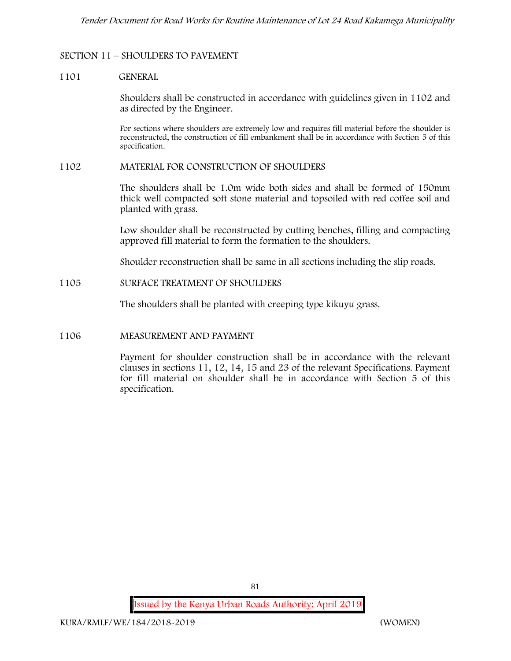## **SECTION 11 – SHOULDERS TO PAVEMENT**

#### **1101 GENERAL**

Shoulders shall be constructed in accordance with guidelines given in 1102 and as directed by the Engineer.

For sections where shoulders are extremely low and requires fill material before the shoulder is reconstructed, the construction of fill embankment shall be in accordance with Section 5 of this specification.

#### **1102 MATERIAL FOR CONSTRUCTION OF SHOULDERS**

The shoulders shall be 1.0m wide both sides and shall be formed of 150mm thick well compacted soft stone material and topsoiled with red coffee soil and planted with grass.

Low shoulder shall be reconstructed by cutting benches, filling and compacting approved fill material to form the formation to the shoulders.

Shoulder reconstruction shall be same in all sections including the slip roads.

#### **1105 SURFACE TREATMENT OF SHOULDERS**

The shoulders shall be planted with creeping type kikuyu grass.

### **1106 MEASUREMENT AND PAYMENT**

Payment for shoulder construction shall be in accordance with the relevant clauses in sections 11, 12, 14, 15 and 23 of the relevant Specifications. Payment for fill material on shoulder shall be in accordance with Section 5 of this specification.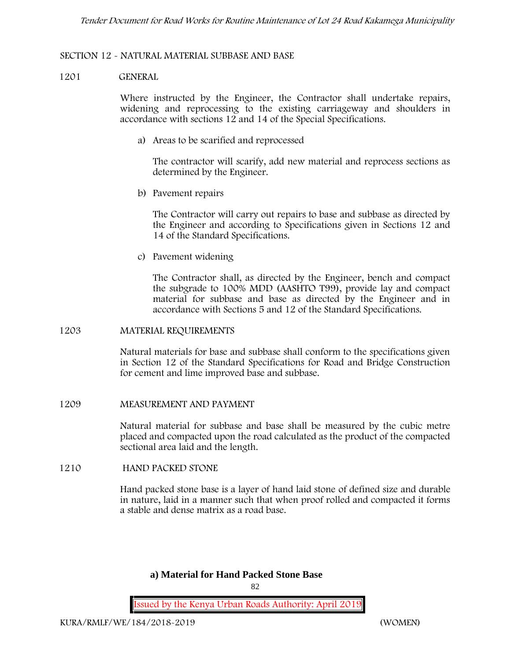### **SECTION 12 - NATURAL MATERIAL SUBBASE AND BASE**

### **1201 GENERAL**

Where instructed by the Engineer, the Contractor shall undertake repairs, widening and reprocessing to the existing carriageway and shoulders in accordance with sections 12 and 14 of the Special Specifications.

**a) Areas to be scarified and reprocessed**

The contractor will scarify, add new material and reprocess sections as determined by the Engineer.

**b) Pavement repairs**

The Contractor will carry out repairs to base and subbase as directed by the Engineer and according to Specifications given in Sections 12 and 14 of the Standard Specifications.

**c) Pavement widening**

The Contractor shall, as directed by the Engineer, bench and compact the subgrade to 100% MDD (AASHTO T99), provide lay and compact material for subbase and base as directed by the Engineer and in accordance with Sections 5 and 12 of the Standard Specifications.

### **1203 MATERIAL REQUIREMENTS**

Natural materials for base and subbase shall conform to the specifications given in Section 12 of the Standard Specifications for Road and Bridge Construction for cement and lime improved base and subbase.

**1209 MEASUREMENT AND PAYMENT**

Natural material for subbase and base shall be measured by the cubic metre placed and compacted upon the road calculated as the product of the compacted sectional area laid and the length.

### **1210 HAND PACKED STONE**

Hand packed stone base is a layer of hand laid stone of defined size and durable in nature, laid in a manner such that when proof rolled and compacted it forms a stable and dense matrix as a road base.

## **a) Material for Hand Packed Stone Base**

 $82$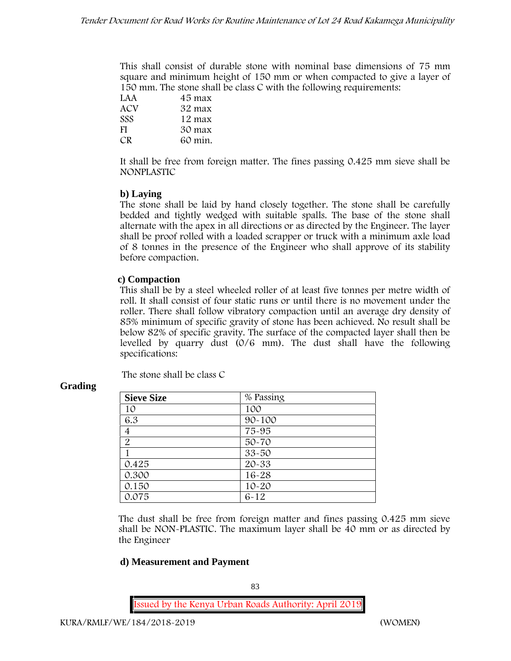This shall consist of durable stone with nominal base dimensions of 75 mm square and minimum height of 150 mm or when compacted to give a layer of 150 mm. The stone shall be class C with the following requirements:

| LAA        | 45 max  |
|------------|---------|
| ACV        | 32 max  |
| <b>SSS</b> | 12 max  |
| FI         | 30 max  |
| CR.        | 60 min. |

It shall be free from foreign matter. The fines passing 0.425 mm sieve shall be **NONPLASTIC**

## **b) Laying**

The stone shall be laid by hand closely together. The stone shall be carefully bedded and tightly wedged with suitable spalls. The base of the stone shall alternate with the apex in all directions or as directed by the Engineer. The layer shall be proof rolled with a loaded scrapper or truck with a minimum axle load of 8 tonnes in the presence of the Engineer who shall approve of its stability before compaction.

# **c) Compaction**

This shall be by a steel wheeled roller of at least five tonnes per metre width of roll. It shall consist of four static runs or until there is no movement under the roller. There shall follow vibratory compaction until an average dry density of 85% minimum of specific gravity of stone has been achieved. No result shall be below 82% of specific gravity. The surface of the compacted layer shall then be levelled by quarry dust (0/6 mm). The dust shall have the following specifications:

The stone shall be class C

| <b>Sieve Size</b> | % Passing  |
|-------------------|------------|
| 10                | 100        |
| 6.3               | $90 - 100$ |
| $\overline{4}$    | 75-95      |
| $\overline{2}$    | $50 - 70$  |
|                   | $33 - 50$  |
| 0.425             | $20 - 33$  |
| 0.300             | $16 - 28$  |
| 0.150             | $10 - 20$  |
| 0.075             | $6 - 12$   |

# **Grading**

The dust shall be free from foreign matter and fines passing 0.425 mm sieve shall be **NON-PLASTIC**. The maximum layer shall be 40 mm or as directed by the Engineer

# **d) Measurement and Payment**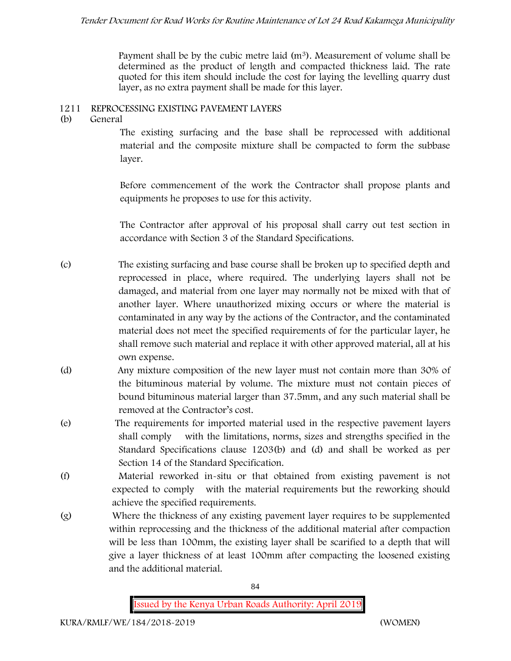Payment shall be by the cubic metre laid  $(m<sup>3</sup>)$ . Measurement of volume shall be determined as the product of length and compacted thickness laid. The rate quoted for this item should include the cost for laying the levelling quarry dust layer, as no extra payment shall be made for this layer.

# **1211 REPROCESSING EXISTING PAVEMENT LAYERS**

**(b) General**

The existing surfacing and the base shall be reprocessed with additional material and the composite mixture shall be compacted to form the subbase layer.

Before commencement of the work the Contractor shall propose plants and equipments he proposes to use for this activity.

The Contractor after approval of his proposal shall carry out test section in accordance with Section 3 of the Standard Specifications.

- (c) The existing surfacing and base course shall be broken up to specified depth and reprocessed in place, where required. The underlying layers shall not be damaged, and material from one layer may normally not be mixed with that of another layer. Where unauthorized mixing occurs or where the material is contaminated in any way by the actions of the Contractor, and the contaminated material does not meet the specified requirements of for the particular layer, he shall remove such material and replace it with other approved material, all at his own expense.
- (d) Any mixture composition of the new layer must not contain more than 30% of the bituminous material by volume. The mixture must not contain pieces of bound bituminous material larger than 37.5mm, and any such material shall be removed at the Contractor's cost.
- (e) The requirements for imported material used in the respective pavement layers shall comply with the limitations, norms, sizes and strengths specified in the Standard Specifications clause 1203(b) and (d) and shall be worked as per Section 14 of the Standard Specification.
- (f) Material reworked in-situ or that obtained from existing pavement is not expected to comply with the material requirements but the reworking should achieve the specified requirements.
- (g) Where the thickness of any existing pavement layer requires to be supplemented within reprocessing and the thickness of the additional material after compaction will be less than 100mm, the existing layer shall be scarified to a depth that will give a layer thickness of at least 100mm after compacting the loosened existing and the additional material.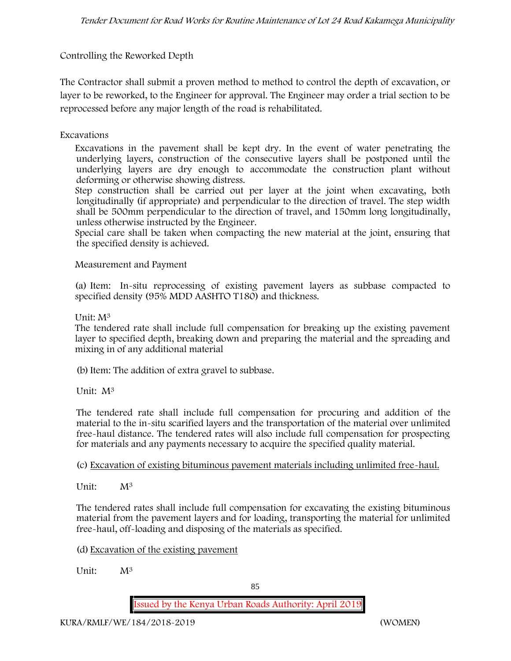# **Controlling the Reworked Depth**

The Contractor shall submit a proven method to method to control the depth of excavation, or layer to be reworked, to the Engineer for approval. The Engineer may order a trial section to be reprocessed before any major length of the road is rehabilitated.

## **Excavations**

Excavations in the pavement shall be kept dry. In the event of water penetrating the underlying layers, construction of the consecutive layers shall be postponed until the underlying layers are dry enough to accommodate the construction plant without deforming or otherwise showing distress.

Step construction shall be carried out per layer at the joint when excavating, both longitudinally (if appropriate) and perpendicular to the direction of travel. The step width shall be 500mm perpendicular to the direction of travel, and 150mm long longitudinally, unless otherwise instructed by the Engineer.

Special care shall be taken when compacting the new material at the joint, ensuring that the specified density is achieved.

### **Measurement and Payment**

(a) Item: In-situ reprocessing of existing pavement layers as subbase compacted to specified density (95% MDD AASHTO T180) and thickness.

## Unit: M<sup>3</sup>

The tendered rate shall include full compensation for breaking up the existing pavement layer to specified depth, breaking down and preparing the material and the spreading and mixing in of any additional material

(b)Item: The addition of extra gravel to subbase.

Unit: M<sup>3</sup>

The tendered rate shall include full compensation for procuring and addition of the material to the in-situ scarified layers and the transportation of the material over unlimited free-haul distance. The tendered rates will also include full compensation for prospecting for materials and any payments necessary to acquire the specified quality material.

(c) Excavation of existing bituminous pavement materials including unlimited free-haul.

Unit: M<sup>3</sup>

The tendered rates shall include full compensation for excavating the existing bituminous material from the pavement layers and for loading, transporting the material for unlimited free-haul, off-loading and disposing of the materials as specified.

(d) Excavation of the existing pavement

Unit: M<sup>3</sup>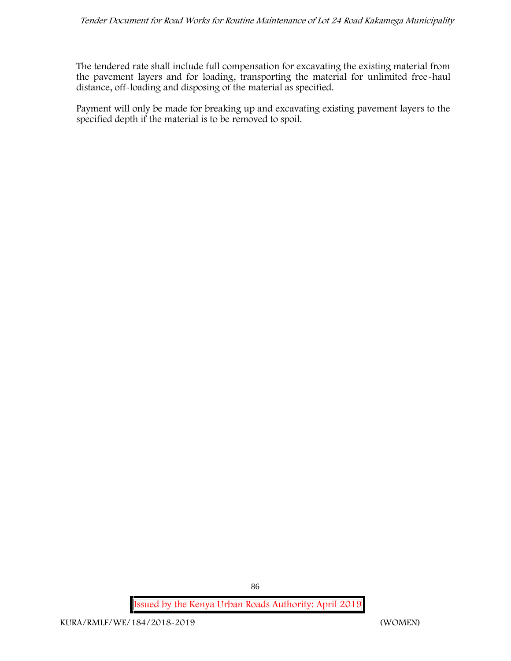The tendered rate shall include full compensation for excavating the existing material from the pavement layers and for loading, transporting the material for unlimited free-haul distance, off-loading and disposing of the material as specified.

Payment will only be made for breaking up and excavating existing pavement layers to the specified depth if the material is to be removed to spoil.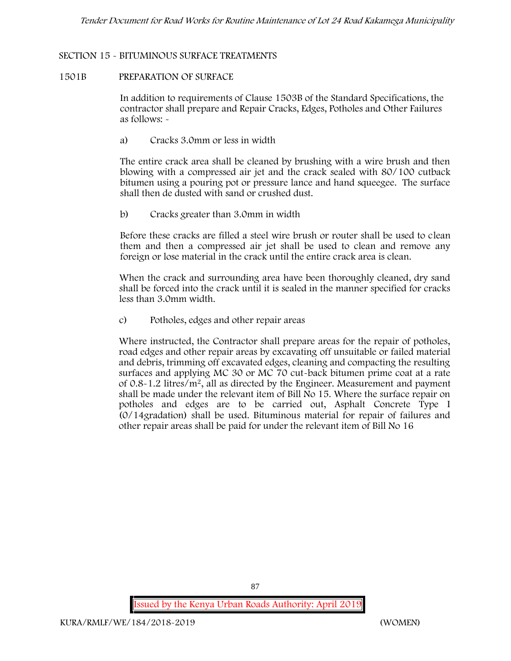### **SECTION 15 - BITUMINOUS SURFACE TREATMENTS**

#### **1501B PREPARATION OF SURFACE**

In addition to requirements of Clause 1503B of the Standard Specifications, the contractor shall prepare and Repair Cracks, Edges, Potholes and Other Failures as follows: **-**

a) **Cracks 3.0mm or less in width**

The entire crack area shall be cleaned by brushing with a wire brush and then blowing with a compressed air jet and the crack sealed with 80/100 cutback bitumen using a pouring pot or pressure lance and hand squeegee. The surface shall then de dusted with sand or crushed dust.

b) **Cracks greater than 3.0mm in width**

Before these cracks are filled a steel wire brush or router shall be used to clean them and then a compressed air jet shall be used to clean and remove any foreign or lose material in the crack until the entire crack area is clean.

When the crack and surrounding area have been thoroughly cleaned, dry sand shall be forced into the crack until it is sealed in the manner specified for cracks less than 3.0mm width.

c) **Potholes, edges and other repair areas**

Where instructed, the Contractor shall prepare areas for the repair of potholes, road edges and other repair areas by excavating off unsuitable or failed material and debris, trimming off excavated edges, cleaning and compacting the resulting surfaces and applying MC 30 or MC 70 cut-back bitumen prime coat at a rate of 0.8-1.2 litres/m2, all as directed by the Engineer. Measurement and payment shall be made under the relevant item of Bill No 15. Where the surface repair on potholes and edges are to be carried out, Asphalt Concrete Type I (0/14gradation) shall be used. Bituminous material for repair of failures and other repair areas shall be paid for under the relevant item of Bill No 16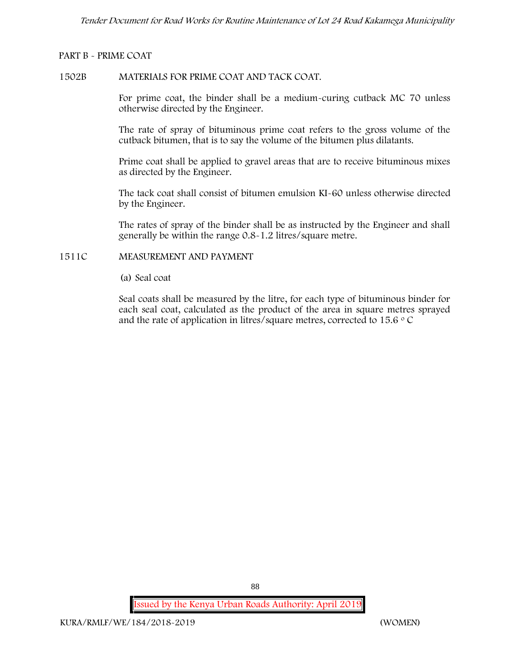## **PART B - PRIME COAT**

### **1502B MATERIALS FOR PRIME COAT AND TACK COAT.**

For prime coat, the binder shall be a medium-curing cutback MC 70 unless otherwise directed by the Engineer.

The rate of spray of bituminous prime coat refers to the gross volume of the cutback bitumen, that is to say the volume of the bitumen plus dilatants.

Prime coat shall be applied to gravel areas that are to receive bituminous mixes as directed by the Engineer.

The tack coat shall consist of bitumen emulsion KI-60 unless otherwise directed by the Engineer.

The rates of spray of the binder shall be as instructed by the Engineer and shall generally be within the range 0.8-1.2 litres/square metre.

## **1511C MEASUREMENT AND PAYMENT**

(a) Seal coat

Seal coats shall be measured by the litre, for each type of bituminous binder for each seal coat, calculated as the product of the area in square metres sprayed and the rate of application in litres/square metres, corrected to 15.6  $\circ$  C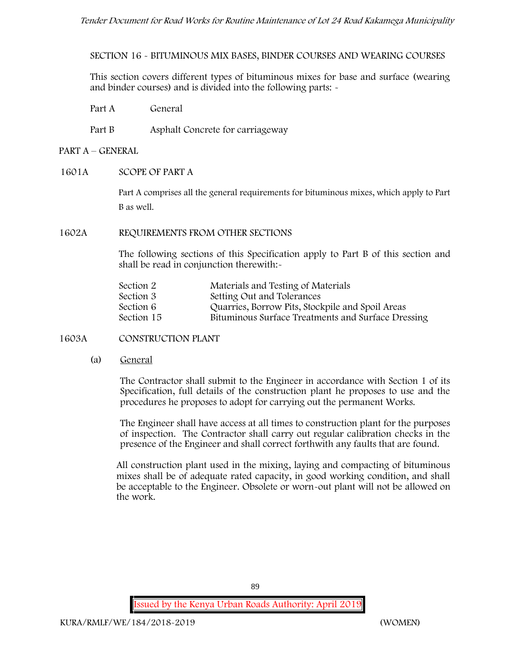**SECTION 16 - BITUMINOUS MIX BASES, BINDER COURSES AND WEARING COURSES**

This section covers different types of bituminous mixes for base and surface (wearing and binder courses) and is divided into the following parts: -

- Part A General
- Part B Asphalt Concrete for carriageway

### **PART A –GENERAL**

**1601A SCOPE OF PART A**

Part A comprises all the general requirements for bituminous mixes, which apply to Part B as well.

**1602A REQUIREMENTS FROM OTHER SECTIONS**

The following sections of this Specification apply to Part B of this section and shall be read in conjunction therewith:-

| Section 2  | Materials and Testing of Materials                 |
|------------|----------------------------------------------------|
| Section 3  | Setting Out and Tolerances                         |
| Section 6  | Quarries, Borrow Pits, Stockpile and Spoil Areas   |
| Section 15 | Bituminous Surface Treatments and Surface Dressing |

### **1603A CONSTRUCTION PLANT**

(a) **General**

The Contractor shall submit to the Engineer in accordance with Section 1 of its Specification, full details of the construction plant he proposes to use and the procedures he proposes to adopt for carrying out the permanent Works.

The Engineer shall have access at all times to construction plant for the purposes of inspection. The Contractor shall carry out regular calibration checks in the presence of the Engineer and shall correct forthwith any faults that are found.

All construction plant used in the mixing, laying and compacting of bituminous mixes shall be of adequate rated capacity, in good working condition, and shall be acceptable to the Engineer. Obsolete or worn-out plant will not be allowed on the work.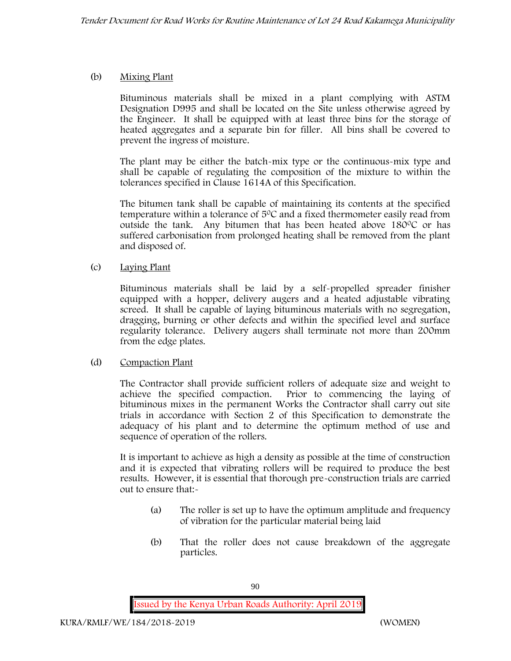# (b) **Mixing Plant**

Bituminous materials shall be mixed in a plant complying with ASTM Designation D995 and shall be located on the Site unless otherwise agreed by the Engineer. It shall be equipped with at least three bins for the storage of heated aggregates and a separate bin for filler. All bins shall be covered to prevent the ingress of moisture.

The plant may be either the batch-mix type or the continuous-mix type and shall be capable of regulating the composition of the mixture to within the tolerances specified in Clause 1614A of this Specification.

The bitumen tank shall be capable of maintaining its contents at the specified temperature within a tolerance of  $5^{\circ}$ C and a fixed thermometer easily read from outside the tank. Any bitumen that has been heated above  $180^{\circ}$ C or has suffered carbonisation from prolonged heating shall be removed from the plant and disposed of.

## (c) **Laying Plant**

Bituminous materials shall be laid by a self-propelled spreader finisher equipped with a hopper, delivery augers and a heated adjustable vibrating screed. It shall be capable of laying bituminous materials with no segregation, dragging, burning or other defects and within the specified level and surface regularity tolerance. Delivery augers shall terminate not more than 200mm from the edge plates.

# (d) **Compaction Plant**

The Contractor shall provide sufficient rollers of adequate size and weight to achieve the specified compaction. Prior to commencing the laying of bituminous mixes in the permanent Works the Contractor shall carry out site trials in accordance with Section 2 of this Specification to demonstrate the adequacy of his plant and to determine the optimum method of use and sequence of operation of the rollers.

It is important to achieve as high a density as possible at the time of construction and it is expected that vibrating rollers will be required to produce the best results. However, it is essential that thorough pre-construction trials are carried out to ensure that:-

- (a) The roller is set up to have the optimum amplitude and frequency of vibration for the particular material being laid
- (b) That the roller does not cause breakdown of the aggregate particles.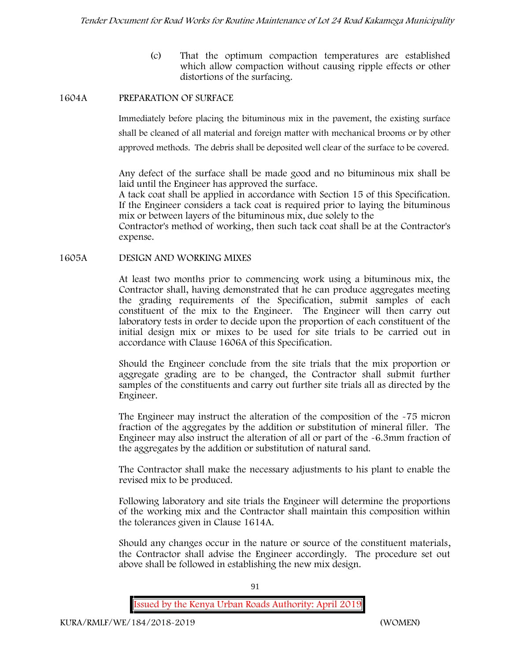(c) That the optimum compaction temperatures are established which allow compaction without causing ripple effects or other distortions of the surfacing.

### **1604A PREPARATION OF SURFACE**

Immediately before placing the bituminous mix in the pavement, the existing surface shall be cleaned of all material and foreign matter with mechanical brooms or by other approved methods. The debris shall be deposited well clear of the surface to be covered.

Any defect of the surface shall be made good and no bituminous mix shall be laid until the Engineer has approved the surface.

A tack coat shall be applied in accordance with Section 15 of this Specification. If the Engineer considers a tack coat is required prior to laying the bituminous mix or between layers of the bituminous mix, due solely to the

Contractor's method of working, then such tack coat shall be at the Contractor's expense.

**1605A DESIGN AND WORKING MIXES**

At least two months prior to commencing work using a bituminous mix, the Contractor shall, having demonstrated that he can produce aggregates meeting the grading requirements of the Specification, submit samples of each constituent of the mix to the Engineer. The Engineer will then carry out laboratory tests in order to decide upon the proportion of each constituent of the initial design mix or mixes to be used for site trials to be carried out in accordance with Clause 1606A of this Specification.

Should the Engineer conclude from the site trials that the mix proportion or aggregate grading are to be changed, the Contractor shall submit further samples of the constituents and carry out further site trials all as directed by the Engineer.

The Engineer may instruct the alteration of the composition of the -75 micron fraction of the aggregates by the addition or substitution of mineral filler. The Engineer may also instruct the alteration of all or part of the -6.3mm fraction of the aggregates by the addition or substitution of natural sand.

The Contractor shall make the necessary adjustments to his plant to enable the revised mix to be produced.

Following laboratory and site trials the Engineer will determine the proportions of the working mix and the Contractor shall maintain this composition within the tolerances given in Clause 1614A.

Should any changes occur in the nature or source of the constituent materials, the Contractor shall advise the Engineer accordingly. The procedure set out above shall be followed in establishing the new mix design.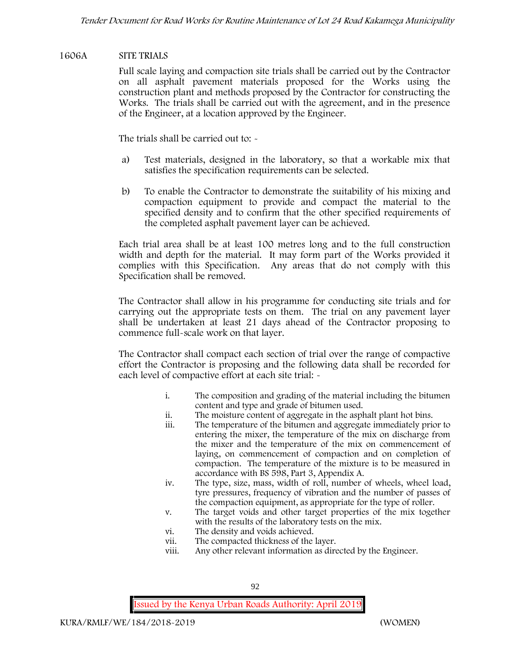## **1606A SITE TRIALS**

Full scale laying and compaction site trials shall be carried out by the Contractor on all asphalt pavement materials proposed for the Works using the construction plant and methods proposed by the Contractor for constructing the Works. The trials shall be carried out with the agreement, and in the presence of the Engineer, at a location approved by the Engineer.

The trials shall be carried out to: -

- a) Test materials, designed in the laboratory, so that a workable mix that satisfies the specification requirements can be selected.
- b) To enable the Contractor to demonstrate the suitability of his mixing and compaction equipment to provide and compact the material to the specified density and to confirm that the other specified requirements of the completed asphalt pavement layer can be achieved.

Each trial area shall be at least 100 metres long and to the full construction width and depth for the material. It may form part of the Works provided it complies with this Specification. Any areas that do not comply with this Specification shall be removed.

The Contractor shall allow in his programme for conducting site trials and for carrying out the appropriate tests on them. The trial on any pavement layer shall be undertaken at least 21 days ahead of the Contractor proposing to commence full-scale work on that layer.

The Contractor shall compact each section of trial over the range of compactive effort the Contractor is proposing and the following data shall be recorded for each level of compactive effort at each site trial:  $\sim$ 

- i. The composition and grading of the material including the bitumen content and type and grade of bitumen used.
- ii. The moisture content of aggregate in the asphalt plant hot bins.
- iii. The temperature of the bitumen and aggregate immediately prior to entering the mixer, the temperature of the mix on discharge from the mixer and the temperature of the mix on commencement of laying, on commencement of compaction and on completion of compaction. The temperature of the mixture is to be measured in accordance with BS 598, Part 3, Appendix A.
- iv. The type, size, mass, width of roll, number of wheels, wheel load, tyre pressures, frequency of vibration and the number of passes of the compaction equipment, as appropriate for the type of roller.
- v. The target voids and other target properties of the mix together with the results of the laboratory tests on the mix.
- vi. The density and voids achieved.
- vii. The compacted thickness of the layer.
- viii. Any other relevant information as directed by the Engineer.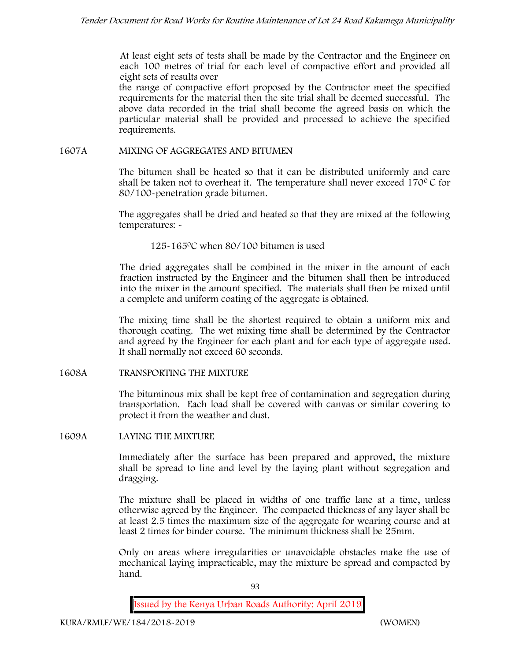At least eight sets of tests shall be made by the Contractor and the Engineer on each 100 metres of trial for each level of compactive effort and provided all eight sets of results over

the range of compactive effort proposed by the Contractor meet the specified requirements for the material then the site trial shall be deemed successful. The above data recorded in the trial shall become the agreed basis on which the particular material shall be provided and processed to achieve the specified requirements.

### **1607A MIXING OF AGGREGATES AND BITUMEN**

The bitumen shall be heated so that it can be distributed uniformly and care shall be taken not to overheat it. The temperature shall never exceed  $170^{\circ}$ C for 80/100-penetration grade bitumen.

The aggregates shall be dried and heated so that they are mixed at the following temperatures: -

125-1650C when 80/100 bitumen is used

The dried aggregates shall be combined in the mixer in the amount of each fraction instructed by the Engineer and the bitumen shall then be introduced into the mixer in the amount specified. The materials shall then be mixed until a complete and uniform coating of the aggregate is obtained.

The mixing time shall be the shortest required to obtain a uniform mix and thorough coating. The wet mixing time shall be determined by the Contractor and agreed by the Engineer for each plant and for each type of aggregate used. It shall normally not exceed 60 seconds.

**1608A TRANSPORTING THE MIXTURE**

The bituminous mix shall be kept free of contamination and segregation during transportation. Each load shall be covered with canvas or similar covering to protect it from the weather and dust.

**1609A LAYING THE MIXTURE**

Immediately after the surface has been prepared and approved, the mixture shall be spread to line and level by the laying plant without segregation and dragging.

The mixture shall be placed in widths of one traffic lane at a time, unless otherwise agreed by the Engineer. The compacted thickness of any layer shall be at least 2.5 times the maximum size of the aggregate for wearing course and at least 2 times for binder course. The minimum thickness shall be 25mm.

Only on areas where irregularities or unavoidable obstacles make the use of mechanical laying impracticable, may the mixture be spread and compacted by hand.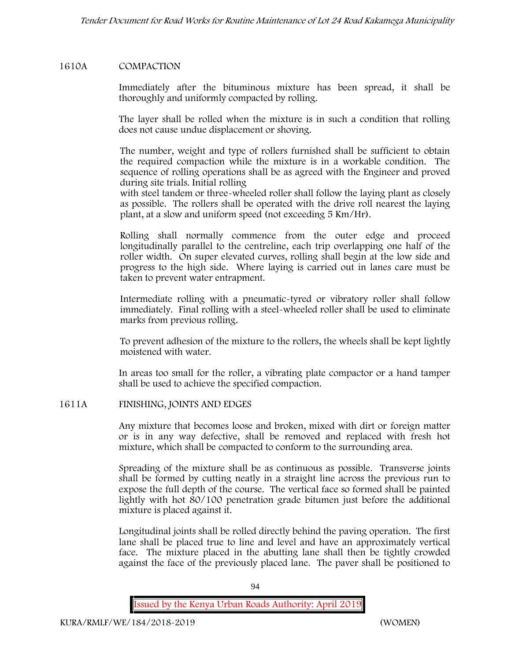## **1610A COMPACTION**

Immediately after the bituminous mixture has been spread, it shall be thoroughly and uniformly compacted by rolling.

The layer shall be rolled when the mixture is in such a condition that rolling does not cause undue displacement or shoving.

The number, weight and type of rollers furnished shall be sufficient to obtain the required compaction while the mixture is in a workable condition. The sequence of rolling operations shall be as agreed with the Engineer and proved during site trials. Initial rolling

with steel tandem or three-wheeled roller shall follow the laying plant as closely as possible. The rollers shall be operated with the drive roll nearest the laying plant, at a slow and uniform speed (not exceeding 5 Km/Hr).

Rolling shall normally commence from the outer edge and proceed longitudinally parallel to the centreline, each trip overlapping one half of the roller width. On super elevated curves, rolling shall begin at the low side and progress to the high side. Where laying is carried out in lanes care must be taken to prevent water entrapment.

Intermediate rolling with a pneumatic-tyred or vibratory roller shall follow immediately. Final rolling with a steel-wheeled roller shall be used to eliminate marks from previous rolling.

To prevent adhesion of the mixture to the rollers, the wheels shall be kept lightly moistened with water.

In areas too small for the roller, a vibrating plate compactor or a hand tamper shall be used to achieve the specified compaction.

### **1611A FINISHING, JOINTS AND EDGES**

Any mixture that becomes loose and broken, mixed with dirt or foreign matter or is in any way defective, shall be removed and replaced with fresh hot mixture, which shall be compacted to conform to the surrounding area.

Spreading of the mixture shall be as continuous as possible. Transverse joints shall be formed by cutting neatly in a straight line across the previous run to expose the full depth of the course. The vertical face so formed shall be painted lightly with hot 80/100 penetration grade bitumen just before the additional mixture is placed against it.

Longitudinal joints shall be rolled directly behind the paving operation. The first lane shall be placed true to line and level and have an approximately vertical face. The mixture placed in the abutting lane shall then be tightly crowded against the face of the previously placed lane. The paver shall be positioned to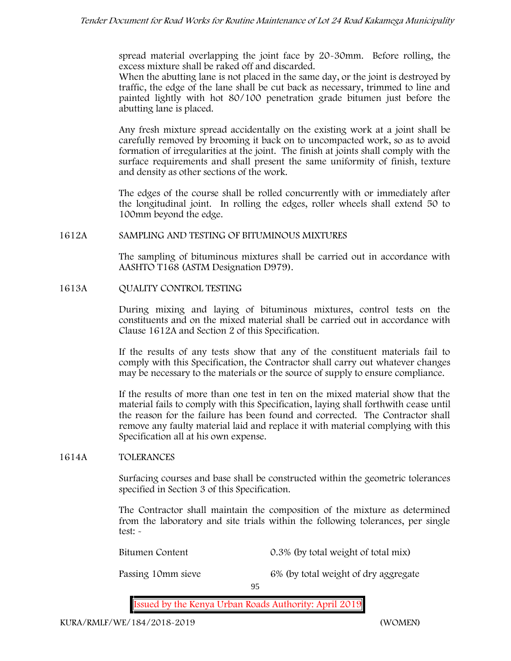spread material overlapping the joint face by 20-30mm. Before rolling, the excess mixture shall be raked off and discarded.

When the abutting lane is not placed in the same day, or the joint is destroyed by traffic, the edge of the lane shall be cut back as necessary, trimmed to line and painted lightly with hot 80/100 penetration grade bitumen just before the abutting lane is placed.

Any fresh mixture spread accidentally on the existing work at a joint shall be carefully removed by brooming it back on to uncompacted work, so as to avoid formation of irregularities at the joint. The finish at joints shall comply with the surface requirements and shall present the same uniformity of finish, texture and density as other sections of the work.

The edges of the course shall be rolled concurrently with or immediately after the longitudinal joint. In rolling the edges, roller wheels shall extend 50 to 100mm beyond the edge.

## **1612A SAMPLING AND TESTING OF BITUMINOUS MIXTURES**

The sampling of bituminous mixtures shall be carried out in accordance with AASHTO T168 (ASTM Designation D979).

## **1613A QUALITY CONTROL TESTING**

During mixing and laying of bituminous mixtures, control tests on the constituents and on the mixed material shall be carried out in accordance with Clause 1612A and Section 2 of this Specification.

If the results of any tests show that any of the constituent materials fail to comply with this Specification, the Contractor shall carry out whatever changes may be necessary to the materials or the source of supply to ensure compliance.

If the results of more than one test in ten on the mixed material show that the material fails to comply with this Specification, laying shall forthwith cease until the reason for the failure has been found and corrected. The Contractor shall remove any faulty material laid and replace it with material complying with this Specification all at his own expense.

### **1614A TOLERANCES**

Surfacing courses and base shall be constructed within the geometric tolerances specified in Section 3 of this Specification.

The Contractor shall maintain the composition of the mixture as determined from the laboratory and site trials within the following tolerances, per single test: -

Bitumen Content 0.3% (by total weight of total mix)

Passing 10mm sieve 6% (by total weight of dry aggregate

95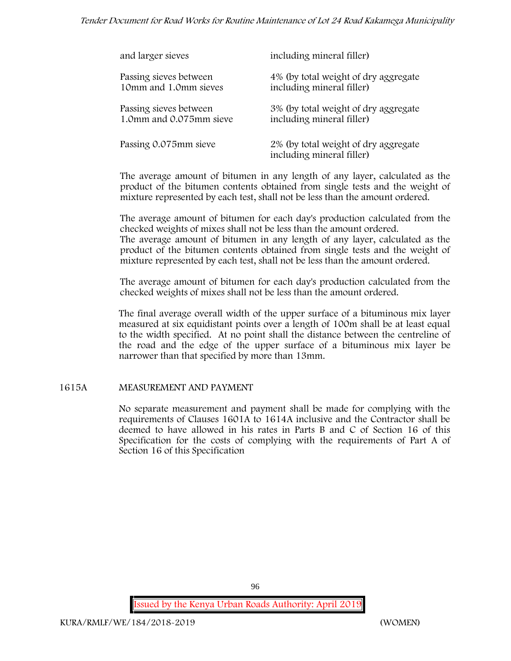## *Tender Document for Road Works for Routine Maintenance of Lot 24 Road Kakamega Municipality*

| and larger sieves       | including mineral filler)                                         |
|-------------------------|-------------------------------------------------------------------|
| Passing sieves between  | 4% (by total weight of dry aggregate                              |
| 10mm and 1.0mm sieves   | including mineral filler)                                         |
| Passing sieves between  | 3% (by total weight of dry aggregate                              |
| 1.0mm and 0.075mm sieve | including mineral filler)                                         |
| Passing 0.075mm sieve   | 2% (by total weight of dry aggregate<br>including mineral filler) |

The average amount of bitumen in any length of any layer, calculated as the product of the bitumen contents obtained from single tests and the weight of mixture represented by each test, shall not be less than the amount ordered.

The average amount of bitumen for each day's production calculated from the checked weights of mixes shall not be less than the amount ordered. The average amount of bitumen in any length of any layer, calculated as the product of the bitumen contents obtained from single tests and the weight of

The average amount of bitumen for each day's production calculated from the checked weights of mixes shall not be less than the amount ordered.

mixture represented by each test, shall not be less than the amount ordered.

The final average overall width of the upper surface of a bituminous mix layer measured at six equidistant points over a length of 100m shall be at least equal to the width specified. At no point shall the distance between the centreline of the road and the edge of the upper surface of a bituminous mix layer be narrower than that specified by more than 13mm.

### **1615A MEASUREMENT AND PAYMENT**

No separate measurement and payment shall be made for complying with the requirements of Clauses 1601A to 1614A inclusive and the Contractor shall be deemed to have allowed in his rates in Parts B and C of Section 16 of this Specification for the costs of complying with the requirements of Part A of Section 16 of this Specification

96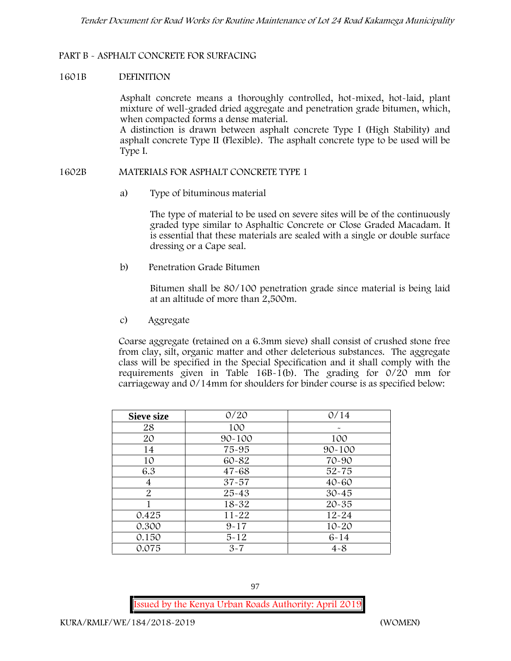## **PART B - ASPHALT CONCRETE FOR SURFACING**

### **1601B DEFINITION**

Asphalt concrete means a thoroughly controlled, hot-mixed, hot-laid, plant mixture of well-graded dried aggregate and penetration grade bitumen, which, when compacted forms a dense material.

A distinction is drawn between asphalt concrete Type I (High Stability) and asphalt concrete Type II (Flexible). The asphalt concrete type to be used will be Type I.

### **1602B MATERIALS FOR ASPHALT CONCRETE TYPE 1**

a) **Type of bituminous material**

The type of material to be used on severe sites will be of the continuously graded type similar to Asphaltic Concrete or Close Graded Macadam. It is essential that these materials are sealed with a single or double surface dressing or a Cape seal.

b) **Penetration Grade Bitumen**

Bitumen shall be 80/100 penetration grade since material is being laid at an altitude of more than 2,500m.

c) **Aggregate**

Coarse aggregate (retained on a 6.3mm sieve) shall consist of crushed stone free from clay, silt, organic matter and other deleterious substances. The aggregate class will be specified in the Special Specification and it shall comply with the requirements given in Table  $16B-1(b)$ . The grading for  $0/20$  mm for carriageway and 0/14mm for shoulders for binder course is as specified below:

| <b>Sieve size</b> | 0/20       | 0/14       |
|-------------------|------------|------------|
| 28                | 100        |            |
| 20                | $90 - 100$ | 100        |
| 14                | 75-95      | $90 - 100$ |
| 10                | 60-82      | 70-90      |
| 6.3               | $47 - 68$  | $52 - 75$  |
| 4                 | $37 - 57$  | $40 - 60$  |
| $\overline{2}$    | $25 - 43$  | $30 - 45$  |
|                   | 18-32      | $20 - 35$  |
| 0.425             | $11 - 22$  | $12 - 24$  |
| 0.300             | $9 - 17$   | $10 - 20$  |
| 0.150             | $5 - 12$   | $6 - 14$   |
| 0.075             | $3 - 7$    | $4 - 8$    |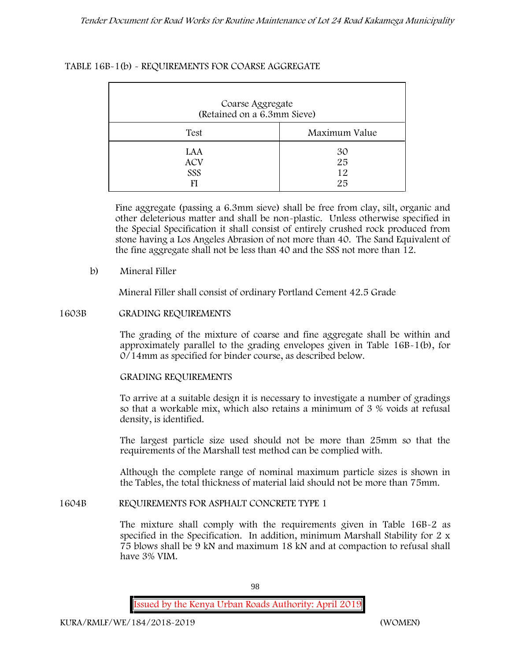## **TABLE 16B-1(b) - REQUIREMENTS FOR COARSE AGGREGATE**

| Coarse Aggregate<br>(Retained on a 6.3mm Sieve) |                      |
|-------------------------------------------------|----------------------|
| Test                                            | Maximum Value        |
| LAA<br><b>ACV</b><br>SSS                        | 30<br>25<br>12<br>25 |

Fine aggregate (passing a 6.3mm sieve) shall be free from clay, silt, organic and other deleterious matter and shall be non-plastic. Unless otherwise specified in the Special Specification it shall consist of entirely crushed rock produced from stone having a Los Angeles Abrasion of not more than 40. The Sand Equivalent of the fine aggregate shall not be less than 40 and the SSS not more than 12.

## **b) Mineral Filler**

Mineral Filler shall consist of ordinary Portland Cement 42.5 Grade

### **1603B GRADING REQUIREMENTS**

The grading of the mixture of coarse and fine aggregate shall be within and approximately parallel to the grading envelopes given in Table 16B-1(b), for 0/14mm as specified for binder course, as described below.

### **GRADING REQUIREMENTS**

To arrive at a suitable design it is necessary to investigate a number of gradings so that a workable mix, which also retains a minimum of 3 % voids at refusal density, is identified.

The largest particle size used should not be more than 25mm so that the requirements of the Marshall test method can be complied with.

Although the complete range of nominal maximum particle sizes is shown in the Tables, the total thickness of material laid should not be more than 75mm.

### **1604B REQUIREMENTS FOR ASPHALT CONCRETE TYPE 1**

The mixture shall comply with the requirements given in Table 16B-2 as specified in the Specification. In addition, minimum Marshall Stability for 2 x 75 blows shall be 9 kN and maximum 18 kN and at compaction to refusal shall have 3% VIM.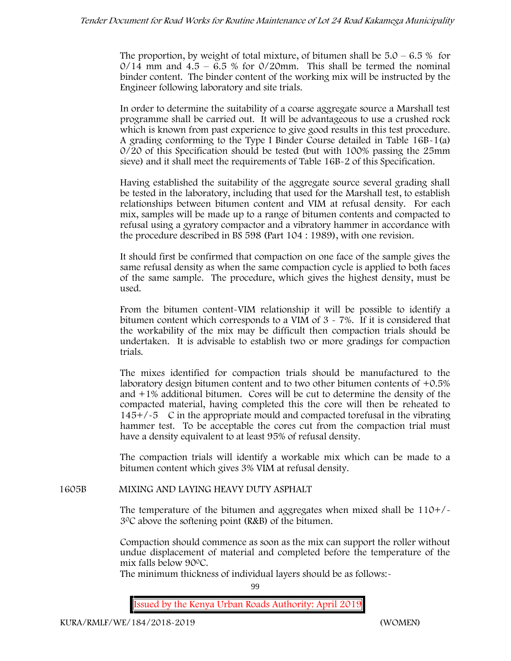The proportion, by weight of total mixture, of bitumen shall be  $5.0 - 6.5\%$  for  $0/14$  mm and  $4.5 - 6.5$  % for  $0/20$ mm. This shall be termed the nominal binder content. The binder content of the working mix will be instructed by the Engineer following laboratory and site trials.

In order to determine the suitability of a coarse aggregate source a Marshall test programme shall be carried out. It will be advantageous to use a crushed rock which is known from past experience to give good results in this test procedure. A grading conforming to the Type I Binder Course detailed in Table 16B-1(a) 0/20 of this Specification should be tested (but with 100% passing the 25mm sieve) and it shall meet the requirements of Table 16B-2 of this Specification.

Having established the suitability of the aggregate source several grading shall be tested in the laboratory, including that used for the Marshall test, to establish relationships between bitumen content and VIM at refusal density. For each mix, samples will be made up to a range of bitumen contents and compacted to refusal using a gyratory compactor and a vibratory hammer in accordance with the procedure described in BS 598 (Part 104 : 1989), with one revision.

It should first be confirmed that compaction on one face of the sample gives the same refusal density as when the same compaction cycle is applied to both faces of the same sample. The procedure, which gives the highest density, must be used.

From the bitumen content-VIM relationship it will be possible to identify a bitumen content which corresponds to a VIM of  $3 \times 7\%$ . If it is considered that the workability of the mix may be difficult then compaction trials should be undertaken. It is advisable to establish two or more gradings for compaction trials.

The mixes identified for compaction trials should be manufactured to the laboratory design bitumen content and to two other bitumen contents of +0.5% and +1% additional bitumen. Cores will be cut to determine the density of the compacted material, having completed this the core will then be reheated to  $145+/5$  C in the appropriate mould and compacted torefusal in the vibrating hammer test. To be acceptable the cores cut from the compaction trial must have a density equivalent to at least 95% of refusal density.

The compaction trials will identify a workable mix which can be made to a bitumen content which gives 3% VIM at refusal density.

**1605B MIXING AND LAYING HEAVY DUTY ASPHALT**

The temperature of the bitumen and aggregates when mixed shall be  $110+/$ 30C above the softening point (R&B) of the bitumen.

Compaction should commence as soon as the mix can support the roller without undue displacement of material and completed before the temperature of the mix falls below 900C.

The minimum thickness of individual layers should be as follows:-

99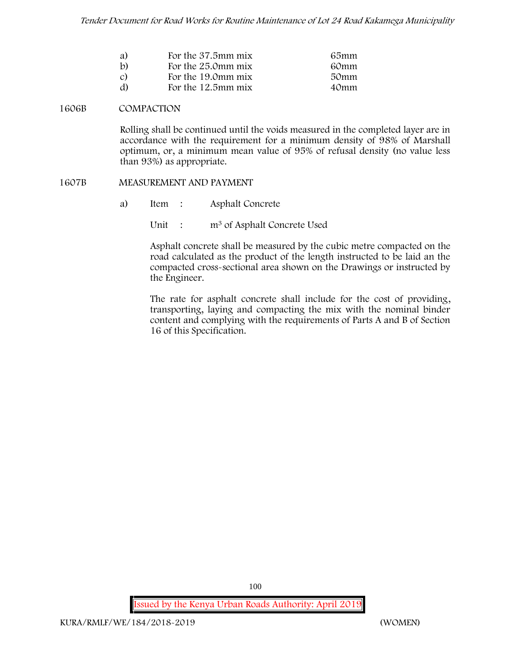| a)           | For the 37.5mm mix    | 65mm |
|--------------|-----------------------|------|
| $\mathbf{b}$ | For the 25.0mm mix    | 60mm |
| C)           | For the 19.0mm mix    | 50mm |
| d)           | For the $12.5$ mm mix | 40mm |

#### **1606B COMPACTION**

Rolling shall be continued until the voids measured in the completed layer are in accordance with the requirement for a minimum density of 98% of Marshall optimum, or, a minimum mean value of 95% of refusal density (no value less than 93%) as appropriate.

#### **1607B MEASUREMENT AND PAYMENT**

- a) Item : Asphalt Concrete
	- Unit : m<sup>3</sup> of Asphalt Concrete Used

Asphalt concrete shall be measured by the cubic metre compacted on the road calculated as the product of the length instructed to be laid an the compacted cross-sectional area shown on the Drawings or instructed by the Engineer.

The rate for asphalt concrete shall include for the cost of providing, transporting, laying and compacting the mix with the nominal binder content and complying with the requirements of Parts A and B of Section 16 of this Specification.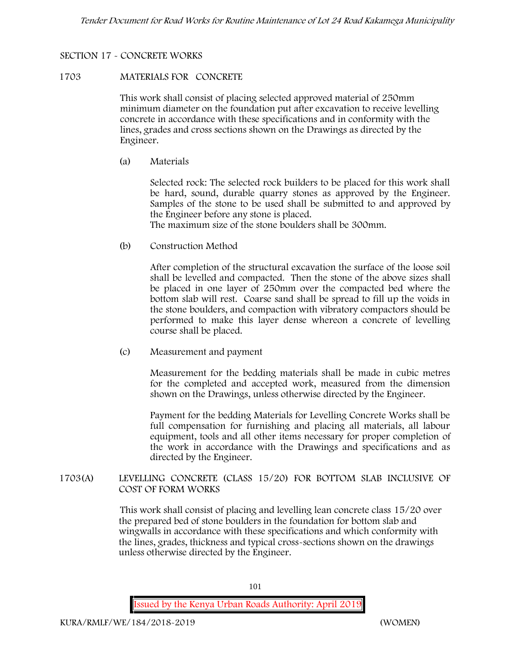# **SECTION 17 - CONCRETE WORKS**

### **1703 MATERIALS FOR CONCRETE**

This work shall consist of placing selected approved material of 250mm minimum diameter on the foundation put after excavation to receive levelling concrete in accordance with these specifications and in conformity with the lines, grades and cross sections shown on the Drawings as directed by the Engineer.

(a) **Materials**

Selected rock: The selected rock builders to be placed for this work shall be hard, sound, durable quarry stones as approved by the Engineer. Samples of the stone to be used shall be submitted to and approved by the Engineer before any stone is placed.

The maximum size of the stone boulders shall be 300mm.

(b) **Construction Method**

After completion of the structural excavation the surface of the loose soil shall be levelled and compacted. Then the stone of the above sizes shall be placed in one layer of 250mm over the compacted bed where the bottom slab will rest. Coarse sand shall be spread to fill up the voids in the stone boulders, and compaction with vibratory compactors should be performed to make this layer dense whereon a concrete of levelling course shall be placed.

(c) **Measurement and payment**

Measurement for the bedding materials shall be made in cubic metres for the completed and accepted work, measured from the dimension shown on the Drawings, unless otherwise directed by the Engineer.

Payment for the bedding Materials for Levelling Concrete Works shall be full compensation for furnishing and placing all materials, all labour equipment, tools and all other items necessary for proper completion of the work in accordance with the Drawings and specifications and as directed by the Engineer.

**1703(A) LEVELLING CONCRETE (CLASS 15/20) FOR BOTTOM SLAB INCLUSIVE OF COST OF FORM WORKS**

> This work shall consist of placing and levelling lean concrete class 15/20 over the prepared bed of stone boulders in the foundation for bottom slab and wingwalls in accordance with these specifications and which conformity with the lines, grades, thickness and typical cross-sections shown on the drawings unless otherwise directed by the Engineer.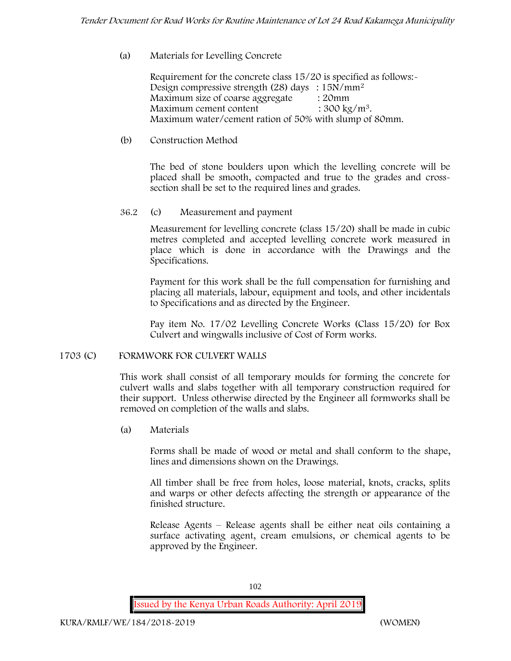## (a) **Materials for Levelling Concrete**

Requirement for the concrete class 15/20 is specified as follows:- Design compressive strength (28) days : 15N/mm<sup>2</sup> Maximum size of coarse aggregate : 20mm Maximum cement content  $: 300 \text{ kg/m}^3$ . Maximum water/cement ration of 50% with slump of 80mm.

## (b) **Construction Method**

The bed of stone boulders upon which the levelling concrete will be placed shall be smooth, compacted and true to the grades and crosssection shall be set to the required lines and grades.

## **36.2** (c) **Measurement and payment**

Measurement for levelling concrete (class 15/20) shall be made in cubic metres completed and accepted levelling concrete work measured in place which is done in accordance with the Drawings and the Specifications.

Payment for this work shall be the full compensation for furnishing and placing all materials, labour, equipment and tools, and other incidentals to Specifications and as directed by the Engineer.

Pay item No. 17/02 Levelling Concrete Works (Class 15/20) for Box Culvert and wingwalls inclusive of Cost of Form works.

### **1703 (C) FORMWORK FOR CULVERT WALLS**

This work shall consist of all temporary moulds for forming the concrete for culvert walls and slabs together with all temporary construction required for their support. Unless otherwise directed by the Engineer all formworks shall be removed on completion of the walls and slabs.

(a) **Materials**

Forms shall be made of wood or metal and shall conform to the shape, lines and dimensions shown on the Drawings.

All timber shall be free from holes, loose material, knots, cracks, splits and warps or other defects affecting the strength or appearance of the finished structure.

Release Agents – Release agents shall be either neat oils containing a surface activating agent, cream emulsions, or chemical agents to be approved by the Engineer.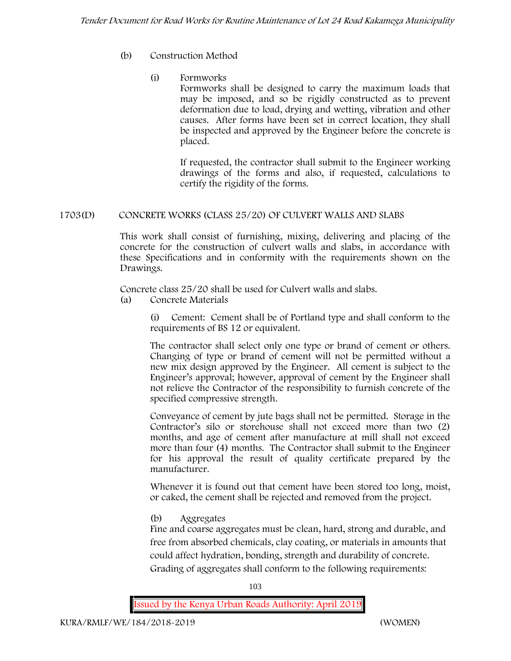- (b) **Construction Method**
	- (i) **Formworks**

Formworks shall be designed to carry the maximum loads that may be imposed, and so be rigidly constructed as to prevent deformation due to load, drying and wetting, vibration and other causes. After forms have been set in correct location, they shall be inspected and approved by the Engineer before the concrete is placed.

If requested, the contractor shall submit to the Engineer working drawings of the forms and also, if requested, calculations to certify the rigidity of the forms.

# **1703(D) CONCRETE WORKS (CLASS 25/20) OF CULVERT WALLS AND SLABS**

This work shall consist of furnishing, mixing, delivering and placing of the concrete for the construction of culvert walls and slabs, in accordance with these Specifications and in conformity with the requirements shown on the Drawings.

Concrete class 25/20 shall be used for Culvert walls and slabs.

**(a) Concrete Materials**

(i) Cement: Cement shall be of Portland type and shall conform to the requirements of BS 12 or equivalent.

The contractor shall select only one type or brand of cement or others. Changing of type or brand of cement will not be permitted without a new mix design approved by the Engineer. All cement is subject to the Engineer's approval; however, approval of cement by the Engineer shall not relieve the Contractor of the responsibility to furnish concrete of the specified compressive strength.

Conveyance of cement by jute bags shall not be permitted. Storage in the Contractor's silo or storehouse shall not exceed more than two (2) months, and age of cement after manufacture at mill shall not exceed more than four (4) months. The Contractor shall submit to the Engineer for his approval the result of quality certificate prepared by the manufacturer.

Whenever it is found out that cement have been stored too long, moist, or caked, the cement shall be rejected and removed from the project.

**(b) Aggregates**

Fine and coarse aggregates must be clean, hard, strong and durable, and free from absorbed chemicals, clay coating, or materials in amounts that could affect hydration, bonding, strength and durability of concrete. Grading of aggregates shall conform to the following requirements:

103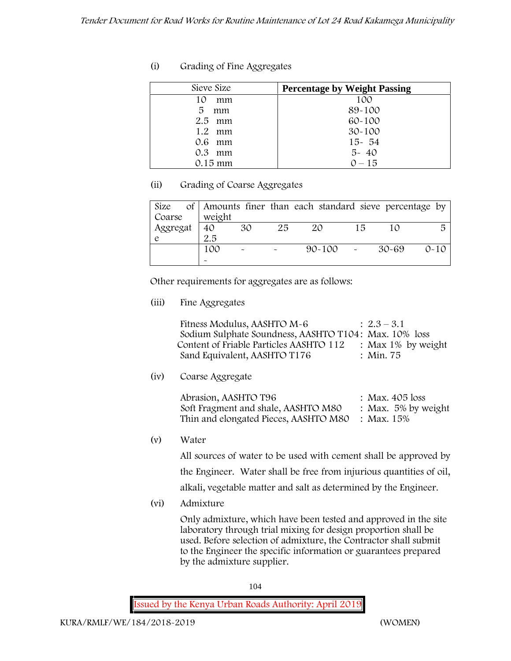| Sieve Size | <b>Percentage by Weight Passing</b> |
|------------|-------------------------------------|
| 10<br>mm   | 100                                 |
| 5<br>mm    | 89-100                              |
| $2.5$ mm   | 60-100                              |
| 1.2 mm     | $30 - 100$                          |
| $0.6$ mm   | $15 - 54$                           |
| $0.3$ mm   | $5 - 40$                            |
| $0.15$ mm  | $0 - 15$                            |

## **(ii) Grading of Coarse Aggregates**

| Size     |        |                           |                       | of Amounts finer than each standard sieve percentage by |    |       |          |
|----------|--------|---------------------------|-----------------------|---------------------------------------------------------|----|-------|----------|
| Coarse   | weight |                           |                       |                                                         |    |       |          |
| Aggregat | 40     | 30                        | 25                    | 20                                                      | 15 |       | 局        |
|          | 2.5    |                           |                       |                                                         |    |       |          |
|          | 100    | $\widetilde{\phantom{m}}$ | $\tilde{\phantom{a}}$ | $90 - 100$ -                                            |    | 30-69 | $0 - 10$ |
|          |        |                           |                       |                                                         |    |       |          |

Other requirements for aggregates are as follows:

**(iii) Fine Aggregates**

| Fitness Modulus, AASHTO M-6                           | $2.3 - 3.1$           |
|-------------------------------------------------------|-----------------------|
| Sodium Sulphate Soundness, AASHTO T104: Max. 10% loss |                       |
| Content of Friable Particles AASHTO 112               | : Max $1\%$ by weight |
| Sand Equivalent, AASHTO T176                          | : Min. 75             |

**(iv) Coarse Aggregate**

| Abrasion, AASHTO T96                             | : Max. $405$ loss      |
|--------------------------------------------------|------------------------|
| Soft Fragment and shale, AASHTO M80              | : Max. $5\%$ by weight |
| Thin and elongated Pieces, AASHTO M80 : Max. 15% |                        |

**(v) Water**

All sources of water to be used with cement shall be approved by

the Engineer. Water shall be free from injurious quantities of oil,

alkali, vegetable matter and salt as determined by the Engineer.

**(vi) Admixture**

Only admixture, which have been tested and approved in the site laboratory through trial mixing for design proportion shall be used. Before selection of admixture, the Contractor shall submit to the Engineer the specific information or guarantees prepared by the admixture supplier.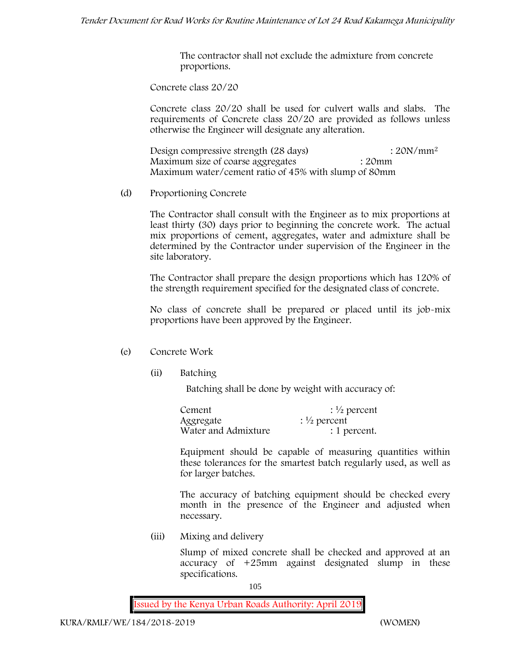The contractor shall not exclude the admixture from concrete proportions.

**Concrete class 20/20**

Concrete class 20/20 shall be used for culvert walls and slabs. The requirements of Concrete class 20/20 are provided as follows unless otherwise the Engineer will designate any alteration.

Design compressive strength (28 days) : 20N/mm<sup>2</sup> Maximum size of coarse aggregates : 20mm Maximum water/cement ratio of 45% with slump of 80mm

(d) **Proportioning Concrete**

The Contractor shall consult with the Engineer as to mix proportions at least thirty (30) days prior to beginning the concrete work. The actual mix proportions of cement, aggregates, water and admixture shall be determined by the Contractor under supervision of the Engineer in the site laboratory.

The Contractor shall prepare the design proportions which has 120% of the strength requirement specified for the designated class of concrete.

No class of concrete shall be prepared or placed until its job-mix proportions have been approved by the Engineer.

# (e) **Concrete Work**

**(ii) Batching**

Batching shall be done by weight with accuracy of:

| Cement              | $\frac{1}{2}$ percent |
|---------------------|-----------------------|
| Aggregate           | $\frac{1}{2}$ percent |
| Water and Admixture | : 1 percent.          |

Equipment should be capable of measuring quantities within these tolerances for the smartest batch regularly used, as well as for larger batches.

The accuracy of batching equipment should be checked every month in the presence of the Engineer and adjusted when necessary.

**(iii) Mixing and delivery**

Slump of mixed concrete shall be checked and approved at an accuracy of +25mm against designated slump in these specifications.

105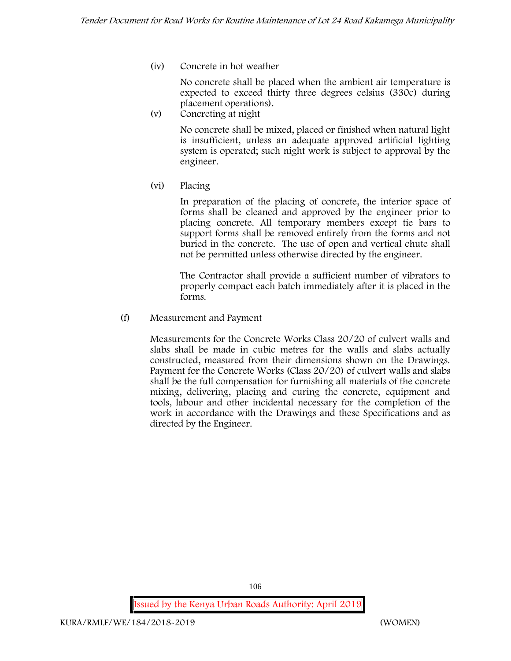**(iv) Concrete in hot weather**

No concrete shall be placed when the ambient air temperature is expected to exceed thirty three degrees celsius (330c) during placement operations).

**(v) Concreting at night**

No concrete shall be mixed, placed or finished when natural light is insufficient, unless an adequate approved artificial lighting system is operated; such night work is subject to approval by the engineer.

**(vi) Placing**

In preparation of the placing of concrete, the interior space of forms shall be cleaned and approved by the engineer prior to placing concrete. All temporary members except tie bars to support forms shall be removed entirely from the forms and not buried in the concrete. The use of open and vertical chute shall not be permitted unless otherwise directed by the engineer.

The Contractor shall provide a sufficient number of vibrators to properly compact each batch immediately after it is placed in the forms.

(f) **Measurement and Payment**

Measurements for the Concrete Works Class 20/20 of culvert walls and slabs shall be made in cubic metres for the walls and slabs actually constructed, measured from their dimensions shown on the Drawings. Payment for the Concrete Works (Class 20/20) of culvert walls and slabs shall be the full compensation for furnishing all materials of the concrete mixing, delivering, placing and curing the concrete, equipment and tools, labour and other incidental necessary for the completion of the work in accordance with the Drawings and these Specifications and as directed by the Engineer.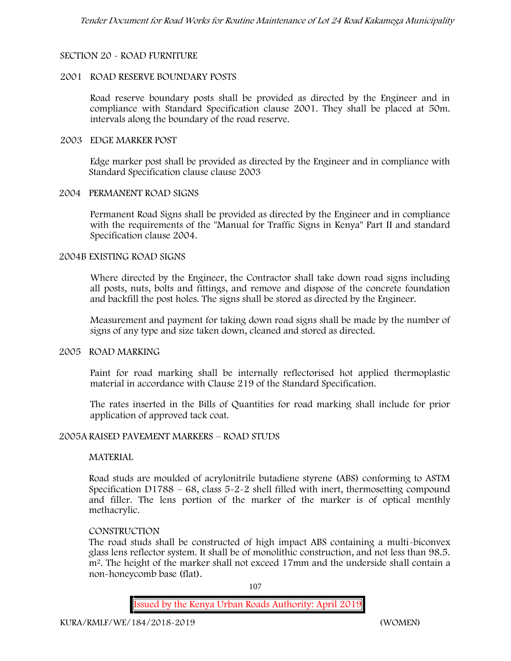## **SECTION 20 - ROAD FURNITURE**

### **2001 ROAD RESERVE BOUNDARY POSTS**

Road reserve boundary posts shall be provided as directed by the Engineer and in compliance with Standard Specification clause 2001. They shall be placed at 50m. intervals along the boundary of the road reserve.

#### **2003 EDGE MARKER POST**

Edge marker post shall be provided as directed by the Engineer and in compliance with Standard Specification clause clause 2003

### **2004 PERMANENT ROAD SIGNS**

Permanent Road Signs shall be provided as directed by the Engineer and in compliance with the requirements of the "Manual for Traffic Signs in Kenya" Part II and standard Specification clause 2004.

#### **2004B EXISTING ROAD SIGNS**

Where directed by the Engineer, the Contractor shall take down road signs including all posts, nuts, bolts and fittings, and remove and dispose of the concrete foundation and backfill the post holes. The signs shall be stored as directed by the Engineer.

Measurement and payment for taking down road signs shall be made by the number of signs of any type and size taken down, cleaned and stored as directed.

### **2005 ROAD MARKING**

Paint for road marking shall be internally reflectorised hot applied thermoplastic material in accordance with Clause 219 of the Standard Specification.

The rates inserted in the Bills of Quantities for road marking shall include for prior application of approved tack coat.

### **2005A RAISED PAVEMENT MARKERS – ROAD STUDS**

### **MATERIAL**

Road studs are moulded of acrylonitrile butadiene styrene (ABS) conforming to ASTM Specification D1788 –  $68$ , class  $5-2-2$  shell filled with inert, thermosetting compound and filler. The lens portion of the marker of the marker is of optical menthly methacrylic.

### **CONSTRUCTION**

The road studs shall be constructed of high impact ABS containing a multi-biconvex glass lens reflector system. It shall be of monolithic construction, and not less than 98.5. m2. The height of the marker shall not exceed 17mm and the underside shall contain a non-honeycomb base (flat).

107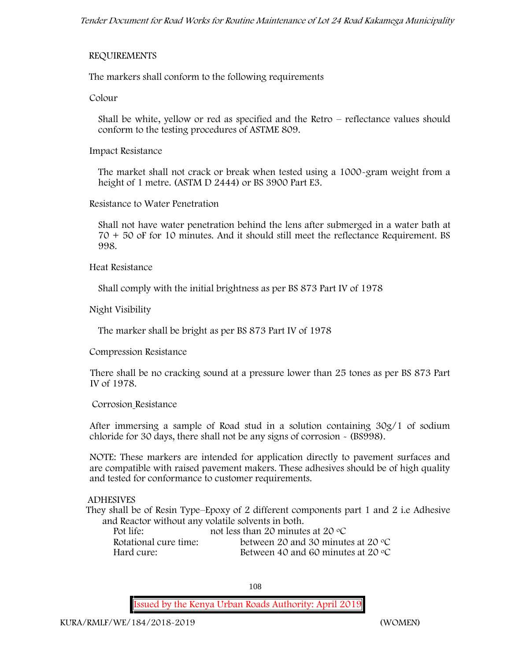#### **REQUIREMENTS**

The markers shall conform to the following requirements

**Colour**

Shall be white, yellow or red as specified and the Retro – reflectance values should conform to the testing procedures of ASTME 809.

**Impact Resistance**

The market shall not crack or break when tested using a 1000**-**gram weight from a height of 1 metre. (ASTM D 2444) or BS 3900 Part E3.

**Resistance to Water Penetration**

Shall not have water penetration behind the lens after submerged in a water bath at 70 + 50 oF for 10 minutes. And it should still meet the reflectance Requirement. BS 998.

**Heat Resistance**

Shall comply with the initial brightness as per BS 873 Part IV of 1978

**Night Visibility**

The marker shall be bright as per BS 873 Part IV of 1978

**Compression Resistance**

There shall be no cracking sound at a pressure lower than 25 tones as per BS 873 Part IV of 1978.

#### **Corrosion Resistance**

After immersing a sample of Road stud in a solution containing 30g/1 of sodium chloride for 30 days, there shall not be any signs of corrosion **-** (BS998).

**NOTE**: These markers are intended for application directly to pavement surfaces and are compatible with raised pavement makers. These adhesives should be of high quality and tested for conformance to customer requirements.

### **ADHESIVES**

They shall be of Resin Type–Epoxy of 2 different components part 1 and 2 i.e Adhesive and Reactor without any volatile solvents in both.

| Pot life:             | not less than 20 minutes at 20 $\mathrm{^{\circ}C}$ |
|-----------------------|-----------------------------------------------------|
| Rotational cure time: | between 20 and 30 minutes at 20 $\degree$ C         |
| Hard cure:            | Between 40 and 60 minutes at 20 $\degree$ C         |

108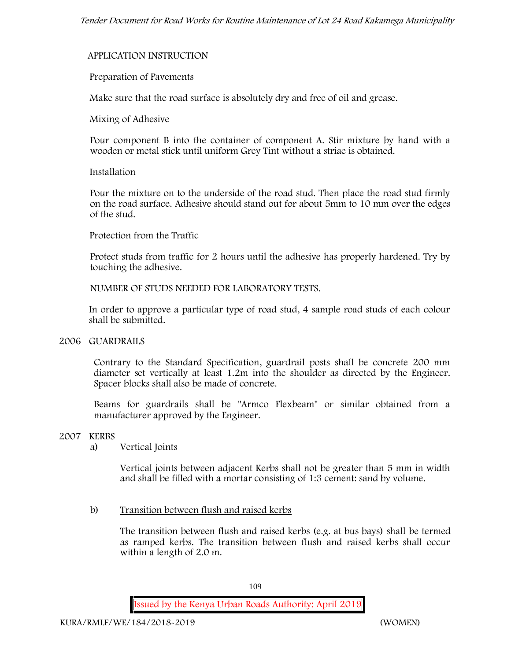#### **APPLICATION INSTRUCTION**

#### **Preparation of Pavements**

Make sure that the road surface is absolutely dry and free of oil and grease**.**

#### **Mixing of Adhesive**

Pour component B into the container of component A. Stir mixture by hand with a wooden or metal stick until uniform Grey Tint without a striae is obtained.

#### **Installation**

Pour the mixture on to the underside of the road stud. Then place the road stud firmly on the road surface. Adhesive should stand out for about 5mm to 10 mm over the edges of the stud.

#### **Protection from the Traffic**

Protect studs from traffic for 2 hours until the adhesive has properly hardened. Try by touching the adhesive.

**NUMBER OF STUDS NEEDED FOR LABORATORY TESTS.**

In order to approve a particular type of road stud, 4 sample road studs of each colour shall be submitted.

#### **2006 GUARDRAILS**

Contrary to the Standard Specification, guardrail posts shall be concrete 200 mm diameter set vertically at least 1.2m into the shoulder as directed by the Engineer. Spacer blocks shall also be made of concrete.

Beams for guardrails shall be "Armco Flexbeam" or similar obtained from a manufacturer approved by the Engineer.

### **2007 KERBS**

### a) **Vertical Joints**

Vertical joints between adjacent Kerbs shall not be greater than 5 mm in width and shall be filled with a mortar consisting of 1:3 cement: sand by volume.

### b) **Transition between flush and raised kerbs**

The transition between flush and raised kerbs (e.g. at bus bays) shall be termed as ramped kerbs. The transition between flush and raised kerbs shall occur within a length of 2.0 m.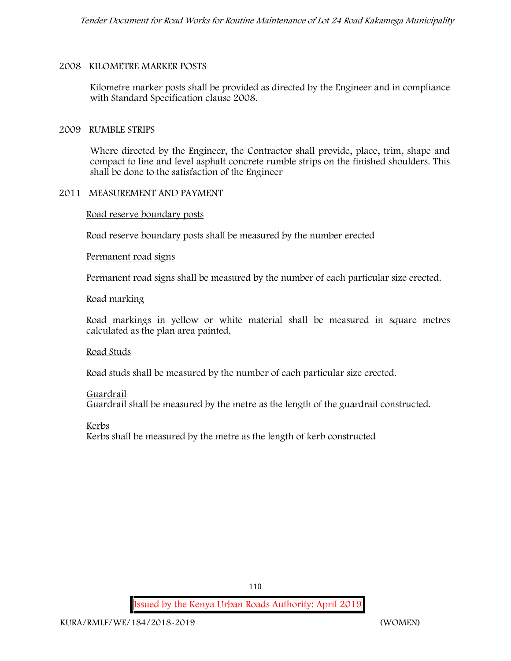#### **2008 KILOMETRE MARKER POSTS**

Kilometre marker posts shall be provided as directed by the Engineer and in compliance with Standard Specification clause 2008.

#### **2009 RUMBLE STRIPS**

Where directed by the Engineer, the Contractor shall provide, place, trim, shape and compact to line and level asphalt concrete rumble strips on the finished shoulders. This shall be done to the satisfaction of the Engineer

### **2011 MEASUREMENT AND PAYMENT**

**Road reserve boundary posts**

Road reserve boundary posts shall be measured by the number erected

#### **Permanent road signs**

Permanent road signs shall be measured by the number of each particular size erected.

#### **Road marking**

Road markings in yellow or white material shall be measured in square metres calculated as the plan area painted.

#### **Road Studs**

Road studs shall be measured by the number of each particular size erected.

#### **Guardrail**

Guardrail shall be measured by the metre as the length of the guardrail constructed.

**Kerbs**

Kerbs shall be measured by the metre as the length of kerb constructed

110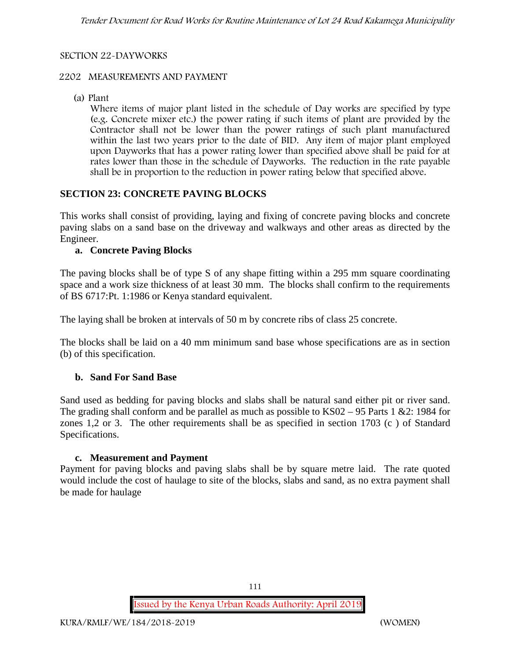### **SECTION 22-DAYWORKS**

### **2202 MEASUREMENTS AND PAYMENT**

(a) Plant

Where items of major plant listed in the schedule of Day works are specified by type (e.g. Concrete mixer etc.) the power rating if such items of plant are provided by the Contractor shall not be lower than the power ratings of such plant manufactured within the last two years prior to the date of BID. Any item of major plant employed upon Dayworks that has a power rating lower than specified above shall be paid for at rates lower than those in the schedule of Dayworks. The reduction in the rate payable shall be in proportion to the reduction in power rating below that specified above.

### **SECTION 23: CONCRETE PAVING BLOCKS**

This works shall consist of providing, laying and fixing of concrete paving blocks and concrete paving slabs on a sand base on the driveway and walkways and other areas as directed by the Engineer.

### **a. Concrete Paving Blocks**

The paving blocks shall be of type S of any shape fitting within a 295 mm square coordinating space and a work size thickness of at least 30 mm. The blocks shall confirm to the requirements of BS 6717:Pt. 1:1986 or Kenya standard equivalent.

The laying shall be broken at intervals of 50 m by concrete ribs of class 25 concrete.

The blocks shall be laid on a 40 mm minimum sand base whose specifications are as in section (b) of this specification.

### **b. Sand For Sand Base**

Sand used as bedding for paving blocks and slabs shall be natural sand either pit or river sand. The grading shall conform and be parallel as much as possible to KS02 – 95 Parts 1 &2: 1984 for zones 1,2 or 3. The other requirements shall be as specified in section 1703 (c ) of Standard Specifications.

### **c. Measurement and Payment**

Payment for paving blocks and paving slabs shall be by square metre laid. The rate quoted would include the cost of haulage to site of the blocks, slabs and sand, as no extra payment shall be made for haulage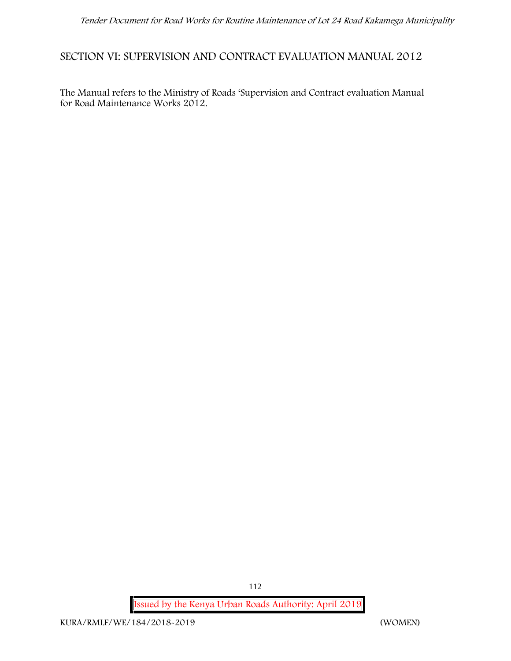# **SECTION VI: SUPERVISION AND CONTRACT EVALUATION MANUAL 2012**

The Manual refers to the Ministry of Roads 'Supervision and Contract evaluation Manual for Road Maintenance Works 2012.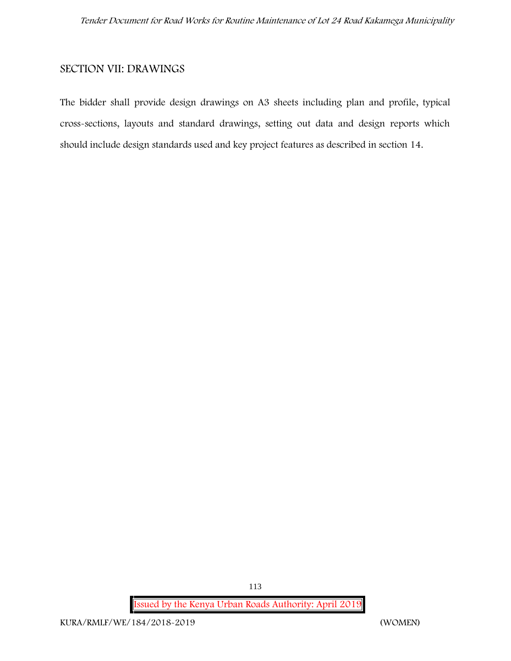### **SECTION VII: DRAWINGS**

The bidder shall provide design drawings on A3 sheets including plan and profile, typical cross-sections, layouts and standard drawings, setting out data and design reports which should include design standards used and key project features as described in section 14.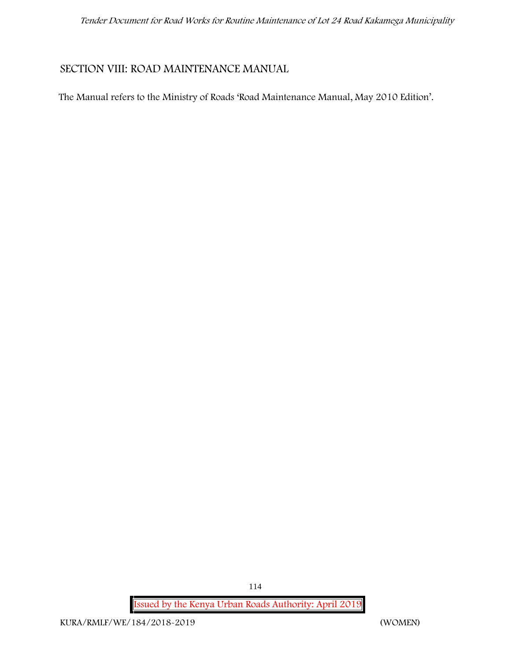### **SECTION VIII: ROAD MAINTENANCE MANUAL**

The Manual refers to the Ministry of Roads 'Road Maintenance Manual, May 2010 Edition'.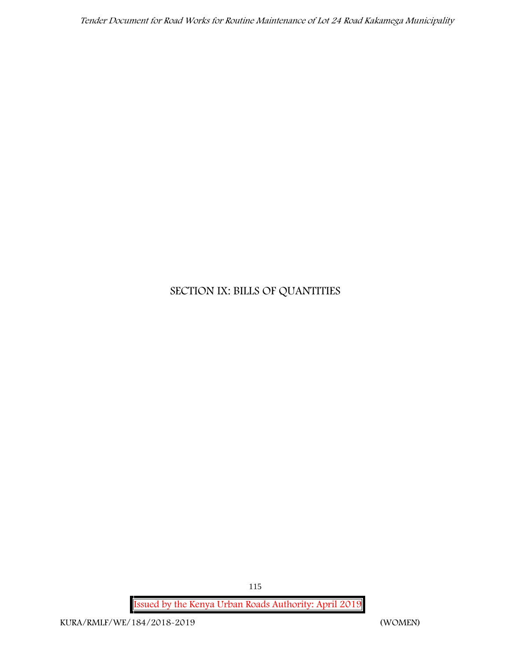# **SECTION IX: BILLS OF QUANTITIES**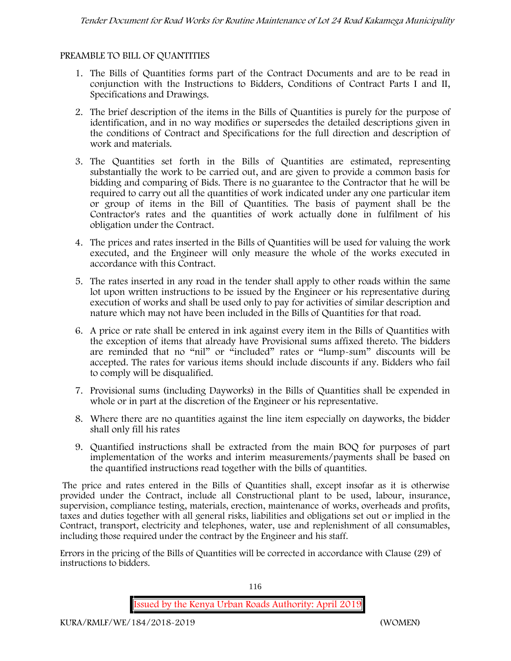### **PREAMBLE TO BILL OF QUANTITIES**

- 1. The Bills of Quantities forms part of the Contract Documents and are to be read in conjunction with the Instructions to Bidders, Conditions of Contract Parts I and II, Specifications and Drawings.
- 2. The brief description of the items in the Bills of Quantities is purely for the purpose of identification, and in no way modifies or supersedes the detailed descriptions given in the conditions of Contract and Specifications for the full direction and description of work and materials.
- 3. The Quantities set forth in the Bills of Quantities are estimated, representing substantially the work to be carried out, and are given to provide a common basis for bidding and comparing of Bids. There is no guarantee to the Contractor that he will be required to carry out all the quantities of work indicated under any one particular item or group of items in the Bill of Quantities. The basis of payment shall be the Contractor's rates and the quantities of work actually done in fulfilment of his obligation under the Contract.
- 4. The prices and rates inserted in the Bills of Quantities will be used for valuing the work executed, and the Engineer will only measure the whole of the works executed in accordance with this Contract.
- 5. The rates inserted in any road in the tender shall apply to other roads within the same lot upon written instructions to be issued by the Engineer or his representative during execution of works and shall be used only to pay for activities of similar description and nature which may not have been included in the Bills of Quantities for that road.
- 6. A price or rate shall be entered in ink against every item in the Bills of Quantities with the exception of items that already have Provisional sums affixed thereto. The bidders are reminded that no "nil" or "included" rates or "lump-sum" discounts will be accepted. The rates for various items should include discounts if any. Bidders who fail to comply will be disqualified.
- 7. Provisional sums (including Dayworks) in the Bills of Quantities shall be expended in whole or in part at the discretion of the Engineer or his representative.
- 8. Where there are no quantities against the line item especially on dayworks, the bidder shall only fill his rates
- 9. Quantified instructions shall be extracted from the main BOQ for purposes of part implementation of the works and interim measurements/payments shall be based on the quantified instructions read together with the bills of quantities.

The price and rates entered in the Bills of Quantities shall, except insofar as it is otherwise provided under the Contract, include all Constructional plant to be used, labour, insurance, supervision, compliance testing, materials, erection, maintenance of works, overheads and profits, taxes and duties together with all general risks, liabilities and obligations set out or implied in the Contract, transport, electricity and telephones, water, use and replenishment of all consumables, including those required under the contract by the Engineer and his staff.

Errors in the pricing of the Bills of Quantities will be corrected in accordance with Clause (29) of instructions to bidders.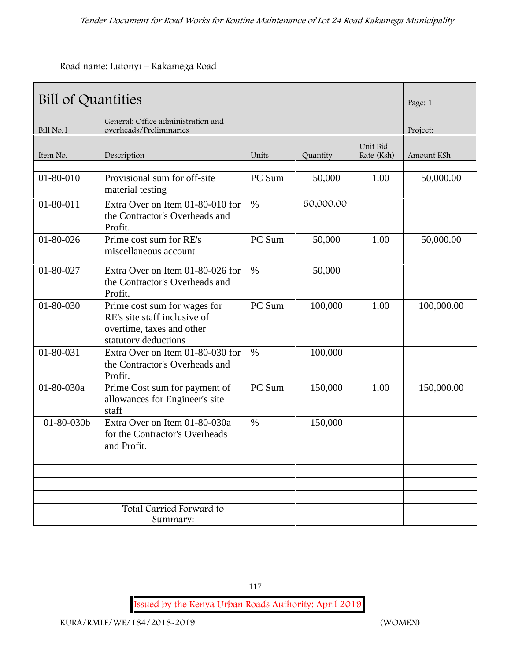**Road name: Lutonyi – Kakamega Road**

|                 | Bill of Quantities                                                                                                |        |           |                        | Page: 1    |  |
|-----------------|-------------------------------------------------------------------------------------------------------------------|--------|-----------|------------------------|------------|--|
| Bill No.1       | General: Office administration and<br>overheads/Preliminaries                                                     |        |           |                        | Project:   |  |
| Item No.        | Description                                                                                                       | Units  | Quantity  | Unit Bid<br>Rate (Ksh) | Amount KSh |  |
| 01-80-010       | Provisional sum for off-site<br>material testing                                                                  | PC Sum | 50,000    | 1.00                   | 50,000.00  |  |
| $01 - 80 - 011$ | Extra Over on Item 01-80-010 for<br>the Contractor's Overheads and<br>Profit.                                     | $\%$   | 50,000.00 |                        |            |  |
| $01 - 80 - 026$ | Prime cost sum for RE's<br>miscellaneous account                                                                  | PC Sum | 50,000    | 1.00                   | 50,000.00  |  |
| 01-80-027       | Extra Over on Item 01-80-026 for<br>the Contractor's Overheads and<br>Profit.                                     | $\%$   | 50,000    |                        |            |  |
| 01-80-030       | Prime cost sum for wages for<br>RE's site staff inclusive of<br>overtime, taxes and other<br>statutory deductions | PC Sum | 100,000   | 1.00                   | 100,000.00 |  |
| 01-80-031       | Extra Over on Item 01-80-030 for<br>the Contractor's Overheads and<br>Profit.                                     | $\%$   | 100,000   |                        |            |  |
| 01-80-030a      | Prime Cost sum for payment of<br>allowances for Engineer's site<br>staff                                          | PC Sum | 150,000   | 1.00                   | 150,000.00 |  |
| 01-80-030b      | Extra Over on Item 01-80-030a<br>for the Contractor's Overheads<br>and Profit.                                    | $\%$   | 150,000   |                        |            |  |
|                 |                                                                                                                   |        |           |                        |            |  |
|                 | Total Carried Forward to<br>Summary:                                                                              |        |           |                        |            |  |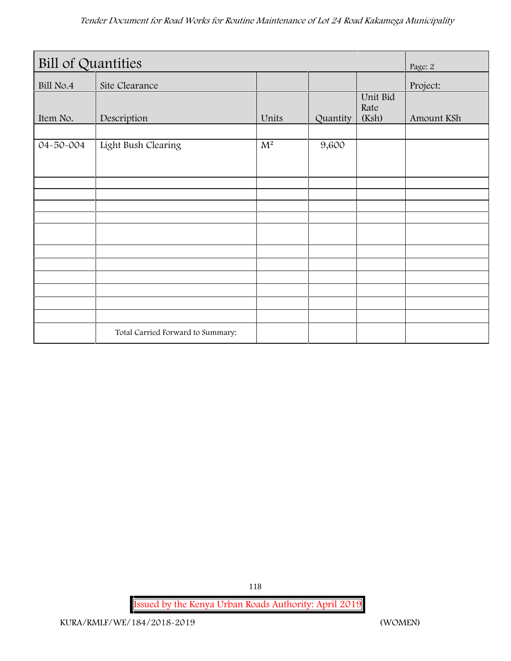| <b>Bill of Quantities</b> |                                   |                  |          |                           | Page: 2    |
|---------------------------|-----------------------------------|------------------|----------|---------------------------|------------|
| Bill No.4                 | Site Clearance                    |                  |          |                           | Project:   |
| Item No.                  | Description                       | Units            | Quantity | Unit Bid<br>Rate<br>(Ksh) | Amount KSh |
| 04-50-004                 | Light Bush Clearing               | $\overline{M^2}$ | 9,600    |                           |            |
|                           |                                   |                  |          |                           |            |
|                           |                                   |                  |          |                           |            |
|                           |                                   |                  |          |                           |            |
|                           |                                   |                  |          |                           |            |
|                           |                                   |                  |          |                           |            |
|                           |                                   |                  |          |                           |            |
|                           |                                   |                  |          |                           |            |
|                           |                                   |                  |          |                           |            |
|                           |                                   |                  |          |                           |            |
|                           |                                   |                  |          |                           |            |
|                           | Total Carried Forward to Summary: |                  |          |                           |            |

118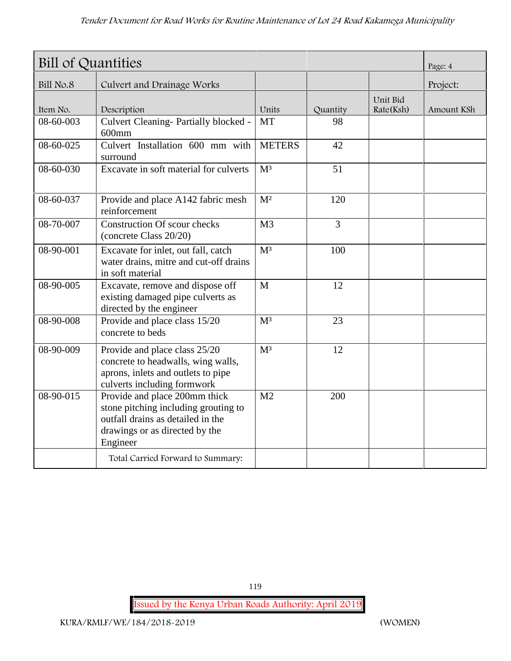| Bill of Quantities |                                                                                                                                                          |                |                |                       | Page: 4    |
|--------------------|----------------------------------------------------------------------------------------------------------------------------------------------------------|----------------|----------------|-----------------------|------------|
| Bill No.8          | Culvert and Drainage Works                                                                                                                               |                |                |                       | Project:   |
| Item No.           | Description                                                                                                                                              | Units          | Quantity       | Unit Bid<br>Rate(Ksh) | Amount KSh |
| 08-60-003          | Culvert Cleaning- Partially blocked -<br>$600$ mm                                                                                                        | <b>MT</b>      | 98             |                       |            |
| 08-60-025          | Culvert Installation 600 mm with<br>surround                                                                                                             | <b>METERS</b>  | 42             |                       |            |
| 08-60-030          | Excavate in soft material for culverts                                                                                                                   | M <sup>3</sup> | 51             |                       |            |
| 08-60-037          | Provide and place A142 fabric mesh<br>reinforcement                                                                                                      | M <sup>2</sup> | 120            |                       |            |
| 08-70-007          | <b>Construction Of scour checks</b><br>(concrete Class 20/20)                                                                                            | M <sub>3</sub> | $\overline{3}$ |                       |            |
| 08-90-001          | Excavate for inlet, out fall, catch<br>water drains, mitre and cut-off drains<br>in soft material                                                        | M <sup>3</sup> | 100            |                       |            |
| 08-90-005          | Excavate, remove and dispose off<br>existing damaged pipe culverts as<br>directed by the engineer                                                        | $\mathbf{M}$   | 12             |                       |            |
| 08-90-008          | Provide and place class 15/20<br>concrete to beds                                                                                                        | M <sup>3</sup> | 23             |                       |            |
| 08-90-009          | Provide and place class 25/20<br>concrete to headwalls, wing walls,<br>aprons, inlets and outlets to pipe<br>culverts including formwork                 | M <sup>3</sup> | 12             |                       |            |
| 08-90-015          | Provide and place 200mm thick<br>stone pitching including grouting to<br>outfall drains as detailed in the<br>drawings or as directed by the<br>Engineer | M <sub>2</sub> | 200            |                       |            |
|                    | Total Carried Forward to Summary:                                                                                                                        |                |                |                       |            |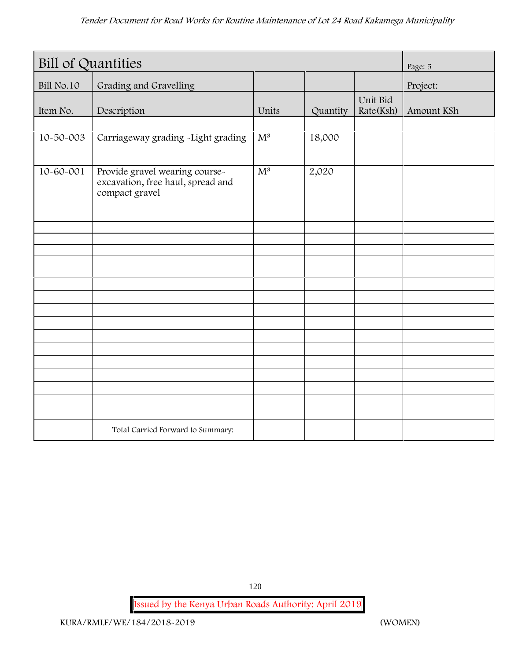| <b>Bill of Quantities</b> |                                                                                       |                  |          |                       | Page: 5    |
|---------------------------|---------------------------------------------------------------------------------------|------------------|----------|-----------------------|------------|
| Bill No.10                | Grading and Gravelling                                                                |                  |          |                       | Project:   |
| Item No.                  | Description                                                                           | Units            | Quantity | Unit Bid<br>Rate(Ksh) | Amount KSh |
| 10-50-003                 | Carriageway grading -Light grading                                                    | $\overline{M^3}$ | 18,000   |                       |            |
| $10 - 60 - 001$           | Provide gravel wearing course-<br>excavation, free haul, spread and<br>compact gravel | $\overline{M^3}$ | 2,020    |                       |            |
|                           |                                                                                       |                  |          |                       |            |
|                           |                                                                                       |                  |          |                       |            |
|                           |                                                                                       |                  |          |                       |            |
|                           |                                                                                       |                  |          |                       |            |
|                           |                                                                                       |                  |          |                       |            |
|                           |                                                                                       |                  |          |                       |            |
|                           |                                                                                       |                  |          |                       |            |
|                           |                                                                                       |                  |          |                       |            |
|                           |                                                                                       |                  |          |                       |            |
|                           |                                                                                       |                  |          |                       |            |
|                           |                                                                                       |                  |          |                       |            |
|                           |                                                                                       |                  |          |                       |            |
|                           | Total Carried Forward to Summary:                                                     |                  |          |                       |            |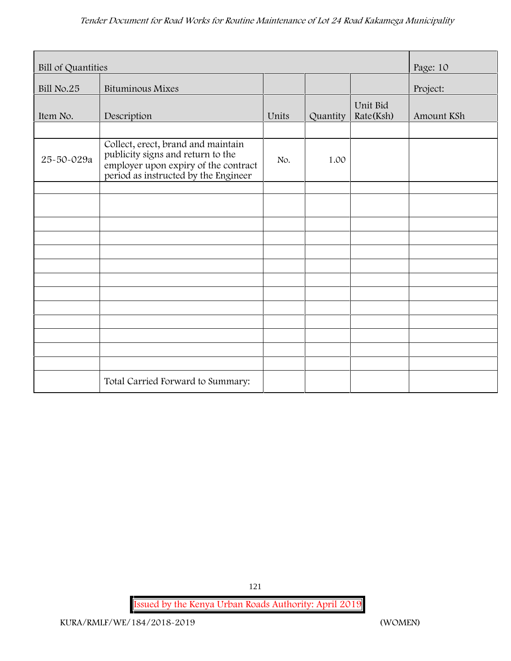| Bill of Quantities |                                                                                                                                                         |       |          |                       | Page: 10   |
|--------------------|---------------------------------------------------------------------------------------------------------------------------------------------------------|-------|----------|-----------------------|------------|
| Bill No.25         | <b>Bituminous Mixes</b>                                                                                                                                 |       |          |                       | Project:   |
| Item No.           | Description                                                                                                                                             | Units | Quantity | Unit Bid<br>Rate(Ksh) | Amount KSh |
|                    |                                                                                                                                                         |       |          |                       |            |
| 25-50-029a         | Collect, erect, brand and maintain<br>publicity signs and return to the<br>employer upon expiry of the contract<br>period as instructed by the Engineer | No.   | 1.00     |                       |            |
|                    |                                                                                                                                                         |       |          |                       |            |
|                    |                                                                                                                                                         |       |          |                       |            |
|                    |                                                                                                                                                         |       |          |                       |            |
|                    |                                                                                                                                                         |       |          |                       |            |
|                    |                                                                                                                                                         |       |          |                       |            |
|                    |                                                                                                                                                         |       |          |                       |            |
|                    |                                                                                                                                                         |       |          |                       |            |
|                    |                                                                                                                                                         |       |          |                       |            |
|                    |                                                                                                                                                         |       |          |                       |            |
|                    |                                                                                                                                                         |       |          |                       |            |
|                    |                                                                                                                                                         |       |          |                       |            |
|                    |                                                                                                                                                         |       |          |                       |            |
|                    |                                                                                                                                                         |       |          |                       |            |
|                    | Total Carried Forward to Summary:                                                                                                                       |       |          |                       |            |

121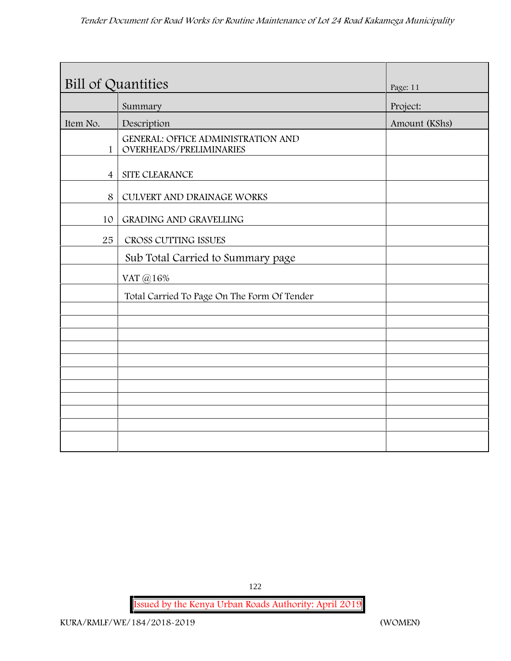| Bill of Quantities |                                                                      | Page: 11      |
|--------------------|----------------------------------------------------------------------|---------------|
|                    | Summary                                                              | Project:      |
| Item No.           | Description                                                          | Amount (KShs) |
| $\mathbf{1}$       | <b>GENERAL: OFFICE ADMINISTRATION AND</b><br>OVERHEADS/PRELIMINARIES |               |
| $\overline{4}$     | SITE CLEARANCE                                                       |               |
| 8                  | CULVERT AND DRAINAGE WORKS                                           |               |
| 10                 | GRADING AND GRAVELLING                                               |               |
| 25                 | CROSS CUTTING ISSUES                                                 |               |
|                    | Sub Total Carried to Summary page                                    |               |
|                    | VAT @16%                                                             |               |
|                    | Total Carried To Page On The Form Of Tender                          |               |
|                    |                                                                      |               |
|                    |                                                                      |               |
|                    |                                                                      |               |
|                    |                                                                      |               |
|                    |                                                                      |               |
|                    |                                                                      |               |
|                    |                                                                      |               |
|                    |                                                                      |               |
|                    |                                                                      |               |

122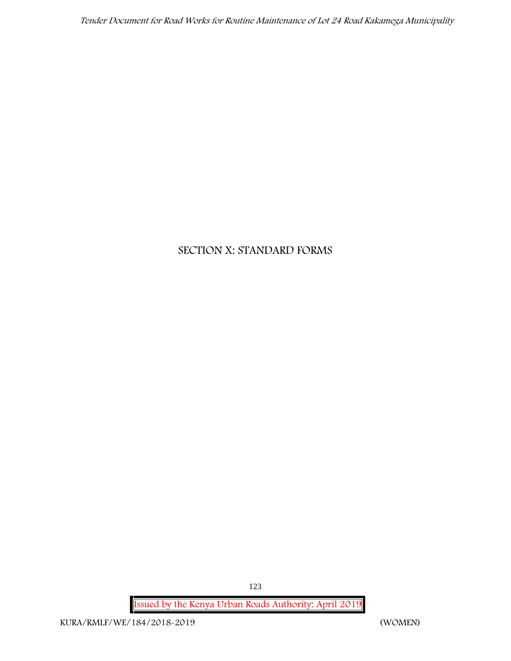# **SECTION X: STANDARD FORMS**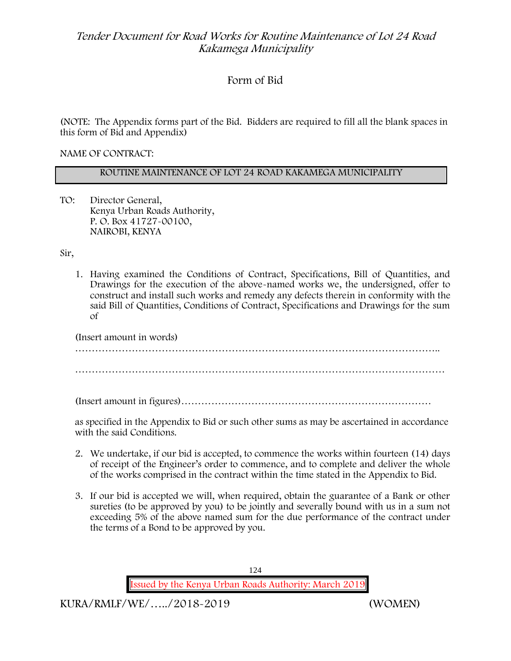# **Form of Bid**

(NOTE: The Appendix forms part of the Bid. Bidders are required to fill all the blank spaces in this form of Bid and Appendix)

**NAME OF CONTRACT:**

### **ROUTINE MAINTENANCE OF LOT 24 ROAD KAKAMEGA MUNICIPALITY**

TO: Director General, Kenya Urban Roads Authority, P. O. Box 41727-00100, **NAIROBI, KENYA**

Sir,

1. Having examined the Conditions of Contract, Specifications, Bill of Quantities, and Drawings for the execution of the above-named works we, the undersigned, offer to construct and install such works and remedy any defects therein in conformity with the said Bill of Quantities, Conditions of Contract, Specifications and Drawings for the sum of

| (Insert amount in words) |  |
|--------------------------|--|
|                          |  |
|                          |  |
|                          |  |

(Insert amount in figures)…………………………………………………………………

as specified in the Appendix to Bid or such other sums as may be ascertained in accordance with the said Conditions.

- 2. We undertake, if our bid is accepted, to commence the works within fourteen (14) days of receipt of the Engineer's order to commence, and to complete and deliver the whole of the works comprised in the contract within the time stated in the Appendix to Bid.
- 3. If our bid is accepted we will, when required, obtain the guarantee of a Bank or other sureties (to be approved by you) to be jointly and severally bound with us in a sum not exceeding 5% of the above named sum for the due performance of the contract under the terms of a Bond to be approved by you.

124 **Issued by the Kenya Urban Roads Authority: March 2019**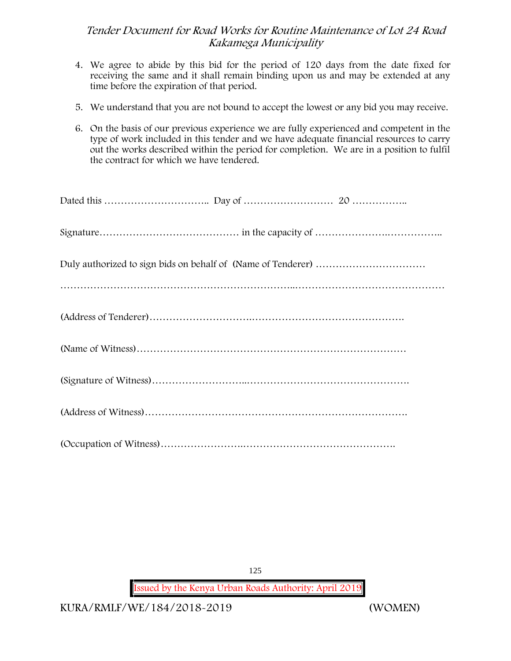- 4. We agree to abide by this bid for the period of 120 days from the date fixed for receiving the same and it shall remain binding upon us and may be extended at any time before the expiration of that period.
- 5. We understand that you are not bound to accept the lowest or any bid you may receive.
- 6. On the basis of our previous experience we are fully experienced and competent in the type of work included in this tender and we have adequate financial resources to carry out the works described within the period for completion. We are in a position to fulfil the contract for which we have tendered.

125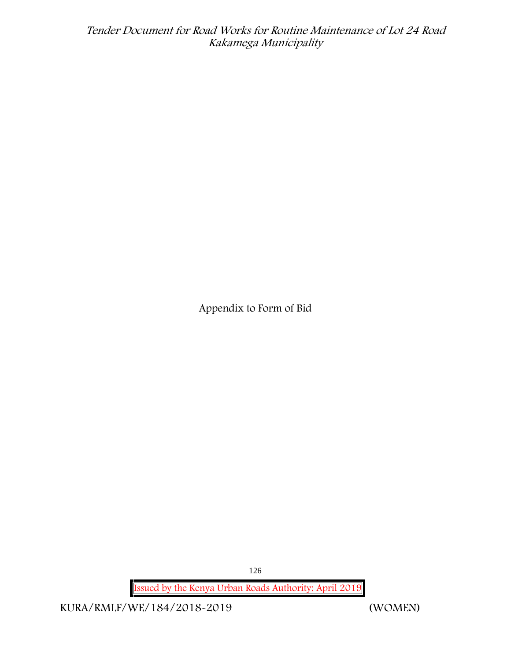**Appendix to Form of Bid**

126

**Issued by the Kenya Urban Roads Authority: April 2019**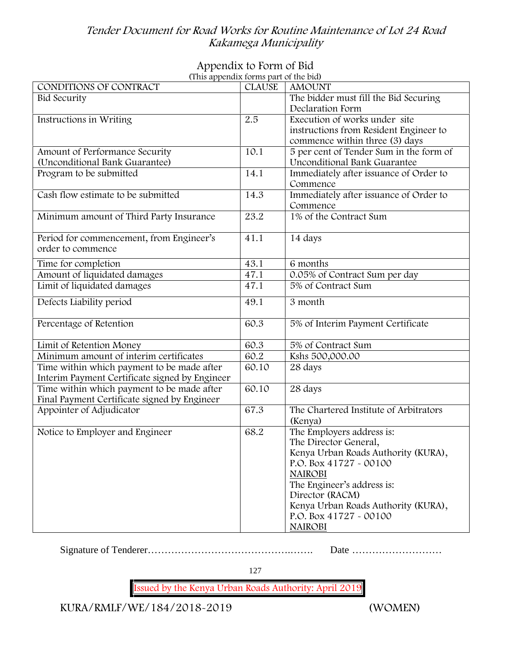# **Appendix to Form of Bid**

| (This appendix forms part of the bid)          |               |                                         |
|------------------------------------------------|---------------|-----------------------------------------|
| CONDITIONS OF CONTRACT                         | <b>CLAUSE</b> | <b>AMOUNT</b>                           |
| <b>Bid Security</b>                            |               | The bidder must fill the Bid Securing   |
|                                                |               | Declaration Form                        |
| Instructions in Writing                        | 2.5           | Execution of works under site           |
|                                                |               | instructions from Resident Engineer to  |
|                                                |               | commence within three (3) days          |
| Amount of Performance Security                 | 10.1          | 5 per cent of Tender Sum in the form of |
| (Unconditional Bank Guarantee)                 |               | Unconditional Bank Guarantee            |
| Program to be submitted                        | 14.1          | Immediately after issuance of Order to  |
|                                                |               | Commence                                |
| Cash flow estimate to be submitted             | 14.3          | Immediately after issuance of Order to  |
|                                                |               | Commence                                |
| Minimum amount of Third Party Insurance        | 23.2          | 1% of the Contract Sum                  |
|                                                |               |                                         |
| Period for commencement, from Engineer's       | 41.1          | 14 days                                 |
| order to commence                              |               |                                         |
| Time for completion                            | 43.1          | 6 months                                |
| Amount of liquidated damages                   | 47.1          | 0.05% of Contract Sum per day           |
| Limit of liquidated damages                    | 47.1          | 5% of Contract Sum                      |
|                                                |               |                                         |
| Defects Liability period                       | 49.1          | 3 month                                 |
|                                                |               |                                         |
| Percentage of Retention                        | 60.3          | 5% of Interim Payment Certificate       |
|                                                |               |                                         |
| Limit of Retention Money                       | 60.3          | 5% of Contract Sum                      |
| Minimum amount of interim certificates         | 60.2          | Kshs 500,000.00                         |
| Time within which payment to be made after     | 60.10         | 28 days                                 |
| Interim Payment Certificate signed by Engineer |               |                                         |
| Time within which payment to be made after     | 60.10         | 28 days                                 |
| Final Payment Certificate signed by Engineer   |               |                                         |
| Appointer of Adjudicator                       | 67.3          | The Chartered Institute of Arbitrators  |
|                                                |               | (Kenya)                                 |
| Notice to Employer and Engineer                | 68.2          | The Employers address is:               |
|                                                |               | The Director General,                   |
|                                                |               | Kenya Urban Roads Authority (KURA),     |
|                                                |               | P.O. Box 41727 - 00100                  |
|                                                |               | <b>NAIROBI</b>                          |
|                                                |               | The Engineer's address is:              |
|                                                |               | Director (RACM)                         |
|                                                |               | Kenya Urban Roads Authority (KURA),     |
|                                                |               | P.O. Box 41727 - 00100                  |
|                                                |               | <b>NAIROBI</b>                          |
|                                                |               |                                         |

Signature of Tenderer…………………………………….……. Date ………………………

127

**Issued by the Kenya Urban Roads Authority: April 2019**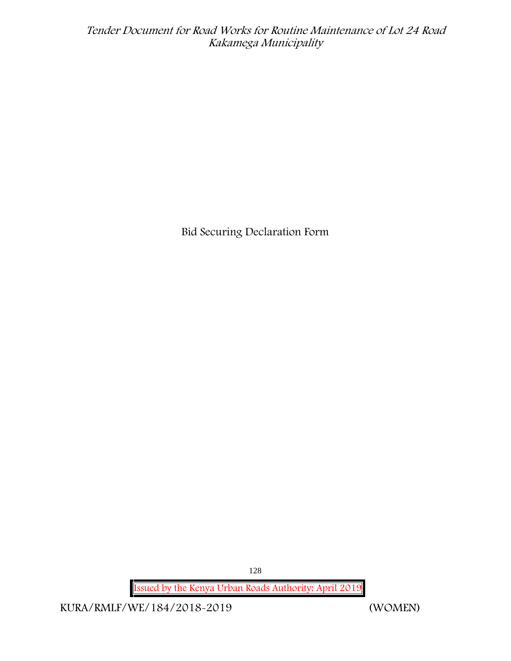**Bid Securing Declaration Form**

128

**Issued by the Kenya Urban Roads Authority: April 2019**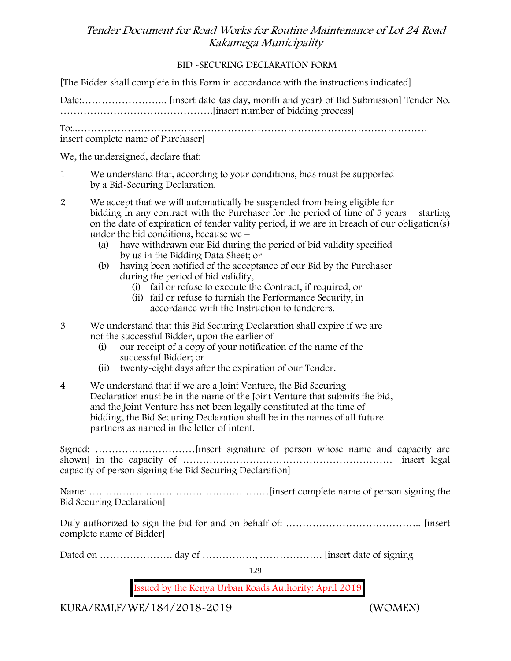### **BID -SECURING DECLARATION FORM**

[The Bidder shall complete in this Form in accordance with the instructions indicated]

Date:…………………….. [insert date (as day, month and year) of Bid Submission] Tender No. ……………………………………….[insert number of bidding process]

To:..…………………………………………………………………………………………… insert complete name of Purchaser]

We, the undersigned, declare that:

- 1 We understand that, according to your conditions, bids must be supported by a Bid-Securing Declaration.
- 2 We accept that we will automatically be suspended from being eligible for bidding in any contract with the Purchaser for the period of time of 5 years starting on the date of expiration of tender vality period, if we are in breach of our obligation(s) under the bid conditions, because we –
	- (a) have withdrawn our Bid during the period of bid validity specified by us in the Bidding Data Sheet; or
	- (b) having been notified of the acceptance of our Bid by the Purchaser during the period of bid validity,
		- (i) fail or refuse to execute the Contract, if required, or
		- (ii) fail or refuse to furnish the Performance Security, in accordance with the Instruction to tenderers.
- 3 We understand that this Bid Securing Declaration shall expire if we are not the successful Bidder, upon the earlier of
	- (i) our receipt of a copy of your notification of the name of the successful Bidder; or
	- (ii) twenty-eight days after the expiration of our Tender.
- 4 We understand that if we are a Joint Venture, the Bid Securing Declaration must be in the name of the Joint Venture that submits the bid, and the Joint Venture has not been legally constituted at the time of bidding, the Bid Securing Declaration shall be in the names of all future partners as named in the letter of intent.

Signed: …………………………[insert signature of person whose name and capacity are shown] in the capacity of ……………………………………………………… [insert legal capacity of person signing the Bid Securing Declaration]

Name: ………………………………………………[insert complete name of person signing the Bid Securing Declaration]

Duly authorized to sign the bid for and on behalf of: ………………………………….. [insert complete name of Bidder]

Dated on …………………. day of ……………., ………………. [insert date of signing

129

**Issued by the Kenya Urban Roads Authority: April 2019**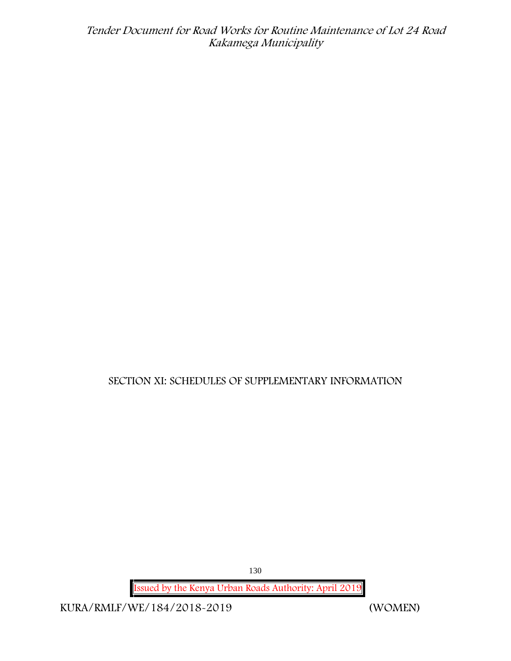# **SECTION XI: SCHEDULES OF SUPPLEMENTARY INFORMATION**

130

**Issued by the Kenya Urban Roads Authority: April 2019**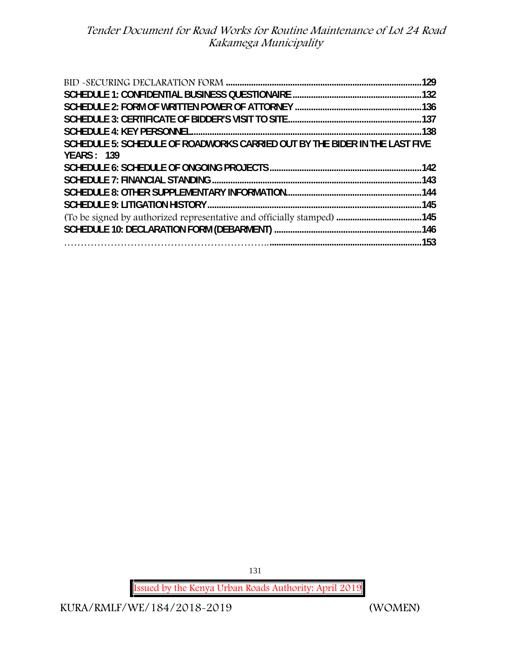| SCHEDULE 5: SCHEDULE OF ROADWORKS CARRIED OUT BY THE BIDER IN THE LAST FIVE |      |
|-----------------------------------------------------------------------------|------|
| <b>YEARS: 139</b>                                                           |      |
|                                                                             |      |
|                                                                             | .142 |
|                                                                             |      |
|                                                                             |      |
|                                                                             |      |
|                                                                             |      |
|                                                                             |      |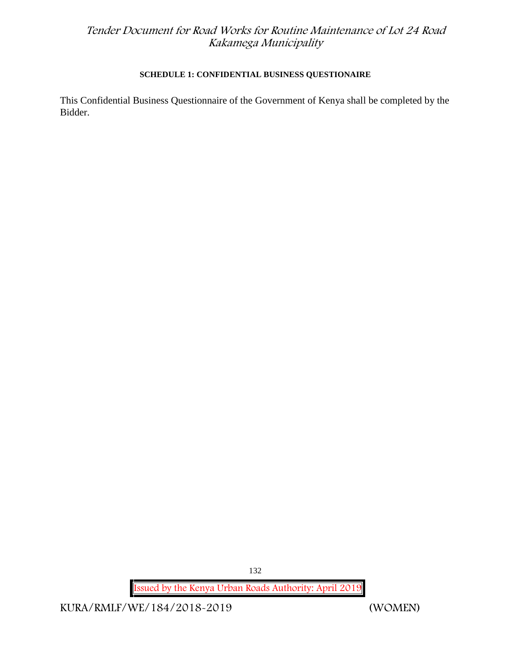### **SCHEDULE 1: CONFIDENTIAL BUSINESS QUESTIONAIRE**

This Confidential Business Questionnaire of the Government of Kenya shall be completed by the Bidder.

132

**Issued by the Kenya Urban Roads Authority: April 2019**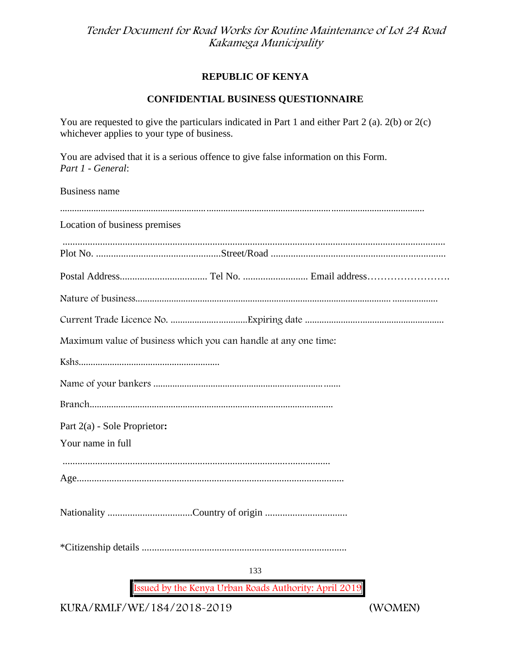### **REPUBLIC OF KENYA**

### **CONFIDENTIAL BUSINESS QUESTIONNAIRE**

You are requested to give the particulars indicated in Part 1 and either Part 2 (a). 2(b) or 2(c) whichever applies to your type of business.

You are advised that it is a serious offence to give false information on this Form. *Part 1 - General*:

Business name

| Location of business premises                                   |
|-----------------------------------------------------------------|
|                                                                 |
|                                                                 |
|                                                                 |
|                                                                 |
|                                                                 |
| Maximum value of business which you can handle at any one time: |
|                                                                 |
|                                                                 |
|                                                                 |
| Part 2(a) - Sole Proprietor:                                    |
| Your name in full                                               |
|                                                                 |
|                                                                 |
|                                                                 |
|                                                                 |
| 133                                                             |
| Issued by the Kenya Urban Roads Authority: April 2019           |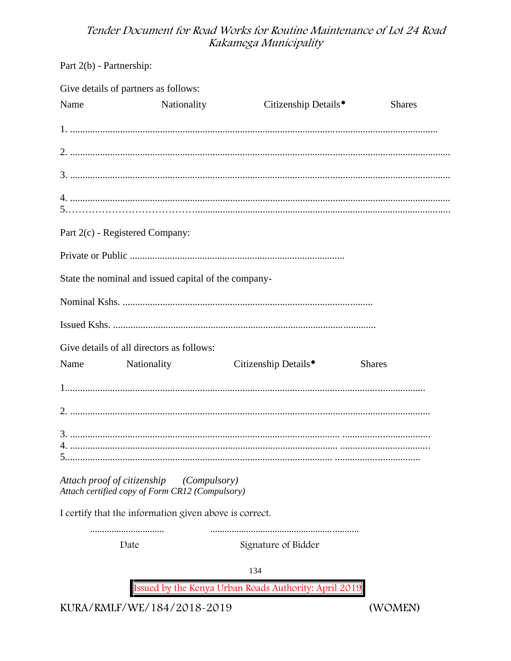Part 2(b) - Partnership:

|      | Give details of partners as follows:                                           |              |                                                       |               |
|------|--------------------------------------------------------------------------------|--------------|-------------------------------------------------------|---------------|
| Name | Nationality                                                                    |              | Citizenship Details <sup>•</sup>                      | <b>Shares</b> |
|      |                                                                                |              |                                                       |               |
|      |                                                                                |              |                                                       |               |
|      |                                                                                |              |                                                       |               |
|      |                                                                                |              |                                                       |               |
|      | Part 2(c) - Registered Company:                                                |              |                                                       |               |
|      |                                                                                |              |                                                       |               |
|      | State the nominal and issued capital of the company-                           |              |                                                       |               |
|      |                                                                                |              |                                                       |               |
|      |                                                                                |              |                                                       |               |
|      | Give details of all directors as follows:                                      |              |                                                       |               |
|      | Name Nationality                                                               |              | Citizenship Details <sup>•</sup>                      | <b>Shares</b> |
|      |                                                                                |              |                                                       |               |
|      |                                                                                |              |                                                       |               |
|      |                                                                                |              |                                                       |               |
|      | Attach proof of citizenship<br>Attach certified copy of Form CR12 (Compulsory) | (Compulsory) |                                                       |               |
|      | I certify that the information given above is correct.                         |              |                                                       |               |
|      | Date                                                                           |              | Signature of Bidder                                   |               |
|      |                                                                                |              | 134                                                   |               |
|      |                                                                                |              | Issued by the Kenya Urban Roads Authority: April 2019 |               |

KURA/RMLF/WE/184/2018-2019

(WOMEN)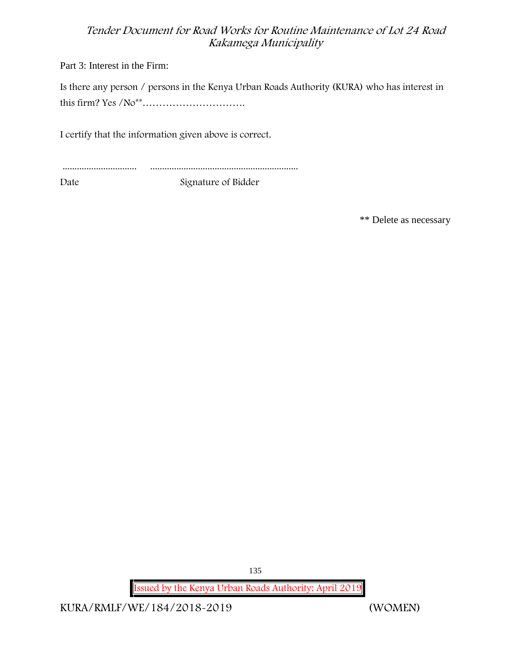Part 3: Interest in the Firm:

Is there any person / persons in the Kenya Urban Roads Authority (KURA) who has interest in this firm? Yes /No\*\*………………………….

I certify that the information given above is correct.

............................... ..............................................................

Date Signature of Bidder

\*\* Delete as necessary

135

**Issued by the Kenya Urban Roads Authority: April 2019**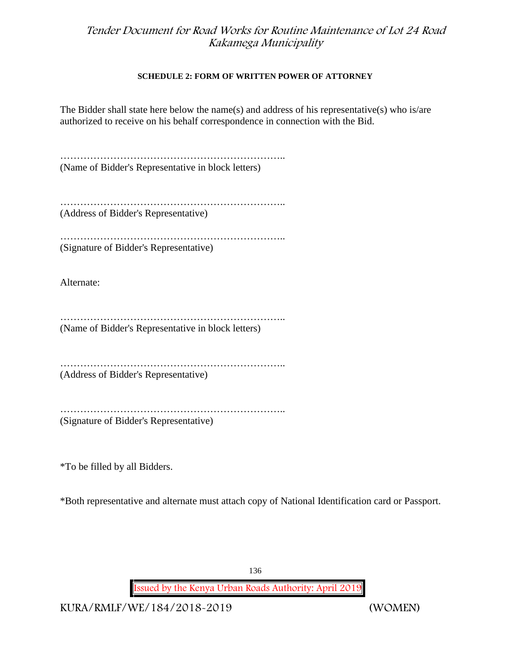#### **SCHEDULE 2: FORM OF WRITTEN POWER OF ATTORNEY**

The Bidder shall state here below the name(s) and address of his representative(s) who is/are authorized to receive on his behalf correspondence in connection with the Bid.

………………………………………………………….. (Name of Bidder's Representative in block letters)

………………………………………………………….. (Address of Bidder's Representative)

………………………………………………………….. (Signature of Bidder's Representative)

Alternate:

………………………………………………………….. (Name of Bidder's Representative in block letters)

………………………………………………………….. (Address of Bidder's Representative)

………………………………………………………….. (Signature of Bidder's Representative)

\*To be filled by all Bidders.

\*Both representative and alternate must attach copy of National Identification card or Passport.

136

**Issued by the Kenya Urban Roads Authority: April 2019**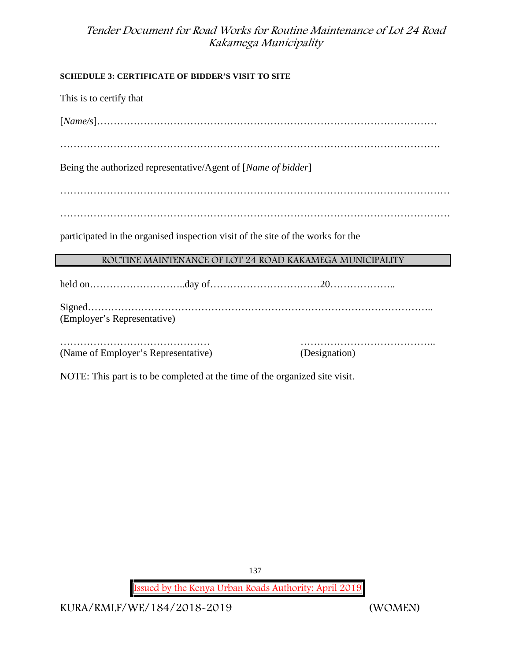### **SCHEDULE 3: CERTIFICATE OF BIDDER'S VISIT TO SITE**

This is to certify that [*Name/s*]………………………………………………………………………………………… …………………………………………………………………………………………………… Being the authorized representative/Agent of [*Name of bidder*] ……………………………………………………………………………………………………… ……………………………………………………………………………………………………… participated in the organised inspection visit of the site of the works for the **ROUTINE MAINTENANCE OF LOT 24 ROAD KAKAMEGA MUNICIPALITY** held on………………………..day of……………………………20……………….. Signed………………………………………………………………………………………….. (Employer's Representative) ……………………………………… ………………………………….. (Name of Employer's Representative) (Designation)

NOTE: This part is to be completed at the time of the organized site visit.

137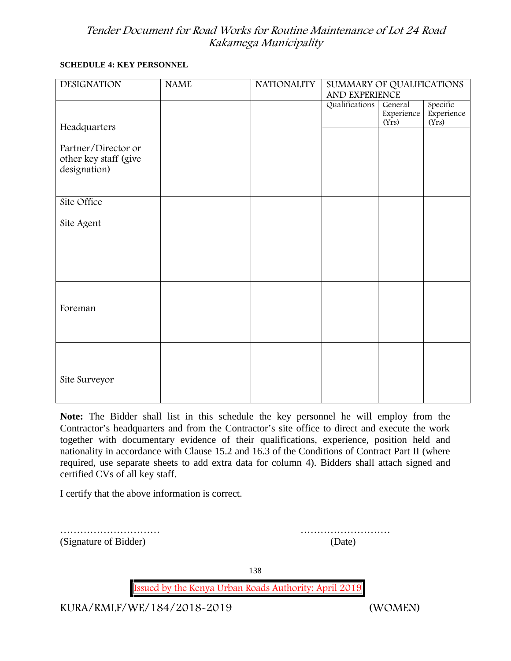#### **SCHEDULE 4: KEY PERSONNEL**

| <b>DESIGNATION</b>                                           | <b>NAME</b> | <b>NATIONALITY</b> | SUMMARY OF QUALIFICATIONS<br>AND EXPERIENCE |                                |                                 |
|--------------------------------------------------------------|-------------|--------------------|---------------------------------------------|--------------------------------|---------------------------------|
|                                                              |             |                    | Qualifications                              | General<br>Experience<br>(Yrs) | Specific<br>Experience<br>(Yrs) |
| Headquarters                                                 |             |                    |                                             |                                |                                 |
| Partner/Director or<br>other key staff (give<br>designation) |             |                    |                                             |                                |                                 |
| Site Office                                                  |             |                    |                                             |                                |                                 |
| Site Agent                                                   |             |                    |                                             |                                |                                 |
|                                                              |             |                    |                                             |                                |                                 |
|                                                              |             |                    |                                             |                                |                                 |
|                                                              |             |                    |                                             |                                |                                 |
| Foreman                                                      |             |                    |                                             |                                |                                 |
|                                                              |             |                    |                                             |                                |                                 |
|                                                              |             |                    |                                             |                                |                                 |
| Site Surveyor                                                |             |                    |                                             |                                |                                 |
|                                                              |             |                    |                                             |                                |                                 |

**Note:** The Bidder shall list in this schedule the key personnel he will employ from the Contractor's headquarters and from the Contractor's site office to direct and execute the work together with documentary evidence of their qualifications, experience, position held and nationality in accordance with Clause 15.2 and 16.3 of the Conditions of Contract Part II (where required, use separate sheets to add extra data for column 4). Bidders shall attach signed and certified CVs of all key staff.

I certify that the above information is correct.

(Signature of Bidder) (Date)

………………………… ………………………

138

**Issued by the Kenya Urban Roads Authority: April 2019**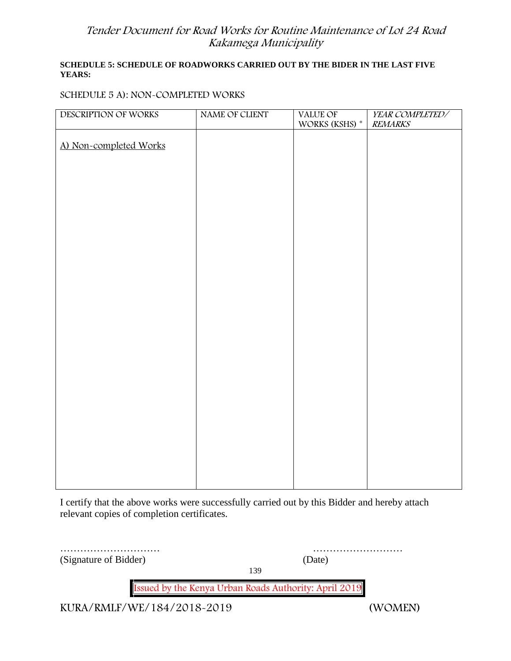### **SCHEDULE 5: SCHEDULE OF ROADWORKS CARRIED OUT BY THE BIDER IN THE LAST FIVE YEARS:**

### **SCHEDULE 5 A): NON-COMPLETED WORKS**

| DESCRIPTION OF WORKS   | NAME OF CLIENT | VALUE OF             | YEAR COMPLETED/ |
|------------------------|----------------|----------------------|-----------------|
|                        |                | WORKS (KSHS) $^\ast$ | <b>REMARKS</b>  |
| A) Non-completed Works |                |                      |                 |
|                        |                |                      |                 |
|                        |                |                      |                 |
|                        |                |                      |                 |
|                        |                |                      |                 |
|                        |                |                      |                 |
|                        |                |                      |                 |
|                        |                |                      |                 |
|                        |                |                      |                 |
|                        |                |                      |                 |
|                        |                |                      |                 |
|                        |                |                      |                 |
|                        |                |                      |                 |
|                        |                |                      |                 |
|                        |                |                      |                 |
|                        |                |                      |                 |
|                        |                |                      |                 |
|                        |                |                      |                 |
|                        |                |                      |                 |
|                        |                |                      |                 |
|                        |                |                      |                 |
|                        |                |                      |                 |
|                        |                |                      |                 |
|                        |                |                      |                 |
|                        |                |                      |                 |
|                        |                |                      |                 |
|                        |                |                      |                 |
|                        |                |                      |                 |

I certify that the above works were successfully carried out by this Bidder and hereby attach relevant copies of completion certificates.

| (Signature of Bidder) | (Date)                                                | .       |
|-----------------------|-------------------------------------------------------|---------|
|                       | 139                                                   |         |
|                       | Issued by the Kenya Urban Roads Authority: April 2019 |         |
|                       | KURA/RMLF/WE/184/2018-2019                            | (WOMEN) |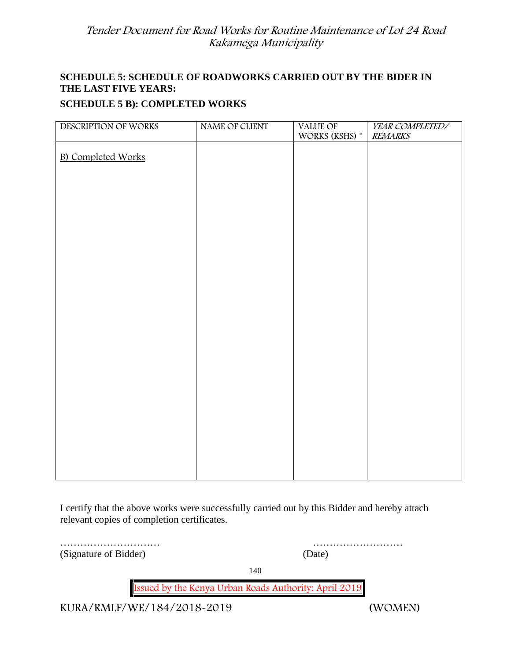### **SCHEDULE 5: SCHEDULE OF ROADWORKS CARRIED OUT BY THE BIDER IN THE LAST FIVE YEARS:**

### **SCHEDULE 5 B): COMPLETED WORKS**

| DESCRIPTION OF WORKS      | NAME OF CLIENT | VALUE OF<br>WORKS (KSHS) $^\ast$ | YEAR COMPLETED/<br><b>REMARKS</b> |
|---------------------------|----------------|----------------------------------|-----------------------------------|
|                           |                |                                  |                                   |
| <b>B)</b> Completed Works |                |                                  |                                   |
|                           |                |                                  |                                   |
|                           |                |                                  |                                   |
|                           |                |                                  |                                   |
|                           |                |                                  |                                   |
|                           |                |                                  |                                   |
|                           |                |                                  |                                   |
|                           |                |                                  |                                   |
|                           |                |                                  |                                   |
|                           |                |                                  |                                   |
|                           |                |                                  |                                   |
|                           |                |                                  |                                   |
|                           |                |                                  |                                   |
|                           |                |                                  |                                   |
|                           |                |                                  |                                   |
|                           |                |                                  |                                   |
|                           |                |                                  |                                   |
|                           |                |                                  |                                   |
|                           |                |                                  |                                   |
|                           |                |                                  |                                   |

I certify that the above works were successfully carried out by this Bidder and hereby attach relevant copies of completion certificates.

(Signature of Bidder) (Date)

………………………… ………………………

140

**Issued by the Kenya Urban Roads Authority: April 2019**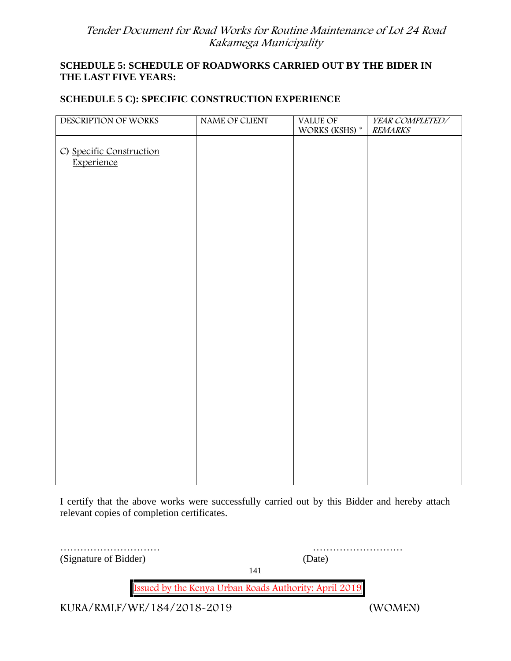### **SCHEDULE 5: SCHEDULE OF ROADWORKS CARRIED OUT BY THE BIDER IN THE LAST FIVE YEARS:**

### **SCHEDULE 5 C): SPECIFIC CONSTRUCTION EXPERIENCE**

| DESCRIPTION OF WORKS                   | NAME OF CLIENT | VALUE OF<br>WORKS (KSHS) * | YEAR COMPLETED/<br><b>REMARKS</b> |
|----------------------------------------|----------------|----------------------------|-----------------------------------|
| C) Specific Construction<br>Experience |                |                            |                                   |
|                                        |                |                            |                                   |
|                                        |                |                            |                                   |
|                                        |                |                            |                                   |
|                                        |                |                            |                                   |
|                                        |                |                            |                                   |
|                                        |                |                            |                                   |
|                                        |                |                            |                                   |
|                                        |                |                            |                                   |

I certify that the above works were successfully carried out by this Bidder and hereby attach relevant copies of completion certificates.

| (Signature of Bidder)      | (Date)                                                |
|----------------------------|-------------------------------------------------------|
|                            | 141                                                   |
|                            | Issued by the Kenya Urban Roads Authority: April 2019 |
| KURA/RMLF/WE/184/2018-2019 | (WOMEN)                                               |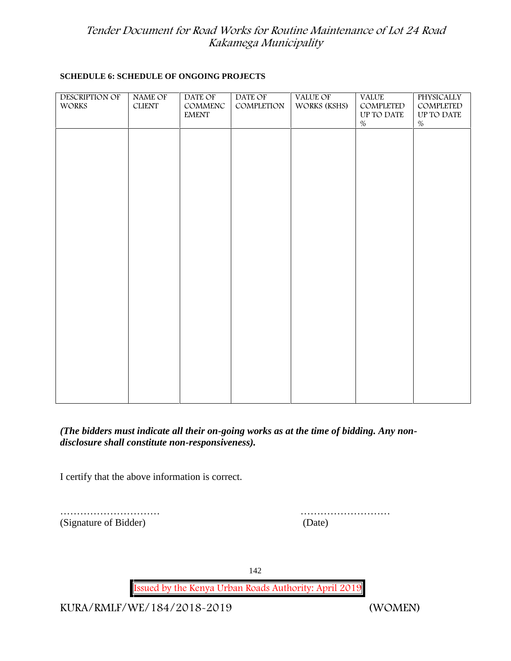#### **SCHEDULE 6: SCHEDULE OF ONGOING PROJECTS**

| <b>DESCRIPTION OF</b><br>WORKS | NAME OF<br>${\rm CLIENT}$ | DATE OF<br>COMMENC<br><b>EMENT</b> | DATE OF<br>COMPLETION | VALUE OF<br>WORKS (KSHS) | <b>VALUE</b><br>COMPLETED<br>UP TO DATE<br>$\%$ | <b>PHYSICALLY</b><br>COMPLETED<br>UP TO DATE<br>$\%$ |  |
|--------------------------------|---------------------------|------------------------------------|-----------------------|--------------------------|-------------------------------------------------|------------------------------------------------------|--|
|                                |                           |                                    |                       |                          |                                                 |                                                      |  |
|                                |                           |                                    |                       |                          |                                                 |                                                      |  |
|                                |                           |                                    |                       |                          |                                                 |                                                      |  |
|                                |                           |                                    |                       |                          |                                                 |                                                      |  |
|                                |                           |                                    |                       |                          |                                                 |                                                      |  |
|                                |                           |                                    |                       |                          |                                                 |                                                      |  |
|                                |                           |                                    |                       |                          |                                                 |                                                      |  |
|                                |                           |                                    |                       |                          |                                                 |                                                      |  |
|                                |                           |                                    |                       |                          |                                                 |                                                      |  |

### *(The bidders must indicate all their on-going works as at the time of bidding. Any non disclosure shall constitute non-responsiveness).*

I certify that the above information is correct.

|                       | .      |
|-----------------------|--------|
| (Signature of Bidder) | (Date) |

………………………… ………………………

142

**Issued by the Kenya Urban Roads Authority: April 2019**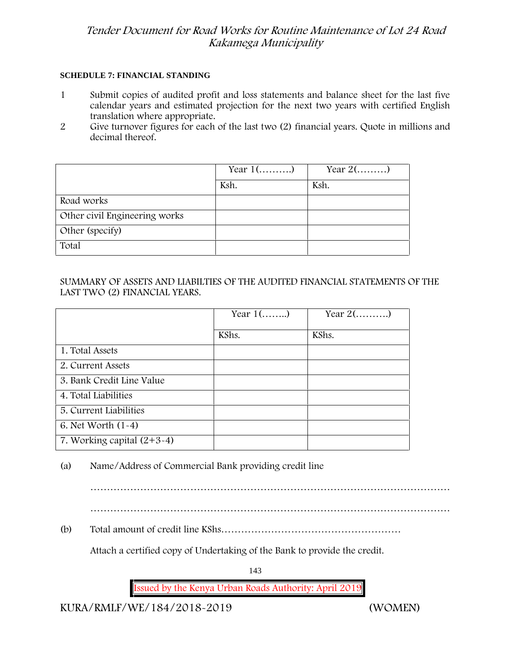#### **SCHEDULE 7: FINANCIAL STANDING**

- 1 Submit copies of audited profit and loss statements and balance sheet for the last five calendar years and estimated projection for the next two years with certified English translation where appropriate.
- 2 Give turnover figures for each of the last two (2) financial years. Quote in millions and decimal thereof.

|                               | Year $1$ () | Year $2(\dots \dots)$ |
|-------------------------------|-------------|-----------------------|
|                               | Ksh.        | Ksh.                  |
| Road works                    |             |                       |
| Other civil Engineering works |             |                       |
| Other (specify)               |             |                       |
| Total                         |             |                       |

### SUMMARY OF ASSETS AND LIABILTIES OF THE AUDITED FINANCIAL STATEMENTS OF THE LAST TWO (2) FINANCIAL YEARS.

|                              | Year $1$ () | Year $2(\dots \dots)$ |
|------------------------------|-------------|-----------------------|
|                              | KShs.       | KShs.                 |
| 1. Total Assets              |             |                       |
| 2. Current Assets            |             |                       |
| 3. Bank Credit Line Value    |             |                       |
| 4. Total Liabilities         |             |                       |
| 5. Current Liabilities       |             |                       |
| 6. Net Worth $(1-4)$         |             |                       |
| 7. Working capital $(2+3-4)$ |             |                       |

(a) Name/Address of Commercial Bank providing credit line

………………………………………………………………………………………………

………………………………………………………………………………………………

(b) Total amount of credit line KShs………………………………………………

Attach a certified copy of Undertaking of the Bank to provide the credit.

143

**Issued by the Kenya Urban Roads Authority: April 2019**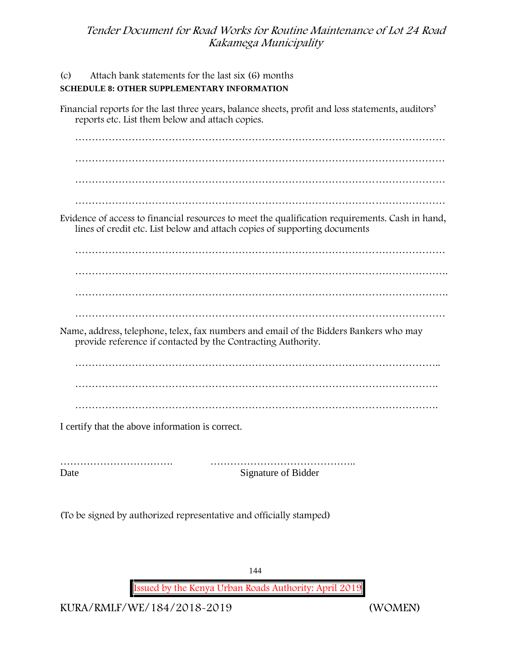| Attach bank statements for the last six (6) months<br>(c)<br><b>SCHEDULE 8: OTHER SUPPLEMENTARY INFORMATION</b>                                                              |
|------------------------------------------------------------------------------------------------------------------------------------------------------------------------------|
| Financial reports for the last three years, balance sheets, profit and loss statements, auditors'<br>reports etc. List them below and attach copies.                         |
|                                                                                                                                                                              |
|                                                                                                                                                                              |
|                                                                                                                                                                              |
|                                                                                                                                                                              |
| Evidence of access to financial resources to meet the qualification requirements. Cash in hand,<br>lines of credit etc. List below and attach copies of supporting documents |
|                                                                                                                                                                              |
|                                                                                                                                                                              |
|                                                                                                                                                                              |
|                                                                                                                                                                              |
| Name, address, telephone, telex, fax numbers and email of the Bidders Bankers who may<br>provide reference if contacted by the Contracting Authority.                        |
|                                                                                                                                                                              |
|                                                                                                                                                                              |
|                                                                                                                                                                              |
| I certify that the above information is correct.                                                                                                                             |
|                                                                                                                                                                              |

……………………………. …………………………………….. Date Signature of Bidder

(To be signed by authorized representative and officially stamped)

144

**Issued by the Kenya Urban Roads Authority: April 2019**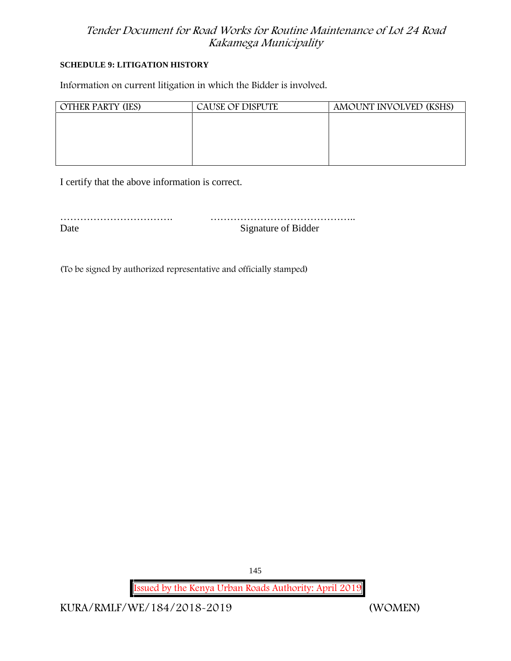#### **SCHEDULE 9: LITIGATION HISTORY**

Information on current litigation in which the Bidder is involved.

| <b>OTHER PARTY (IES)</b> | CAUSE OF DISPUTE | AMOUNT INVOLVED (KSHS) |
|--------------------------|------------------|------------------------|
|                          |                  |                        |
|                          |                  |                        |
|                          |                  |                        |
|                          |                  |                        |
|                          |                  |                        |

I certify that the above information is correct.

……………………………. …………………………………….. Date Signature of Bidder

(To be signed by authorized representative and officially stamped)

**Issued by the Kenya Urban Roads Authority: April 2019**

145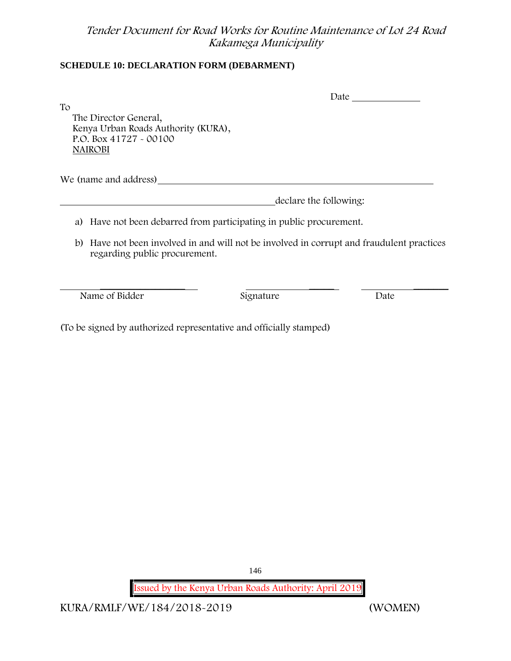### **SCHEDULE 10: DECLARATION FORM (DEBARMENT)**

|                                                                                                                               |           | Date                   |  |  |  |
|-------------------------------------------------------------------------------------------------------------------------------|-----------|------------------------|--|--|--|
| To<br>The Director General,<br>Kenya Urban Roads Authority (KURA),<br>P.O. Box $41727 - 00100$<br>NAIROBI                     |           |                        |  |  |  |
| We (name and address)                                                                                                         |           |                        |  |  |  |
|                                                                                                                               |           | declare the following: |  |  |  |
| Have not been debarred from participating in public procurement.<br>a)                                                        |           |                        |  |  |  |
| Have not been involved in and will not be involved in corrupt and fraudulent practices<br>b)<br>regarding public procurement. |           |                        |  |  |  |
|                                                                                                                               |           |                        |  |  |  |
| Name of Bidder                                                                                                                | Signature | Date                   |  |  |  |

(To be signed by authorized representative and officially stamped)

146

**Issued by the Kenya Urban Roads Authority: April 2019**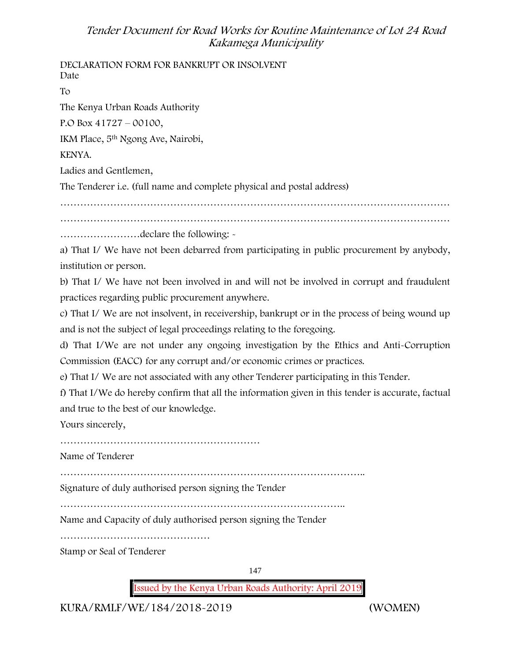**DECLARATION FORM FOR BANKRUPT OR INSOLVENT** Date To The Kenya Urban Roads Authority P.O Box 41727 – 00100, IKM Place, 5th Ngong Ave, Nairobi, KENYA. Ladies and Gentlemen, The Tenderer i.e. (full name and complete physical and postal address) ……………………………………………………………………………………………………… ……………………declare the following: a) That I/ We have not been debarred from participating in public procurement by anybody, institution or person. b) That I/ We have not been involved in and will not be involved in corrupt and fraudulent practices regarding public procurement anywhere. c) That I/ We are not insolvent, in receivership, bankrupt or in the process of being wound up and is not the subject of legal proceedings relating to the foregoing. d) That I/We are not under any ongoing investigation by the Ethics and Anti-Corruption Commission (EACC) for any corrupt and/or economic crimes or practices. e) That I/ We are not associated with any other Tenderer participating in this Tender. f) That I/We do hereby confirm that all the information given in this tender is accurate, factual and true to the best of our knowledge. Yours sincerely, …………………………………………………… Name of Tenderer ……………………………………………………………………………….. Signature of duly authorised person signing the Tender ………………………………………………………………………….. Name and Capacity of duly authorised person signing the Tender ……………………………………… Stamp or Seal of Tenderer

147

**Issued by the Kenya Urban Roads Authority: April 2019**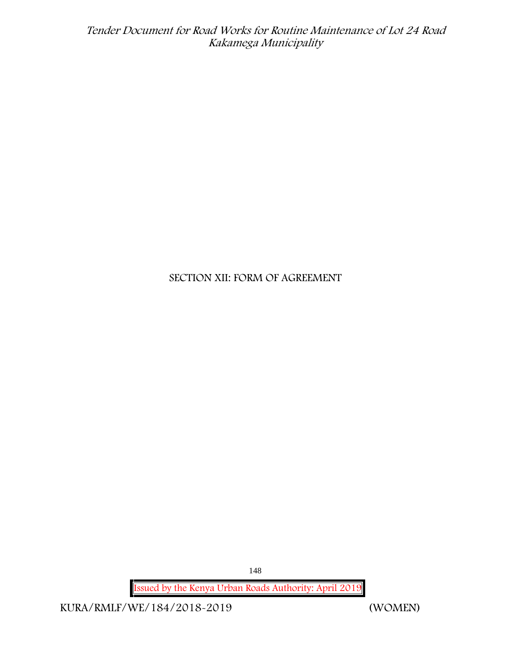# **SECTION XII: FORM OF AGREEMENT**

148

**Issued by the Kenya Urban Roads Authority: April 2019**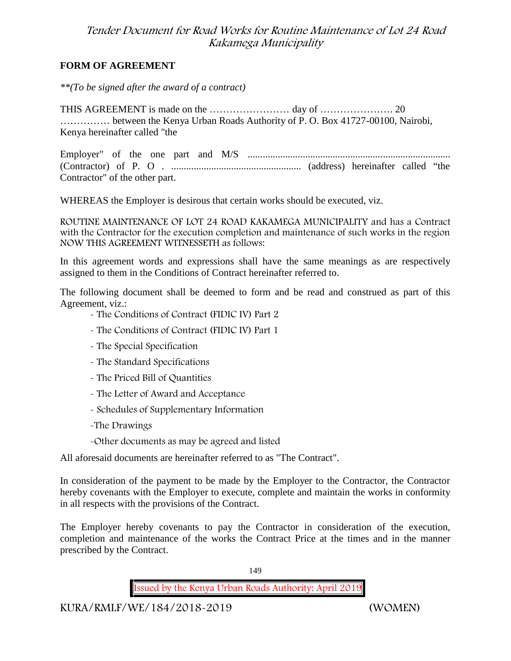#### **FORM OF AGREEMENT**

*\*\*(To be signed after the award of a contract)*

THIS AGREEMENT is made on the …………………… day of …………………. 20 …………… between the Kenya Urban Roads Authority of P. O. Box 41727-00100, Nairobi, Kenya hereinafter called "the

Employer" of the one part and M/S ................................................................................. (Contractor) of P. O . .................................................... (address) hereinafter called "the Contractor" of the other part.

WHEREAS the Employer is desirous that certain works should be executed, viz.

**ROUTINE MAINTENANCE OF LOT 24 ROAD KAKAMEGA MUNICIPALITY** and has a Contract with the Contractor for the execution completion and maintenance of such works in the region NOW THIS AGREEMENT WITNESSETH as follows:

In this agreement words and expressions shall have the same meanings as are respectively assigned to them in the Conditions of Contract hereinafter referred to.

The following document shall be deemed to form and be read and construed as part of this Agreement, viz.:

- The Conditions of Contract (FIDIC IV) Part 2
- The Conditions of Contract (FIDIC IV) Part 1
- The Special Specification
- The Standard Specifications
- The Priced Bill of Quantities
- The Letter of Award and Acceptance
- Schedules of Supplementary Information
- -The Drawings

-Other documents as may be agreed and listed

All aforesaid documents are hereinafter referred to as "The Contract".

In consideration of the payment to be made by the Employer to the Contractor, the Contractor hereby covenants with the Employer to execute, complete and maintain the works in conformity in all respects with the provisions of the Contract.

The Employer hereby covenants to pay the Contractor in consideration of the execution, completion and maintenance of the works the Contract Price at the times and in the manner prescribed by the Contract.

149

**Issued by the Kenya Urban Roads Authority: April 2019**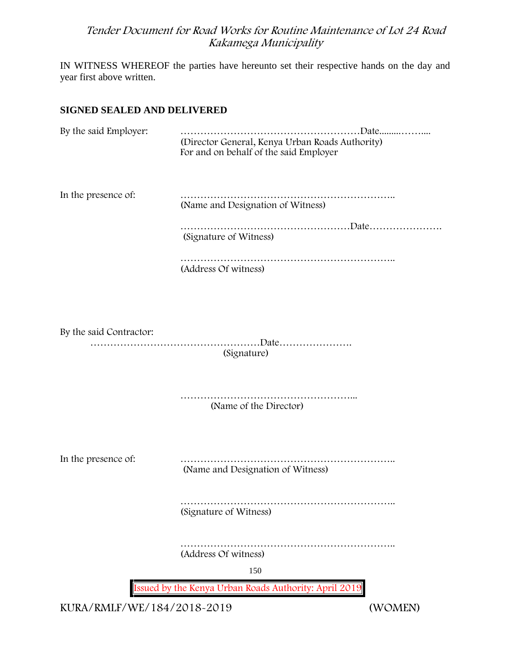IN WITNESS WHEREOF the parties have hereunto set their respective hands on the day and year first above written.

#### **SIGNED SEALED AND DELIVERED**

| By the said Employer:   | (Director General, Kenya Urban Roads Authority)<br>For and on behalf of the said Employer |
|-------------------------|-------------------------------------------------------------------------------------------|
| In the presence of:     | (Name and Designation of Witness)                                                         |
|                         | (Signature of Witness)                                                                    |
|                         | (Address Of witness)                                                                      |
|                         |                                                                                           |
| By the said Contractor: | (Signature)                                                                               |
|                         | (Name of the Director)                                                                    |
| In the presence of:     | (Name and Designation of Witness)                                                         |
|                         | (Signature of Witness)                                                                    |
|                         | (Address Of witness)                                                                      |
|                         | 150                                                                                       |
|                         | Issued by the Kenya Urban Roads Authority: April 2019                                     |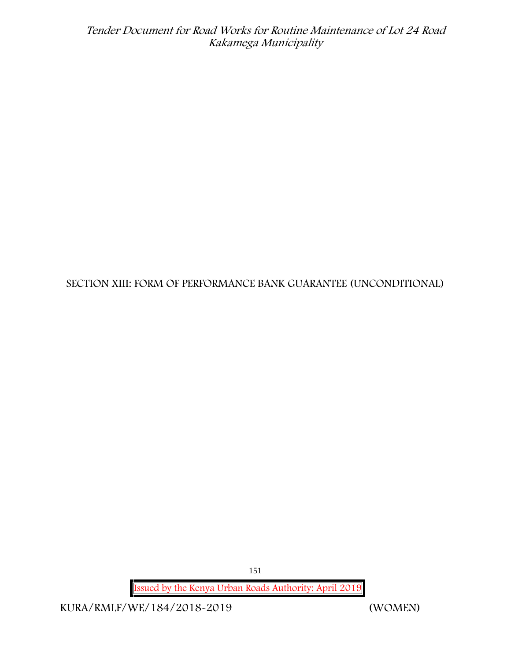**SECTION XIII: FORM OF PERFORMANCE BANK GUARANTEE (UNCONDITIONAL)**

151

**Issued by the Kenya Urban Roads Authority: April 2019**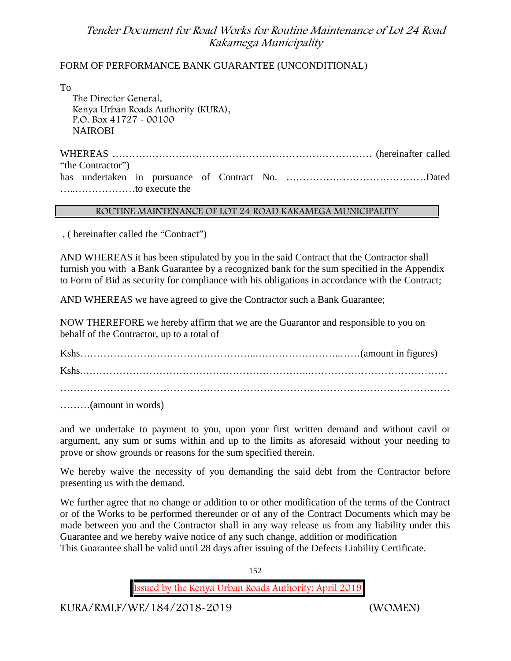#### FORM OF PERFORMANCE BANK GUARANTEE (UNCONDITIONAL)

To

The Director General, Kenya Urban Roads Authority (KURA), P.O. Box 41727 - 00100 **NAIROBI** 

WHEREAS …………………………………………………………………… (hereinafter called "the Contractor") has undertaken in pursuance of Contract No. ……………………………………Dated …..………………to execute the

#### **ROUTINE MAINTENANCE OF LOT 24 ROAD KAKAMEGA MUNICIPALITY**

, ( hereinafter called the "Contract")

AND WHEREAS it has been stipulated by you in the said Contract that the Contractor shall furnish you with a Bank Guarantee by a recognized bank for the sum specified in the Appendix to Form of Bid as security for compliance with his obligations in accordance with the Contract;

AND WHEREAS we have agreed to give the Contractor such a Bank Guarantee;

NOW THEREFORE we hereby affirm that we are the Guarantor and responsible to you on behalf of the Contractor, up to a total of

Kshs……………………………………………..……………………..……(amount in figures) Kshs.…………………………………………………………..…………………………………… ………………………………………………………………………………………………………

………(amount in words)

and we undertake to payment to you, upon your first written demand and without cavil or argument, any sum or sums within and up to the limits as aforesaid without your needing to prove or show grounds or reasons for the sum specified therein.

We hereby waive the necessity of you demanding the said debt from the Contractor before presenting us with the demand.

We further agree that no change or addition to or other modification of the terms of the Contract or of the Works to be performed thereunder or of any of the Contract Documents which may be made between you and the Contractor shall in any way release us from any liability under this Guarantee and we hereby waive notice of any such change, addition or modification This Guarantee shall be valid until 28 days after issuing of the Defects Liability Certificate.

152

**Issued by the Kenya Urban Roads Authority: April 2019**